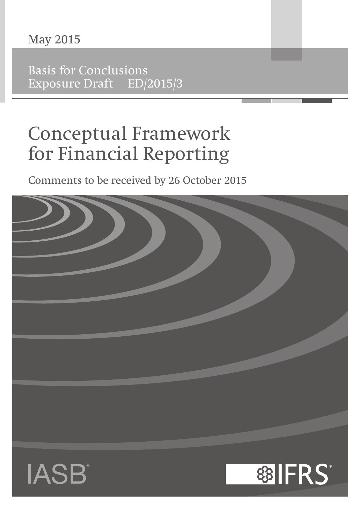Basis for Conclusions Exposure Draft ED/2015/3

# Conceptual Framework for Financial Reporting

Comments to be received by 26 October 2015

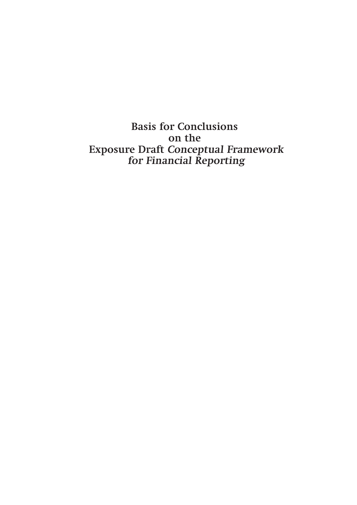**Basis for Conclusions on the Exposure Draft** *Conceptual Framework for Financial Reporting*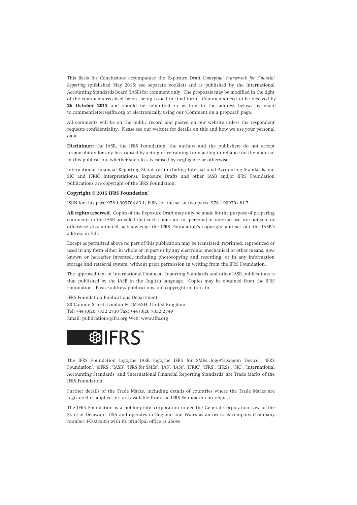This Basis for Conclusions accompanies the Exposure Draft *Conceptual Framework for Financial Reporting* (published May 2015; see separate booklet) and is published by the International Accounting Standards Board (IASB) for comment only. The proposals may be modified in the light of the comments received before being issued in final form. Comments need to be received by **26 October 2015** and should be submitted in writing to the address below, by email to commentletters@ifrs.org or electronically using our 'Comment on a proposal' page.

All comments will be on the public record and posted on our website unless the respondent requests confidentiality. Please see our website for details on this and how we use your personal data.

**Disclaimer:** the IASB, the IFRS Foundation, the authors and the publishers do not accept responsibility for any loss caused by acting or refraining from acting in reliance on the material in this publication, whether such loss is caused by negligence or otherwise.

International Financial Reporting Standards (including International Accounting Standards and SIC and IFRIC Interpretations), Exposure Drafts and other IASB and/or IFRS Foundation publications are copyright of the IFRS Foundation.

#### **Copyright © 2015 IFRS Foundation®**

ISBN for this part: 978-1-909704-83-1; ISBN for the set of two parts: 978-1-909704-81-7

**All rights reserved.** Copies of the Exposure Draft may only be made for the purpose of preparing comments to the IASB provided that such copies are for personal or internal use, are not sold or otherwise disseminated, acknowledge the IFRS Foundation's copyright and set out the IASB's address in full.

Except as permitted above no part of this publication may be translated, reprinted, reproduced or used in any form either in whole or in part or by any electronic, mechanical or other means, now known or hereafter invented, including photocopying and recording, or in any information storage and retrieval system, without prior permission in writing from the IFRS Foundation.

The approved text of International Financial Reporting Standards and other IASB publications is that published by the IASB in the English language. Copies may be obtained from the IFRS Foundation. Please address publications and copyright matters to:

IFRS Foundation Publications Department 30 Cannon Street, London EC4M 6XH, United Kingdom Tel: +44 (0)20 7332 2730 Fax: +44 (0)20 7332 2749 Email: publications@ifrs.org Web: www.ifrs.org



The IFRS Foundation logo/the IASB logo/the IFRS for SMEs logo/'Hexagon Device', 'IFRS Foundation', 'eIFRS', 'IASB', 'IFRS for SMEs', 'IAS', 'IASs', 'IFRIC', 'IFRS', 'IFRSs', 'SIC', 'International Accounting Standards' and 'International Financial Reporting Standards' are Trade Marks of the IFRS Foundation.

Further details of the Trade Marks, including details of countries where the Trade Marks are registered or applied for, are available from the IFRS Foundation on request.

The IFRS Foundation is a not-for-profit corporation under the General Corporation Law of the State of Delaware, USA and operates in England and Wales as an overseas company (Company number: FC023235) with its principal office as above.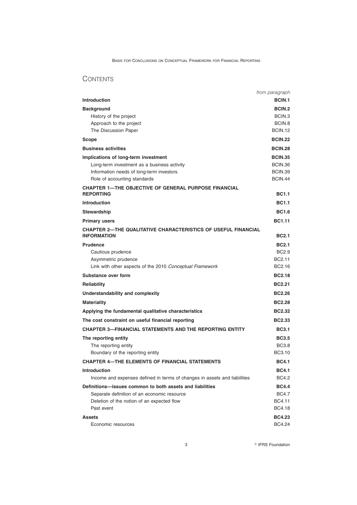# **CONTENTS**

|                                                                                                                                                                 | from paragraph                                         |
|-----------------------------------------------------------------------------------------------------------------------------------------------------------------|--------------------------------------------------------|
| Introduction                                                                                                                                                    | BCIN.1                                                 |
| <b>Background</b><br>History of the project<br>Approach to the project<br>The Discussion Paper                                                                  | BCIN.2<br>BCIN.3<br>BCIN.8<br><b>BCIN.12</b>           |
| Scope                                                                                                                                                           | <b>BCIN.22</b>                                         |
| <b>Business activities</b>                                                                                                                                      | <b>BCIN.28</b>                                         |
| Implications of long-term investment<br>Long-term investment as a business activity<br>Information needs of long-term investors<br>Role of accounting standards | <b>BCIN.35</b><br>BCIN.36<br>BCIN.39<br><b>BCIN.44</b> |
| <b>CHAPTER 1—THE OBJECTIVE OF GENERAL PURPOSE FINANCIAL</b><br><b>REPORTING</b>                                                                                 | <b>BC1.1</b>                                           |
| <b>Introduction</b>                                                                                                                                             | <b>BC1.1</b>                                           |
| <b>Stewardship</b>                                                                                                                                              | <b>BC1.6</b>                                           |
| <b>Primary users</b>                                                                                                                                            | <b>BC1.11</b>                                          |
| <b>CHAPTER 2—THE QUALITATIVE CHARACTERISTICS OF USEFUL FINANCIAL</b><br><b>INFORMATION</b>                                                                      | <b>BC2.1</b>                                           |
| <b>Prudence</b>                                                                                                                                                 | <b>BC2.1</b>                                           |
| Cautious prudence                                                                                                                                               | BC <sub>2.9</sub>                                      |
| Asymmetric prudence                                                                                                                                             | BC2.11                                                 |
| Link with other aspects of the 2010 Conceptual Framework                                                                                                        | BC2.16                                                 |
| Substance over form                                                                                                                                             | <b>BC2.18</b>                                          |
| <b>Reliability</b>                                                                                                                                              | <b>BC2.21</b>                                          |
| Understandability and complexity                                                                                                                                | <b>BC2.26</b>                                          |
| <b>Materiality</b>                                                                                                                                              | <b>BC2.28</b>                                          |
| Applying the fundamental qualitative characteristics                                                                                                            | <b>BC2.32</b>                                          |
| The cost constraint on useful financial reporting                                                                                                               | <b>BC2.33</b>                                          |
| <b>CHAPTER 3-FINANCIAL STATEMENTS AND THE REPORTING ENTITY</b>                                                                                                  | <b>BC3.1</b>                                           |
| The reporting entity<br>The reporting entity<br>Boundary of the reporting entity                                                                                | <b>BC3.5</b><br><b>BC3.8</b><br>BC3.10                 |
| <b>CHAPTER 4-THE ELEMENTS OF FINANCIAL STATEMENTS</b>                                                                                                           | <b>BC4.1</b>                                           |
| <b>Introduction</b>                                                                                                                                             | <b>BC4.1</b>                                           |
| Income and expenses defined in terms of changes in assets and liabilities                                                                                       | <b>BC4.2</b>                                           |
| Definitions-issues common to both assets and liabilities                                                                                                        | <b>BC4.4</b>                                           |
| Separate definition of an economic resource                                                                                                                     | <b>BC4.7</b>                                           |
| Deletion of the notion of an expected flow                                                                                                                      | BC4.11                                                 |
| Past event                                                                                                                                                      | <b>BC4.18</b>                                          |
| <b>Assets</b><br>Economic resources                                                                                                                             | <b>BC4.23</b><br>BC4.24                                |

 $3^{\circ}$ <sup>©</sup> IFRS Foundation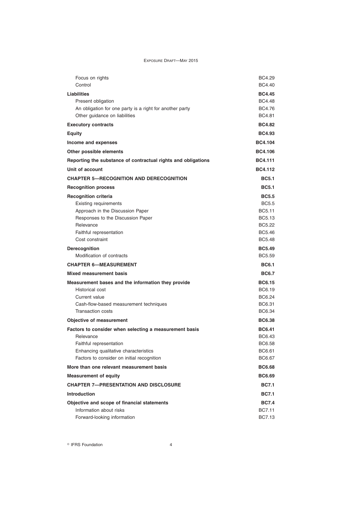| Focus on rights<br>Control                                                                                                                                                                      | BC4.29<br>BC4.40                                                                                                  |
|-------------------------------------------------------------------------------------------------------------------------------------------------------------------------------------------------|-------------------------------------------------------------------------------------------------------------------|
| <b>Liabilities</b><br>Present obligation<br>An obligation for one party is a right for another party<br>Other guidance on liabilities                                                           | <b>BC4.45</b><br><b>BC4.48</b><br><b>BC4.76</b><br>BC4.81                                                         |
| <b>Executory contracts</b>                                                                                                                                                                      | <b>BC4.82</b>                                                                                                     |
| <b>Equity</b>                                                                                                                                                                                   | <b>BC4.93</b>                                                                                                     |
| Income and expenses                                                                                                                                                                             | <b>BC4.104</b>                                                                                                    |
| Other possible elements                                                                                                                                                                         | <b>BC4.106</b>                                                                                                    |
| Reporting the substance of contractual rights and obligations                                                                                                                                   | BC4.111                                                                                                           |
| Unit of account                                                                                                                                                                                 | <b>BC4.112</b>                                                                                                    |
| <b>CHAPTER 5-RECOGNITION AND DERECOGNITION</b>                                                                                                                                                  | <b>BC5.1</b>                                                                                                      |
| <b>Recognition process</b>                                                                                                                                                                      | <b>BC5.1</b>                                                                                                      |
| <b>Recognition criteria</b><br><b>Existing requirements</b><br>Approach in the Discussion Paper<br>Responses to the Discussion Paper<br>Relevance<br>Faithful representation<br>Cost constraint | <b>BC5.5</b><br><b>BC5.5</b><br><b>BC5.11</b><br><b>BC5.13</b><br><b>BC5.22</b><br><b>BC5.46</b><br><b>BC5.48</b> |
| Derecognition                                                                                                                                                                                   | <b>BC5.49</b>                                                                                                     |
| Modification of contracts                                                                                                                                                                       | <b>BC5.59</b>                                                                                                     |
| <b>CHAPTER 6-MEASUREMENT</b>                                                                                                                                                                    | <b>BC6.1</b>                                                                                                      |
| Mixed measurement basis                                                                                                                                                                         | <b>BC6.7</b>                                                                                                      |
| Measurement bases and the information they provide<br><b>Historical cost</b><br>Current value<br>Cash-flow-based measurement techniques<br><b>Transaction costs</b>                             | <b>BC6.15</b><br><b>BC6.19</b><br>BC6.24<br>BC6.31<br>BC6.34                                                      |
| <b>Objective of measurement</b>                                                                                                                                                                 | <b>BC6.38</b>                                                                                                     |
| Factors to consider when selecting a measurement basis<br>Relevance<br>Faithful representation<br>Enhancing qualitative characteristics<br>Factors to consider on initial recognition           | <b>BC6.41</b><br>BC6.43<br>BC6.58<br>BC6.61<br>BC6.67                                                             |
| More than one relevant measurement basis                                                                                                                                                        | <b>BC6.68</b>                                                                                                     |
| <b>Measurement of equity</b>                                                                                                                                                                    | <b>BC6.69</b>                                                                                                     |
| <b>CHAPTER 7-PRESENTATION AND DISCLOSURE</b>                                                                                                                                                    | <b>BC7.1</b>                                                                                                      |
| <b>Introduction</b>                                                                                                                                                                             | <b>BC7.1</b>                                                                                                      |
| Objective and scope of financial statements<br>Information about risks<br>Forward-looking information                                                                                           | <b>BC7.4</b><br>BC7.11<br>BC7.13                                                                                  |

**Communist Execution 4** and 4 and 4 and 4 and 4 and 4 and 4 and 4 and 4 and 4 and 4 and 4 and 4 and 4 and 4 and 4 and 4 and 4 and 4 and 4 and 4 and 4 and 4 and 4 and 4 and 4 and 4 and 4 and 4 and 4 and 4 and 4 and 4 and 4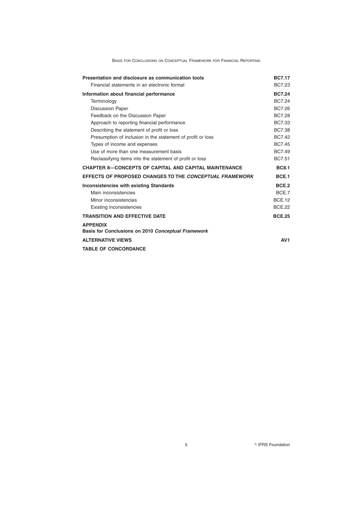| Presentation and disclosure as communication tools                    | <b>BC7.17</b>    |
|-----------------------------------------------------------------------|------------------|
| Financial statements in an electronic format                          | <b>BC7.23</b>    |
| Information about financial performance                               | <b>BC7.24</b>    |
| Terminology                                                           | <b>BC7.24</b>    |
| <b>Discussion Paper</b>                                               | BC7.26           |
| Feedback on the Discussion Paper                                      | <b>BC7.28</b>    |
| Approach to reporting financial performance                           | <b>BC7.33</b>    |
| Describing the statement of profit or loss                            | <b>BC7.38</b>    |
| Presumption of inclusion in the statement of profit or loss           | BC7.42           |
| Types of income and expenses                                          | <b>BC7.45</b>    |
| Use of more than one measurement basis                                | <b>BC7.49</b>    |
| Reclassifying items into the statement of profit or loss              | BC7.51           |
|                                                                       |                  |
| <b>CHAPTER 8-CONCEPTS OF CAPITAL AND CAPITAL MAINTENANCE</b>          | <b>BC8.1</b>     |
| EFFECTS OF PROPOSED CHANGES TO THE CONCEPTUAL FRAMEWORK               | BCE.1            |
| <b>Inconsistencies with existing Standards</b>                        | BCE <sub>2</sub> |
| Main inconsistencies                                                  | BCF.7            |
| Minor inconsistencies                                                 | <b>BCF.12</b>    |
| Existing inconsistencies                                              | <b>BCE.22</b>    |
| <b>TRANSITION AND EFFECTIVE DATE</b>                                  | <b>BCE.25</b>    |
| <b>APPENDIX</b><br>Basis for Conclusions on 2010 Conceptual Framework |                  |
| <b>ALTERNATIVE VIEWS</b>                                              | AV <sub>1</sub>  |

<sup>©</sup> IFRS Foundation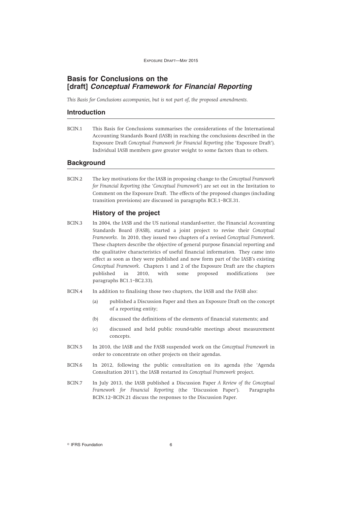# **Basis for Conclusions on the [draft]** *Conceptual Framework for Financial Reporting*

*This Basis for Conclusions accompanies, but is not part of, the proposed amendments.*

#### **Introduction**

BCIN.1 This Basis for Conclusions summarises the considerations of the International Accounting Standards Board (IASB) in reaching the conclusions described in the Exposure Draft *Conceptual Framework for Financial Reporting* (the 'Exposure Draft'). Individual IASB members gave greater weight to some factors than to others.

## **Background**

BCIN.2 The key motivations for the IASB in proposing change to the *Conceptual Framework for Financial Reporting* (the '*Conceptual Framework*') are set out in the Invitation to Comment on the Exposure Draft. The effects of the proposed changes (including transition provisions) are discussed in paragraphs BCE.1–BCE.31.

## **History of the project**

- BCIN.3 In 2004, the IASB and the US national standard-setter, the Financial Accounting Standards Board (FASB), started a joint project to revise their *Conceptual Frameworks*. In 2010, they issued two chapters of a revised *Conceptual Framework*. These chapters describe the objective of general purpose financial reporting and the qualitative characteristics of useful financial information. They came into effect as soon as they were published and now form part of the IASB's existing *Conceptual Framework*. Chapters 1 and 2 of the Exposure Draft are the chapters published in 2010, with some proposed modifications (see paragraphs BC1.1–BC2.33).
- BCIN.4 In addition to finalising those two chapters, the IASB and the FASB also:
	- (a) published a Discussion Paper and then an Exposure Draft on the concept of a reporting entity;
	- (b) discussed the definitions of the elements of financial statements; and
	- (c) discussed and held public round-table meetings about measurement concepts.
- BCIN.5 In 2010, the IASB and the FASB suspended work on the *Conceptual Framework* in order to concentrate on other projects on their agendas.
- BCIN.6 In 2012, following the public consultation on its agenda (the 'Agenda Consultation 2011'), the IASB restarted its *Conceptual Framework* project.
- BCIN.7 In July 2013, the IASB published a Discussion Paper *A Review of the Conceptual Framework for Financial Reporting* (the 'Discussion Paper'). Paragraphs BCIN.12–BCIN.21 discuss the responses to the Discussion Paper.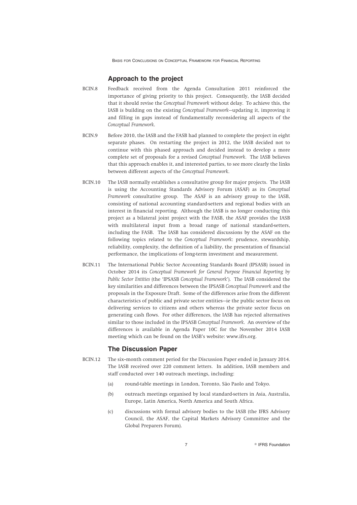## **Approach to the project**

- BCIN.8 Feedback received from the Agenda Consultation 2011 reinforced the importance of giving priority to this project. Consequently, the IASB decided that it should revise the *Conceptual Framework* without delay. To achieve this, the IASB is building on the existing *Conceptual Framework*—updating it, improving it and filling in gaps instead of fundamentally reconsidering all aspects of the *Conceptual Framework*.
- BCIN.9 Before 2010, the IASB and the FASB had planned to complete the project in eight separate phases. On restarting the project in 2012, the IASB decided not to continue with this phased approach and decided instead to develop a more complete set of proposals for a revised *Conceptual Framework*. The IASB believes that this approach enables it, and interested parties, to see more clearly the links between different aspects of the *Conceptual Framework*.
- BCIN.10 The IASB normally establishes a consultative group for major projects. The IASB is using the Accounting Standards Advisory Forum (ASAF) as its *Conceptual Framework* consultative group. The ASAF is an advisory group to the IASB, consisting of national accounting standard-setters and regional bodies with an interest in financial reporting. Although the IASB is no longer conducting this project as a bilateral joint project with the FASB, the ASAF provides the IASB with multilateral input from a broad range of national standard-setters, including the FASB. The IASB has considered discussions by the ASAF on the following topics related to the *Conceptual Framework*: prudence, stewardship, reliability, complexity, the definition of a liability, the presentation of financial performance, the implications of long-term investment and measurement.
- BCIN.11 The International Public Sector Accounting Standards Board (IPSASB) issued in October 2014 its *Conceptual Framework for General Purpose Financial Reporting by Public Sector Entities* (the 'IPSASB *Conceptual Framework*'). The IASB considered the key similarities and differences between the IPSASB *Conceptual Framework* and the proposals in the Exposure Draft. Some of the differences arise from the different characteristics of public and private sector entities—ie the public sector focus on delivering services to citizens and others whereas the private sector focus on generating cash flows. For other differences, the IASB has rejected alternatives similar to those included in the IPSASB *Conceptual Framework*. An overview of the differences is available in Agenda Paper 10C for the November 2014 IASB meeting which can be found on the IASB's website: www.ifrs.org.

#### **The Discussion Paper**

- BCIN.12 The six--month comment period for the Discussion Paper ended in January 2014. The IASB received over 220 comment letters. In addition, IASB members and staff conducted over 140 outreach meetings, including:
	- (a) round-table meetings in London, Toronto, São Paolo and Tokyo.
	- (b) outreach meetings organised by local standard-setters in Asia, Australia, Europe, Latin America, North America and South Africa.
	- (c) discussions with formal advisory bodies to the IASB (the IFRS Advisory Council, the ASAF, the Capital Markets Advisory Committee and the Global Preparers Forum).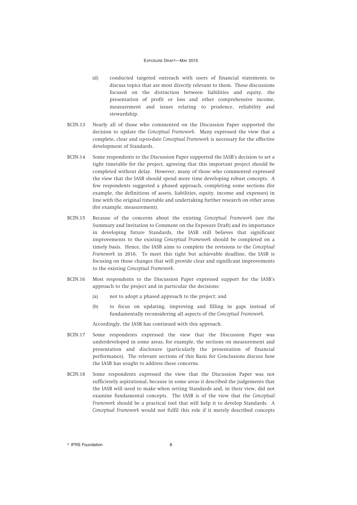- (d) conducted targeted outreach with users of financial statements to discuss topics that are most directly relevant to them. Those discussions focused on the distinction between liabilities and equity, the presentation of profit or loss and other comprehensive income, measurement and issues relating to prudence, reliability and stewardship.
- BCIN.13 Nearly all of those who commented on the Discussion Paper supported the decision to update the *Conceptual Framework*. Many expressed the view that a complete, clear and up-to-date *Conceptual Framework* is necessary for the effective development of Standards.
- BCIN.14 Some respondents to the Discussion Paper supported the IASB's decision to set a tight timetable for the project, agreeing that this important project should be completed without delay. However, many of those who commented expressed the view that the IASB should spend more time developing robust concepts. A few respondents suggested a phased approach, completing some sections (for example, the definitions of assets, liabilities, equity, income and expenses) in line with the original timetable and undertaking further research on other areas (for example, measurement).
- BCIN.15 Because of the concerns about the existing *Conceptual Framework* (see the Summary and Invitation to Comment on the Exposure Draft) and its importance in developing future Standards, the IASB still believes that significant improvements to the existing *Conceptual Framework* should be completed on a timely basis. Hence, the IASB aims to complete the revisions to the *Conceptual Framework* in 2016. To meet this tight but achievable deadline, the IASB is focusing on those changes that will provide clear and significant improvements to the existing *Conceptual Framework*.
- BCIN.16 Most respondents to the Discussion Paper expressed support for the IASB's approach to the project and in particular the decisions:
	- (a) not to adopt a phased approach to the project; and
	- (b) to focus on updating, improving and filling in gaps instead of fundamentally reconsidering all aspects of the *Conceptual Framework*.

Accordingly, the IASB has continued with this approach.

- BCIN.17 Some respondents expressed the view that the Discussion Paper was underdeveloped in some areas, for example, the sections on measurement and presentation and disclosure (particularly the presentation of financial performance). The relevant sections of this Basis for Conclusions discuss how the IASB has sought to address these concerns.
- BCIN.18 Some respondents expressed the view that the Discussion Paper was not sufficiently aspirational, because in some areas it described the judgements that the IASB will need to make when setting Standards and, in their view, did not examine fundamental concepts. The IASB is of the view that the *Conceptual Framework* should be a practical tool that will help it to develop Standards. A *Conceptual Framework* would not fulfil this role if it merely described concepts

**Communist Execution 8 and Series 3 and Series 8 and Series 8 and Series 8 and Series 8 and Series 8 and Series 8 and Series 8 and Series 8 and Series 8 and Series 8 and Series 8 and Series 8 and Series 8 and Series 8 and**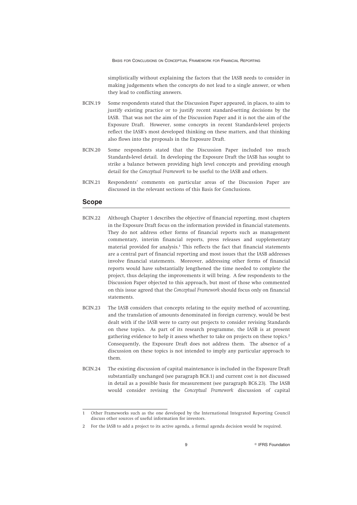simplistically without explaining the factors that the IASB needs to consider in making judgements when the concepts do not lead to a single answer, or when they lead to conflicting answers.

- BCIN.19 Some respondents stated that the Discussion Paper appeared, in places, to aim to justify existing practice or to justify recent standard-setting decisions by the IASB. That was not the aim of the Discussion Paper and it is not the aim of the Exposure Draft. However, some concepts in recent Standards-level projects reflect the IASB's most developed thinking on these matters, and that thinking also flows into the proposals in the Exposure Draft.
- BCIN.20 Some respondents stated that the Discussion Paper included too much Standards-level detail. In developing the Exposure Draft the IASB has sought to strike a balance between providing high level concepts and providing enough detail for the *Conceptual Framework* to be useful to the IASB and others.
- BCIN.21 Respondents' comments on particular areas of the Discussion Paper are discussed in the relevant sections of this Basis for Conclusions.

## **Scope**

- BCIN.22 Although Chapter 1 describes the objective of financial reporting, most chapters in the Exposure Draft focus on the information provided in financial statements. They do not address other forms of financial reports such as management commentary, interim financial reports, press releases and supplementary material provided for analysis.<sup>1</sup> This reflects the fact that financial statements are a central part of financial reporting and most issues that the IASB addresses involve financial statements. Moreover, addressing other forms of financial reports would have substantially lengthened the time needed to complete the project, thus delaying the improvements it will bring. A few respondents to the Discussion Paper objected to this approach, but most of those who commented on this issue agreed that the *Conceptual Framework* should focus only on financial statements.
- BCIN.23 The IASB considers that concepts relating to the equity method of accounting, and the translation of amounts denominated in foreign currency, would be best dealt with if the IASB were to carry out projects to consider revising Standards on these topics. As part of its research programme, the IASB is at present gathering evidence to help it assess whether to take on projects on these topics.<sup>2</sup> Consequently, the Exposure Draft does not address them. The absence of a discussion on these topics is not intended to imply any particular approach to them.
- BCIN.24 The existing discussion of capital maintenance is included in the Exposure Draft substantially unchanged (see paragraph BC8.1) and current cost is not discussed in detail as a possible basis for measurement (see paragraph BC6.23). The IASB would consider revising the *Conceptual Framework* discussion of capital

<sup>1</sup> Other Frameworks such as the one developed by the International Integrated Reporting Council discuss other sources of useful information for investors.

<sup>2</sup> For the IASB to add a project to its active agenda, a formal agenda decision would be required.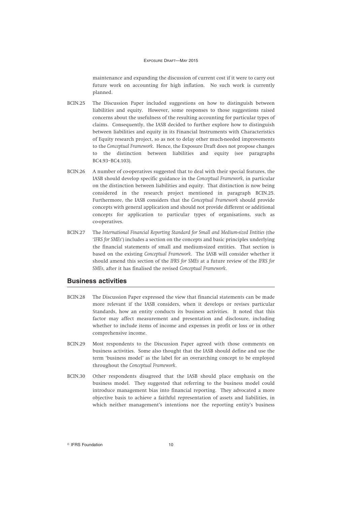maintenance and expanding the discussion of current cost if it were to carry out future work on accounting for high inflation. No such work is currently planned.

- BCIN.25 The Discussion Paper included suggestions on how to distinguish between liabilities and equity. However, some responses to those suggestions raised concerns about the usefulness of the resulting accounting for particular types of claims. Consequently, the IASB decided to further explore how to distinguish between liabilities and equity in its Financial Instruments with Characteristics of Equity research project, so as not to delay other much-needed improvements to the *Conceptual Framework*. Hence, the Exposure Draft does not propose changes to the distinction between liabilities and equity (see paragraphs BC4.93–BC4.103).
- BCIN.26 A number of co-operatives suggested that to deal with their special features, the IASB should develop specific guidance in the *Conceptual Framework*, in particular on the distinction between liabilities and equity. That distinction is now being considered in the research project mentioned in paragraph BCIN.25. Furthermore, the IASB considers that the *Conceptual Framework* should provide concepts with general application and should not provide different or additional concepts for application to particular types of organisations, such as co-operatives.
- BCIN.27 The *International Financial Reporting Standard for Small and Medium-sized Entities* (the '*IFRS for SMEs*') includes a section on the concepts and basic principles underlying the financial statements of small and medium-sized entities. That section is based on the existing *Conceptual Framework*. The IASB will consider whether it should amend this section of the *IFRS for SMEs* at a future review of the *IFRS for SMEs*, after it has finalised the revised *Conceptual Framework*.

## **Business activities**

- BCIN.28 The Discussion Paper expressed the view that financial statements can be made more relevant if the IASB considers, when it develops or revises particular Standards, how an entity conducts its business activities. It noted that this factor may affect measurement and presentation and disclosure, including whether to include items of income and expenses in profit or loss or in other comprehensive income.
- BCIN.29 Most respondents to the Discussion Paper agreed with those comments on business activities. Some also thought that the IASB should define and use the term 'business model' as the label for an overarching concept to be employed throughout the *Conceptual Framework*.
- BCIN.30 Other respondents disagreed that the IASB should place emphasis on the business model. They suggested that referring to the business model could introduce management bias into financial reporting. They advocated a more objective basis to achieve a faithful representation of assets and liabilities, in which neither management's intentions nor the reporting entity's business

**Communist Execution** 10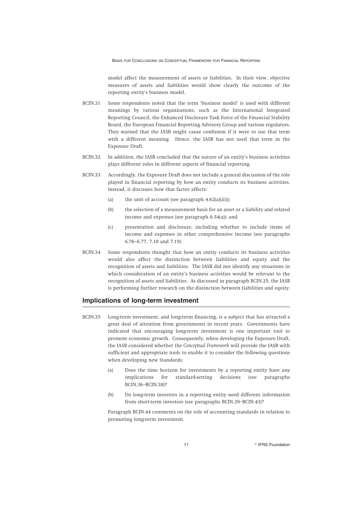model affect the measurement of assets or liabilities. In their view, objective measures of assets and liabilities would show clearly the outcome of the reporting entity's business model.

- BCIN.31 Some respondents noted that the term 'business model' is used with different meanings by various organisations, such as the International Integrated Reporting Council, the Enhanced Disclosure Task Force of the Financial Stability Board, the European Financial Reporting Advisory Group and various regulators. They warned that the IASB might cause confusion if it were to use that term with a different meaning. Hence, the IASB has not used that term in the Exposure Draft.
- BCIN.32 In addition, the IASB concluded that the nature of an entity's business activities plays different roles in different aspects of financial reporting.
- BCIN.33 Accordingly, the Exposure Draft does not include a general discussion of the role played in financial reporting by how an entity conducts its business activities. Instead, it discusses how that factor affects:
	- (a) the unit of account (see paragraph 4.62(a)(iii));
	- (b) the selection of a measurement basis for an asset or a liability and related income and expenses (see paragraph 6.54(a)); and
	- (c) presentation and disclosure, including whether to include items of income and expenses in other comprehensive income (see paragraphs 6.76–6.77, 7.10 and 7.19).
- BCIN.34 Some respondents thought that how an entity conducts its business activities would also affect the distinction between liabilities and equity and the recognition of assets and liabilities. The IASB did not identify any situations in which consideration of an entity's business activities would be relevant to the recognition of assets and liabilities. As discussed in paragraph BCIN.25, the IASB is performing further research on the distinction between liabilities and equity.

## **Implications of long-term investment**

- BCIN.35 Long-term investment, and long-term financing, is a subject that has attracted a great deal of attention from governments in recent years. Governments have indicated that encouraging long-term investment is one important tool to promote economic growth. Consequently, when developing the Exposure Draft, the IASB considered whether the *Conceptual Framework* will provide the IASB with sufficient and appropriate tools to enable it to consider the following questions when developing new Standards:
	- (a) Does the time horizon for investments by a reporting entity have any implications for standard-setting decisions (see paragraphs BCIN.36–BCIN.38)?
	- (b) Do long-term investors in a reporting entity need different information from short-term investors (see paragraphs BCIN.39–BCIN.43)?

Paragraph BCIN.44 comments on the role of accounting standards in relation to promoting long-term investment.

<sup>©</sup> IFRS Foundation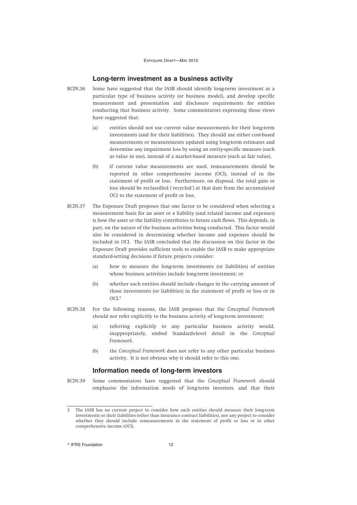#### **Long-term investment as a business activity**

- BCIN.36 Some have suggested that the IASB should identify long-term investment as a particular type of business activity (or business model), and develop specific measurement and presentation and disclosure requirements for entities conducting that business activity. Some commentators expressing those views have suggested that:
	- (a) entities should not use current value measurements for their long-term investments (and for their liabilities). They should use either cost-based measurements or measurements updated using long-term estimates and determine any impairment loss by using an entity-specific measure (such as value in use), instead of a market-based measure (such as fair value).
	- (b) if current value measurements are used, remeasurements should be reported in other comprehensive income (OCI), instead of in the statement of profit or loss. Furthermore, on disposal, the total gain or loss should be reclassified ('recycled') at that date from the accumulated OCI to the statement of profit or loss.
- BCIN.37 The Exposure Draft proposes that one factor to be considered when selecting a measurement basis for an asset or a liability (and related income and expenses) is how the asset or the liability contributes to future cash flows. This depends, in part, on the nature of the business activities being conducted. This factor would also be considered in determining whether income and expenses should be included in OCI. The IASB concluded that the discussion on this factor in the Exposure Draft provides sufficient tools to enable the IASB to make appropriate standard-setting decisions if future projects consider:
	- (a) how to measure the long-term investments (or liabilities) of entities whose business activities include long-term investment; or
	- (b) whether such entities should include changes in the carrying amount of those investments (or liabilities) in the statement of profit or loss or in OCI.<sup>3</sup>
- BCIN.38 For the following reasons, the IASB proposes that the *Conceptual Framework* should not refer explicitly to the business activity of long-term investment:
	- (a) referring explicitly to any particular business activity would, inappropriately, embed Standards-level detail in the *Conceptual Framework*.
	- (b) the *Conceptual Framework* does not refer to any other particular business activity. It is not obvious why it should refer to this one.

# **Information needs of long-term investors**

BCIN.39 Some commentators have suggested that the *Conceptual Framework* should emphasise the information needs of long-term investors, and that their

**Communist Execution** 12

<sup>3</sup> The IASB has no current project to consider how such entities should measure their long-term investments or their liabilities (other than insurance contract liabilities), nor any project to consider whether they should include remeasurements in the statement of profit or loss or in other comprehensive income (OCI).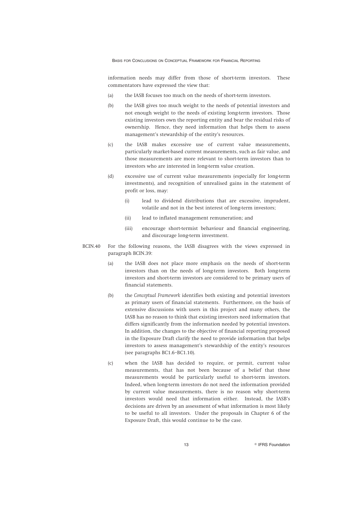information needs may differ from those of short-term investors. These commentators have expressed the view that:

- (a) the IASB focuses too much on the needs of short-term investors.
- (b) the IASB gives too much weight to the needs of potential investors and not enough weight to the needs of existing long-term investors. Those existing investors own the reporting entity and bear the residual risks of ownership. Hence, they need information that helps them to assess management's stewardship of the entity's resources.
- (c) the IASB makes excessive use of current value measurements, particularly market-based current measurements, such as fair value, and those measurements are more relevant to short-term investors than to investors who are interested in long-term value creation.
- (d) excessive use of current value measurements (especially for long-term investments), and recognition of unrealised gains in the statement of profit or loss, may:
	- (i) lead to dividend distributions that are excessive, imprudent, volatile and not in the best interest of long-term investors;
	- (ii) lead to inflated management remuneration; and
	- (iii) encourage short-termist behaviour and financial engineering, and discourage long-term investment.
- BCIN.40 For the following reasons, the IASB disagrees with the views expressed in paragraph BCIN.39:
	- (a) the IASB does not place more emphasis on the needs of short-term investors than on the needs of long-term investors. Both long-term investors and short-term investors are considered to be primary users of financial statements.
	- (b) the *Conceptual Framework* identifies both existing and potential investors as primary users of financial statements. Furthermore, on the basis of extensive discussions with users in this project and many others, the IASB has no reason to think that existing investors need information that differs significantly from the information needed by potential investors. In addition, the changes to the objective of financial reporting proposed in the Exposure Draft clarify the need to provide information that helps investors to assess management's stewardship of the entity's resources (see paragraphs BC1.6–BC1.10).
	- (c) when the IASB has decided to require, or permit, current value measurements, that has not been because of a belief that those measurements would be particularly useful to short-term investors. Indeed, when long-term investors do not need the information provided by current value measurements, there is no reason why short-term investors would need that information either. Instead, the IASB's decisions are driven by an assessment of what information is most likely to be useful to all investors. Under the proposals in Chapter 6 of the Exposure Draft, this would continue to be the case.

<sup>©</sup> IFRS Foundation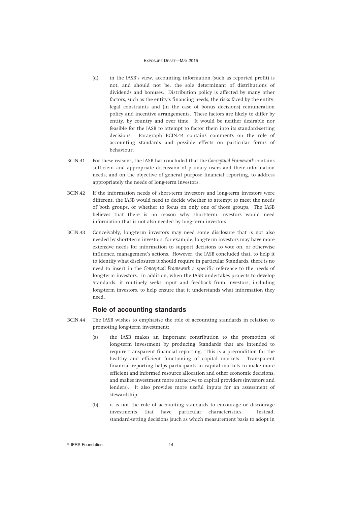- (d) in the IASB's view, accounting information (such as reported profit) is not, and should not be, the sole determinant of distributions of dividends and bonuses. Distribution policy is affected by many other factors, such as the entity's financing needs, the risks faced by the entity, legal constraints and (in the case of bonus decisions) remuneration policy and incentive arrangements. These factors are likely to differ by entity, by country and over time. It would be neither desirable nor feasible for the IASB to attempt to factor them into its standard-setting decisions. Paragraph BCIN.44 contains comments on the role of accounting standards and possible effects on particular forms of behaviour.
- BCIN.41 For these reasons, the IASB has concluded that the *Conceptual Framework* contains sufficient and appropriate discussion of primary users and their information needs, and on the objective of general purpose financial reporting, to address appropriately the needs of long-term investors.
- BCIN.42 If the information needs of short-term investors and long-term investors were different, the IASB would need to decide whether to attempt to meet the needs of both groups, or whether to focus on only one of those groups. The IASB believes that there is no reason why short-term investors would need information that is not also needed by long-term investors.
- BCIN.43 Conceivably, long-term investors may need some disclosure that is not also needed by short-term investors; for example, long-term investors may have more extensive needs for information to support decisions to vote on, or otherwise influence, management's actions. However, the IASB concluded that, to help it to identify what disclosures it should require in particular Standards, there is no need to insert in the *Conceptual Framework* a specific reference to the needs of long-term investors. In addition, when the IASB undertakes projects to develop Standards, it routinely seeks input and feedback from investors, including long-term investors, to help ensure that it understands what information they need.

## **Role of accounting standards**

- BCIN.44 The IASB wishes to emphasise the role of accounting standards in relation to promoting long-term investment:
	- (a) the IASB makes an important contribution to the promotion of long-term investment by producing Standards that are intended to require transparent financial reporting. This is a precondition for the healthy and efficient functioning of capital markets. Transparent financial reporting helps participants in capital markets to make more efficient and informed resource allocation and other economic decisions, and makes investment more attractive to capital providers (investors and lenders). It also provides more useful inputs for an assessment of stewardship.
	- (b) it is not the role of accounting standards to encourage or discourage investments that have particular characteristics. Instead, standard-setting decisions (such as which measurement basis to adopt in

**Communist Execution** 14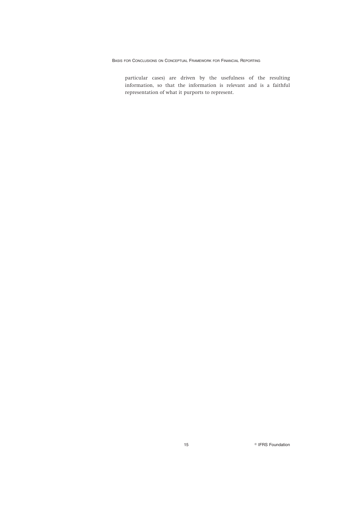particular cases) are driven by the usefulness of the resulting information, so that the information is relevant and is a faithful representation of what it purports to represent.

<sup>©</sup> IFRS Foundation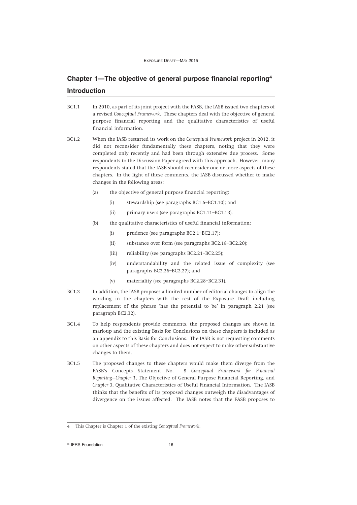# **Chapter 1—The objective of general purpose financial reporting4 Introduction**

- BC1.1 In 2010, as part of its joint project with the FASB, the IASB issued two chapters of a revised *Conceptual Framework*. These chapters deal with the objective of general purpose financial reporting and the qualitative characteristics of useful financial information.
- BC1.2 When the IASB restarted its work on the *Conceptual Framework* project in 2012, it did not reconsider fundamentally these chapters, noting that they were completed only recently and had been through extensive due process. Some respondents to the Discussion Paper agreed with this approach. However, many respondents stated that the IASB should reconsider one or more aspects of these chapters. In the light of these comments, the IASB discussed whether to make changes in the following areas:
	- (a) the objective of general purpose financial reporting:
		- (i) stewardship (see paragraphs BC1.6–BC1.10); and
		- (ii) primary users (see paragraphs BC1.11–BC1.13).
	- (b) the qualitative characteristics of useful financial information:
		- (i) prudence (see paragraphs BC2.1–BC2.17);
		- (ii) substance over form (see paragraphs BC2.18–BC2.20);
		- (iii) reliability (see paragraphs BC2.21–BC2.25);
		- (iv) understandability and the related issue of complexity (see paragraphs BC2.26–BC2.27); and
		- (v) materiality (see paragraphs BC2.28–BC2.31).
- BC1.3 In addition, the IASB proposes a limited number of editorial changes to align the wording in the chapters with the rest of the Exposure Draft including replacement of the phrase 'has the potential to be' in paragraph 2.21 (see paragraph BC2.32).
- BC1.4 To help respondents provide comments, the proposed changes are shown in mark-up and the existing Basis for Conclusions on these chapters is included as an appendix to this Basis for Conclusions. The IASB is not requesting comments on other aspects of these chapters and does not expect to make other substantive changes to them.
- BC1.5 The proposed changes to these chapters would make them diverge from the FASB's Concepts Statement No. 8 *Conceptual Framework for Financial Reporting—Chapter 1*, The Objective of General Purpose Financial Reporting, and *Chapter 3*, Qualitative Characteristics of Useful Financial Information. The IASB thinks that the benefits of its proposed changes outweigh the disadvantages of divergence on the issues affected. The IASB notes that the FASB proposes to

<sup>4</sup> This Chapter is Chapter 1 of the existing *Conceptual Framework*.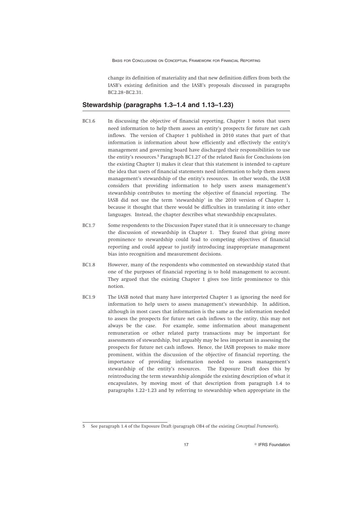change its definition of materiality and that new definition differs from both the IASB's existing definition and the IASB's proposals discussed in paragraphs BC2.28–BC2.31.

# **Stewardship (paragraphs 1.3–1.4 and 1.13–1.23)**

- BC1.6 In discussing the objective of financial reporting, Chapter 1 notes that users need information to help them assess an entity's prospects for future net cash inflows. The version of Chapter 1 published in 2010 states that part of that information is information about how efficiently and effectively the entity's management and governing board have discharged their responsibilities to use the entity's resources.<sup>5</sup> Paragraph BC1.27 of the related Basis for Conclusions (on the existing Chapter 1) makes it clear that this statement is intended to capture the idea that users of financial statements need information to help them assess management's stewardship of the entity's resources. In other words, the IASB considers that providing information to help users assess management's stewardship contributes to meeting the objective of financial reporting. The IASB did not use the term 'stewardship' in the 2010 version of Chapter 1, because it thought that there would be difficulties in translating it into other languages. Instead, the chapter describes what stewardship encapsulates.
- BC1.7 Some respondents to the Discussion Paper stated that it is unnecessary to change the discussion of stewardship in Chapter 1. They feared that giving more prominence to stewardship could lead to competing objectives of financial reporting and could appear to justify introducing inappropriate management bias into recognition and measurement decisions.
- BC1.8 However, many of the respondents who commented on stewardship stated that one of the purposes of financial reporting is to hold management to account. They argued that the existing Chapter 1 gives too little prominence to this notion.
- BC1.9 The IASB noted that many have interpreted Chapter 1 as ignoring the need for information to help users to assess management's stewardship. In addition, although in most cases that information is the same as the information needed to assess the prospects for future net cash inflows to the entity, this may not always be the case. For example, some information about management remuneration or other related party transactions may be important for assessments of stewardship, but arguably may be less important in assessing the prospects for future net cash inflows. Hence, the IASB proposes to make more prominent, within the discussion of the objective of financial reporting, the importance of providing information needed to assess management's stewardship of the entity's resources. The Exposure Draft does this by reintroducing the term stewardship alongside the existing description of what it encapsulates, by moving most of that description from paragraph 1.4 to paragraphs 1.22–1.23 and by referring to stewardship when appropriate in the

<sup>5</sup> See paragraph 1.4 of the Exposure Draft (paragraph OB4 of the existing *Conceptual Framework*).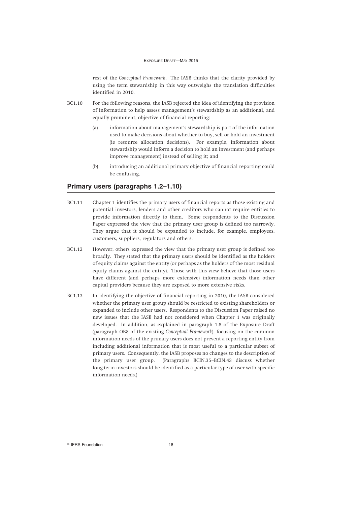rest of the *Conceptual Framework*. The IASB thinks that the clarity provided by using the term stewardship in this way outweighs the translation difficulties identified in 2010.

- BC1.10 For the following reasons, the IASB rejected the idea of identifying the provision of information to help assess management's stewardship as an additional, and equally prominent, objective of financial reporting:
	- (a) information about management's stewardship is part of the information used to make decisions about whether to buy, sell or hold an investment (ie resource allocation decisions). For example, information about stewardship would inform a decision to hold an investment (and perhaps improve management) instead of selling it; and
	- (b) introducing an additional primary objective of financial reporting could be confusing.

# **Primary users (paragraphs 1.2–1.10)**

- BC1.11 Chapter 1 identifies the primary users of financial reports as those existing and potential investors, lenders and other creditors who cannot require entities to provide information directly to them. Some respondents to the Discussion Paper expressed the view that the primary user group is defined too narrowly. They argue that it should be expanded to include, for example, employees, customers, suppliers, regulators and others.
- BC1.12 However, others expressed the view that the primary user group is defined too broadly. They stated that the primary users should be identified as the holders of equity claims against the entity (or perhaps as the holders of the most residual equity claims against the entity). Those with this view believe that those users have different (and perhaps more extensive) information needs than other capital providers because they are exposed to more extensive risks.
- BC1.13 In identifying the objective of financial reporting in 2010, the IASB considered whether the primary user group should be restricted to existing shareholders or expanded to include other users. Respondents to the Discussion Paper raised no new issues that the IASB had not considered when Chapter 1 was originally developed. In addition, as explained in paragraph 1.8 of the Exposure Draft (paragraph OB8 of the existing *Conceptual Framework*), focusing on the common information needs of the primary users does not prevent a reporting entity from including additional information that is most useful to a particular subset of primary users. Consequently, the IASB proposes no changes to the description of the primary user group. (Paragraphs BCIN.35–BCIN.43 discuss whether long-term investors should be identified as a particular type of user with specific information needs.)

**Communist Execution** 18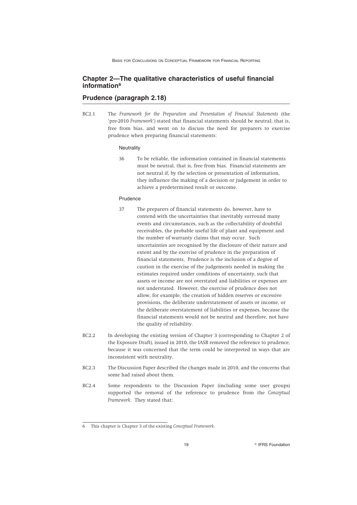# **Chapter 2—The qualitative characteristics of useful financial information6**

## **Prudence (paragraph 2.18)**

BC2.1 The *Framework for the Preparation and Presentation of Financial Statements* (the 'pre-2010 *Framework*') stated that financial statements should be neutral; that is, free from bias, and went on to discuss the need for preparers to exercise prudence when preparing financial statements:

#### **Neutrality**

36 To be reliable, the information contained in financial statements must be neutral, that is, free from bias. Financial statements are not neutral if, by the selection or presentation of information, they influence the making of a decision or judgement in order to achieve a predetermined result or outcome.

#### Prudence

- 37 The preparers of financial statements do, however, have to contend with the uncertainties that inevitably surround many events and circumstances, such as the collectability of doubtful receivables, the probable useful life of plant and equipment and the number of warranty claims that may occur. Such uncertainties are recognised by the disclosure of their nature and extent and by the exercise of prudence in the preparation of financial statements. Prudence is the inclusion of a degree of caution in the exercise of the judgements needed in making the estimates required under conditions of uncertainty, such that assets or income are not overstated and liabilities or expenses are not understated. However, the exercise of prudence does not allow, for example, the creation of hidden reserves or excessive provisions, the deliberate understatement of assets or income, or the deliberate overstatement of liabilities or expenses, because the financial statements would not be neutral and therefore, not have the quality of reliability.
- BC2.2 In developing the existing version of Chapter 3 (corresponding to Chapter 2 of the Exposure Draft), issued in 2010, the IASB removed the reference to prudence, because it was concerned that the term could be interpreted in ways that are inconsistent with neutrality.
- BC2.3 The Discussion Paper described the changes made in 2010, and the concerns that some had raised about them.
- BC2.4 Some respondents to the Discussion Paper (including some user groups) supported the removal of the reference to prudence from the *Conceptual Framework*. They stated that:

<sup>6</sup> This chapter is Chapter 3 of the existing *Conceptual Framework*.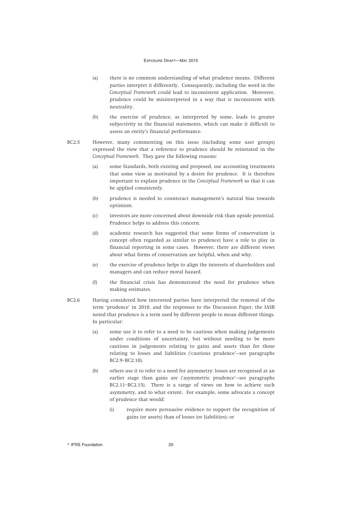- (a) there is no common understanding of what prudence means. Different parties interpret it differently. Consequently, including the word in the *Conceptual Framework* could lead to inconsistent application. Moreover, prudence could be misinterpreted in a way that is inconsistent with neutrality.
- (b) the exercise of prudence, as interpreted by some, leads to greater subjectivity in the financial statements, which can make it difficult to assess an entity's financial performance.
- BC2.5 However, many commenting on this issue (including some user groups) expressed the view that a reference to prudence should be reinstated in the *Conceptual Framework*. They gave the following reasons:
	- (a) some Standards, both existing and proposed, use accounting treatments that some view as motivated by a desire for prudence. It is therefore important to explain prudence in the *Conceptual Framework* so that it can be applied consistently.
	- (b) prudence is needed to counteract management's natural bias towards optimism.
	- (c) investors are more concerned about downside risk than upside potential. Prudence helps to address this concern.
	- (d) academic research has suggested that some forms of conservatism (a concept often regarded as similar to prudence) have a role to play in financial reporting in some cases. However, there are different views about what forms of conservatism are helpful, when and why.
	- (e) the exercise of prudence helps to align the interests of shareholders and managers and can reduce moral hazard.
	- (f) the financial crisis has demonstrated the need for prudence when making estimates.
- BC2.6 Having considered how interested parties have interpreted the removal of the term 'prudence' in 2010, and the responses to the Discussion Paper, the IASB noted that prudence is a term used by different people to mean different things. In particular:
	- (a) some use it to refer to a need to be cautious when making judgements under conditions of uncertainty, but without needing to be more cautious in judgements relating to gains and assets than for those relating to losses and liabilities ('cautious prudence'—see paragraphs BC2.9–BC2.10).
	- (b) others use it to refer to a need for asymmetry: losses are recognised at an earlier stage than gains are ('asymmetric prudence'—see paragraphs BC2.11–BC2.15). There is a range of views on how to achieve such asymmetry, and to what extent. For example, some advocate a concept of prudence that would:
		- (i) require more persuasive evidence to support the recognition of gains (or assets) than of losses (or liabilities); or

**Communist Execution 20 20**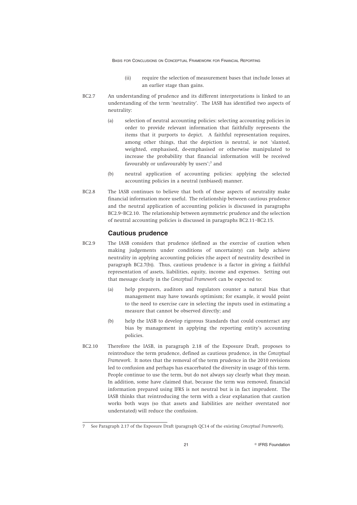- (ii) require the selection of measurement bases that include losses at an earlier stage than gains.
- BC2.7 An understanding of prudence and its different interpretations is linked to an understanding of the term 'neutrality'. The IASB has identified two aspects of neutrality:
	- (a) selection of neutral accounting policies: selecting accounting policies in order to provide relevant information that faithfully represents the items that it purports to depict. A faithful representation requires, among other things, that the depiction is neutral, ie not 'slanted, weighted, emphasised, de-emphasised or otherwise manipulated to increase the probability that financial information will be received favourably or unfavourably by users';<sup>7</sup> and
	- (b) neutral application of accounting policies: applying the selected accounting policies in a neutral (unbiased) manner.
- BC2.8 The IASB continues to believe that both of these aspects of neutrality make financial information more useful. The relationship between cautious prudence and the neutral application of accounting policies is discussed in paragraphs BC2.9–BC2.10. The relationship between asymmetric prudence and the selection of neutral accounting policies is discussed in paragraphs BC2.11–BC2.15.

# **Cautious prudence**

- BC2.9 The IASB considers that prudence (defined as the exercise of caution when making judgements under conditions of uncertainty) can help achieve neutrality in applying accounting policies (the aspect of neutrality described in paragraph BC2.7(b)). Thus, cautious prudence is a factor in giving a faithful representation of assets, liabilities, equity, income and expenses. Setting out that message clearly in the *Conceptual Framework* can be expected to:
	- (a) help preparers, auditors and regulators counter a natural bias that management may have towards optimism; for example, it would point to the need to exercise care in selecting the inputs used in estimating a measure that cannot be observed directly; and
	- (b) help the IASB to develop rigorous Standards that could counteract any bias by management in applying the reporting entity's accounting policies.
- BC2.10 Therefore the IASB, in paragraph 2.18 of the Exposure Draft, proposes to reintroduce the term prudence, defined as cautious prudence, in the *Conceptual Framework*. It notes that the removal of the term prudence in the 2010 revisions led to confusion and perhaps has exacerbated the diversity in usage of this term. People continue to use the term, but do not always say clearly what they mean. In addition, some have claimed that, because the term was removed, financial information prepared using IFRS is not neutral but is in fact imprudent. The IASB thinks that reintroducing the term with a clear explanation that caution works both ways (so that assets and liabilities are neither overstated nor understated) will reduce the confusion.

<sup>7</sup> See Paragraph 2.17 of the Exposure Draft (paragraph QC14 of the existing *Conceptual Framework*).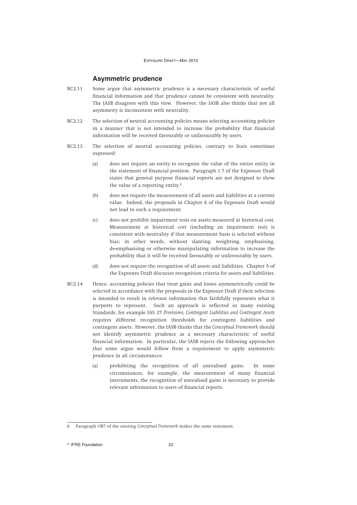## **Asymmetric prudence**

- BC2.11 Some argue that asymmetric prudence is a necessary characteristic of useful financial information and that prudence cannot be consistent with neutrality. The IASB disagrees with this view. However, the IASB also thinks that not all asymmetry is inconsistent with neutrality.
- BC2.12 The selection of neutral accounting policies means selecting accounting policies in a manner that is not intended to increase the probability that financial information will be received favourably or unfavourably by users.
- BC2.13 The selection of neutral accounting policies, contrary to fears sometimes expressed:
	- (a) does not require an entity to recognise the value of the entire entity in the statement of financial position. Paragraph 1.7 of the Exposure Draft states that general purpose financial reports are not designed to show the value of a reporting entity.<sup>8</sup>
	- (b) does not require the measurement of all assets and liabilities at a current value. Indeed, the proposals in Chapter 6 of the Exposure Draft would not lead to such a requirement.
	- (c) does not prohibit impairment tests on assets measured at historical cost. Measurement at historical cost (including an impairment test) is consistent with neutrality if that measurement basis is selected without bias; in other words, without slanting, weighting, emphasising, de-emphasising or otherwise manipulating information to increase the probability that it will be received favourably or unfavourably by users.
	- (d) does not require the recognition of all assets and liabilities. Chapter 5 of the Exposure Draft discusses recognition criteria for assets and liabilities.
- BC2.14 Hence, accounting policies that treat gains and losses asymmetrically could be selected in accordance with the proposals in the Exposure Draft if their selection is intended to result in relevant information that faithfully represents what it purports to represent. Such an approach is reflected in many existing Standards, for example IAS 37 *Provisions, Contingent Liabilities and Contingent Assets* requires different recognition thresholds for contingent liabilities and contingent assets. However, the IASB thinks that the *Conceptual Framework* should not identify asymmetric prudence as a necessary characteristic of useful financial information. In particular, the IASB rejects the following approaches that some argue would follow from a requirement to apply asymmetric prudence in all circumstances:
	- (a) prohibiting the recognition of all unrealised gains. In some circumstances, for example, the measurement of many financial instruments, the recognition of unrealised gains is necessary to provide relevant information to users of financial reports.

**Communist Execution** 22 **COMPUTE:** 22

<sup>8</sup> Paragraph OB7 of the existing *Conceptual Framework* makes the same statement.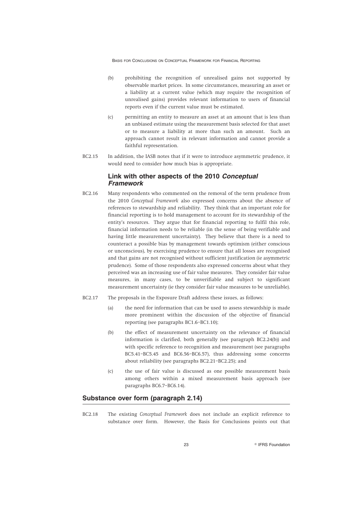- (b) prohibiting the recognition of unrealised gains not supported by observable market prices. In some circumstances, measuring an asset or a liability at a current value (which may require the recognition of unrealised gains) provides relevant information to users of financial reports even if the current value must be estimated.
- (c) permitting an entity to measure an asset at an amount that is less than an unbiased estimate using the measurement basis selected for that asset or to measure a liability at more than such an amount. Such an approach cannot result in relevant information and cannot provide a faithful representation.
- BC2.15 In addition, the IASB notes that if it were to introduce asymmetric prudence, it would need to consider how much bias is appropriate.

## **Link with other aspects of the 2010** *Conceptual Framework*

- BC2.16 Many respondents who commented on the removal of the term prudence from the 2010 *Conceptual Framework* also expressed concerns about the absence of references to stewardship and reliability. They think that an important role for financial reporting is to hold management to account for its stewardship of the entity's resources. They argue that for financial reporting to fulfil this role, financial information needs to be reliable (in the sense of being verifiable and having little measurement uncertainty). They believe that there is a need to counteract a possible bias by management towards optimism (either conscious or unconscious), by exercising prudence to ensure that all losses are recognised and that gains are not recognised without sufficient justification (ie asymmetric prudence). Some of those respondents also expressed concerns about what they perceived was an increasing use of fair value measures. They consider fair value measures, in many cases, to be unverifiable and subject to significant measurement uncertainty (ie they consider fair value measures to be unreliable).
- BC2.17 The proposals in the Exposure Draft address these issues, as follows:
	- (a) the need for information that can be used to assess stewardship is made more prominent within the discussion of the objective of financial reporting (see paragraphs BC1.6–BC1.10);
	- (b) the effect of measurement uncertainty on the relevance of financial information is clarified, both generally (see paragraph BC2.24(b)) and with specific reference to recognition and measurement (see paragraphs BC5.41–BC5.45 and BC6.56–BC6.57), thus addressing some concerns about reliability (see paragraphs BC2.21–BC2.25); and
	- (c) the use of fair value is discussed as one possible measurement basis among others within a mixed measurement basis approach (see paragraphs BC6.7–BC6.14).

## **Substance over form (paragraph 2.14)**

BC2.18 The existing *Conceptual Framework* does not include an explicit reference to substance over form. However, the Basis for Conclusions points out that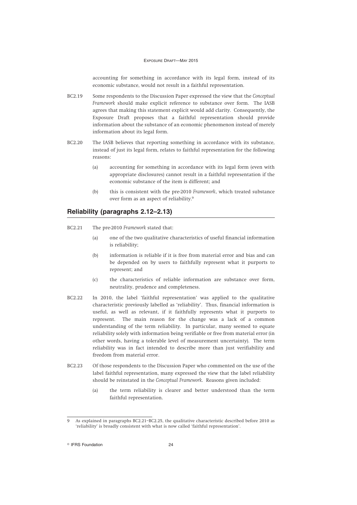accounting for something in accordance with its legal form, instead of its economic substance, would not result in a faithful representation.

- BC2.19 Some respondents to the Discussion Paper expressed the view that the *Conceptual Framework* should make explicit reference to substance over form. The IASB agrees that making this statement explicit would add clarity. Consequently, the Exposure Draft proposes that a faithful representation should provide information about the substance of an economic phenomenon instead of merely information about its legal form.
- BC2.20 The IASB believes that reporting something in accordance with its substance, instead of just its legal form, relates to faithful representation for the following reasons:
	- (a) accounting for something in accordance with its legal form (even with appropriate disclosures) cannot result in a faithful representation if the economic substance of the item is different; and
	- (b) this is consistent with the pre-2010 *Framework*, which treated substance over form as an aspect of reliability.<sup>9</sup>

# **Reliability (paragraphs 2.12–2.13)**

- BC2.21 The pre-2010 *Framework* stated that:
	- (a) one of the two qualitative characteristics of useful financial information is reliability;
	- (b) information is reliable if it is free from material error and bias and can be depended on by users to faithfully represent what it purports to represent; and
	- (c) the characteristics of reliable information are substance over form, neutrality, prudence and completeness.
- BC2.22 In 2010, the label 'faithful representation' was applied to the qualitative characteristic previously labelled as 'reliability'. Thus, financial information is useful, as well as relevant, if it faithfully represents what it purports to represent. The main reason for the change was a lack of a common understanding of the term reliability. In particular, many seemed to equate reliability solely with information being verifiable or free from material error (in other words, having a tolerable level of measurement uncertainty). The term reliability was in fact intended to describe more than just verifiability and freedom from material error.
- BC2.23 Of those respondents to the Discussion Paper who commented on the use of the label faithful representation, many expressed the view that the label reliability should be reinstated in the *Conceptual Framework*. Reasons given included:
	- (a) the term reliability is clearer and better understood than the term faithful representation.

**Communist Execution** 24

As explained in paragraphs BC2.21–BC2.25, the qualitative characteristic described before 2010 as 'reliability' is broadly consistent with what is now called 'faithful representation'.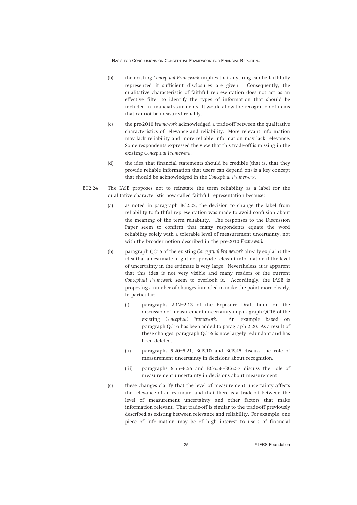- (b) the existing *Conceptual Framework* implies that anything can be faithfully represented if sufficient disclosures are given. Consequently, the qualitative characteristic of faithful representation does not act as an effective filter to identify the types of information that should be included in financial statements. It would allow the recognition of items that cannot be measured reliably.
- (c) the pre-2010 *Framework* acknowledged a trade-off between the qualitative characteristics of relevance and reliability. More relevant information may lack reliability and more reliable information may lack relevance. Some respondents expressed the view that this trade-off is missing in the existing *Conceptual Framework*.
- (d) the idea that financial statements should be credible (that is, that they provide reliable information that users can depend on) is a key concept that should be acknowledged in the *Conceptual Framework*.
- BC2.24 The IASB proposes not to reinstate the term reliability as a label for the qualitative characteristic now called faithful representation because:
	- (a) as noted in paragraph BC2.22, the decision to change the label from reliability to faithful representation was made to avoid confusion about the meaning of the term reliability. The responses to the Discussion Paper seem to confirm that many respondents equate the word reliability solely with a tolerable level of measurement uncertainty, not with the broader notion described in the pre-2010 *Framework*.
	- (b) paragraph QC16 of the existing *Conceptual Framework* already explains the idea that an estimate might not provide relevant information if the level of uncertainty in the estimate is very large. Nevertheless, it is apparent that this idea is not very visible and many readers of the current *Conceptual Framework* seem to overlook it. Accordingly, the IASB is proposing a number of changes intended to make the point more clearly. In particular:
		- (i) paragraphs 2.12–2.13 of the Exposure Draft build on the discussion of measurement uncertainty in paragraph QC16 of the existing *Conceptual Framework*. An example based on paragraph QC16 has been added to paragraph 2.20. As a result of these changes, paragraph QC16 is now largely redundant and has been deleted.
		- (ii) paragraphs 5.20–5.21, BC5.10 and BC5.45 discuss the role of measurement uncertainty in decisions about recognition.
		- (iii) paragraphs 6.55–6.56 and BC6.56–BC6.57 discuss the role of measurement uncertainty in decisions about measurement.
	- (c) these changes clarify that the level of measurement uncertainty affects the relevance of an estimate, and that there is a trade-off between the level of measurement uncertainty and other factors that make information relevant. That trade-off is similar to the trade-off previously described as existing between relevance and reliability. For example, one piece of information may be of high interest to users of financial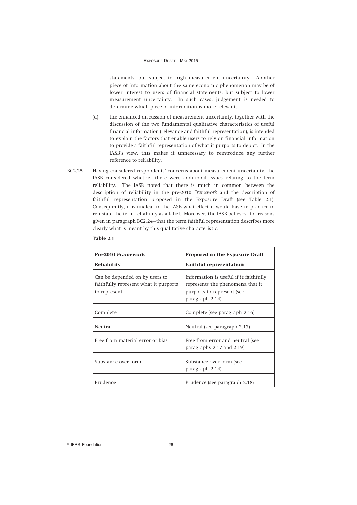statements, but subject to high measurement uncertainty. Another piece of information about the same economic phenomenon may be of lower interest to users of financial statements, but subject to lower measurement uncertainty. In such cases, judgement is needed to determine which piece of information is more relevant.

- (d) the enhanced discussion of measurement uncertainty, together with the discussion of the two fundamental qualitative characteristics of useful financial information (relevance and faithful representation), is intended to explain the factors that enable users to rely on financial information to provide a faithful representation of what it purports to depict. In the IASB's view, this makes it unnecessary to reintroduce any further reference to reliability.
- BC2.25 Having considered respondents' concerns about measurement uncertainty, the IASB considered whether there were additional issues relating to the term reliability. The IASB noted that there is much in common between the description of reliability in the pre-2010 *Framework* and the description of faithful representation proposed in the Exposure Draft (see Table 2.1). Consequently, it is unclear to the IASB what effect it would have in practice to reinstate the term reliability as a label. Moreover, the IASB believes—for reasons given in paragraph BC2.24—that the term faithful representation describes more clearly what is meant by this qualitative characteristic.

| <b>Pre-2010 Framework</b>                                                               | Proposed in the Exposure Draft                                                                                              |
|-----------------------------------------------------------------------------------------|-----------------------------------------------------------------------------------------------------------------------------|
| <b>Reliability</b>                                                                      | <b>Faithful representation</b>                                                                                              |
| Can be depended on by users to<br>faithfully represent what it purports<br>to represent | Information is useful if it faithfully<br>represents the phenomena that it<br>purports to represent (see<br>paragraph 2.14) |
| Complete                                                                                | Complete (see paragraph 2.16)                                                                                               |
| Neutral                                                                                 | Neutral (see paragraph 2.17)                                                                                                |
| Free from material error or bias                                                        | Free from error and neutral (see<br>paragraphs 2.17 and 2.19)                                                               |
| Substance over form                                                                     | Substance over form (see<br>paragraph 2.14)                                                                                 |
| Prudence                                                                                | Prudence (see paragraph 2.18)                                                                                               |

#### **Table 2.1**

**Communist Execution 26 CONTERS Foundation** 26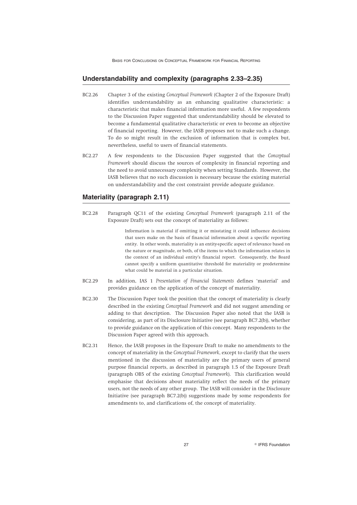## **Understandability and complexity (paragraphs 2.33–2.35)**

- BC2.26 Chapter 3 of the existing *Conceptual Framework* (Chapter 2 of the Exposure Draft) identifies understandability as an enhancing qualitative characteristic: a characteristic that makes financial information more useful. A few respondents to the Discussion Paper suggested that understandability should be elevated to become a fundamental qualitative characteristic or even to become an objective of financial reporting. However, the IASB proposes not to make such a change. To do so might result in the exclusion of information that is complex but, nevertheless, useful to users of financial statements.
- BC2.27 A few respondents to the Discussion Paper suggested that the *Conceptual Framework* should discuss the sources of complexity in financial reporting and the need to avoid unnecessary complexity when setting Standards. However, the IASB believes that no such discussion is necessary because the existing material on understandability and the cost constraint provide adequate guidance.

# **Materiality (paragraph 2.11)**

BC2.28 Paragraph QC11 of the existing *Conceptual Framework* (paragraph 2.11 of the Exposure Draft) sets out the concept of materiality as follows:

> Information is material if omitting it or misstating it could influence decisions that users make on the basis of financial information about a specific reporting entity. In other words, materiality is an entity-specific aspect of relevance based on the nature or magnitude, or both, of the items to which the information relates in the context of an individual entity's financial report. Consequently, the Board cannot specify a uniform quantitative threshold for materiality or predetermine what could be material in a particular situation.

- BC2.29 In addition, IAS 1 *Presentation of Financial Statements* defines 'material' and provides guidance on the application of the concept of materiality.
- BC2.30 The Discussion Paper took the position that the concept of materiality is clearly described in the existing *Conceptual Framework* and did not suggest amending or adding to that description. The Discussion Paper also noted that the IASB is considering, as part of its Disclosure Initiative (see paragraph BC7.2(b)), whether to provide guidance on the application of this concept. Many respondents to the Discussion Paper agreed with this approach.
- BC2.31 Hence, the IASB proposes in the Exposure Draft to make no amendments to the concept of materiality in the *Conceptual Framework*, except to clarify that the users mentioned in the discussion of materiality are the primary users of general purpose financial reports, as described in paragraph 1.5 of the Exposure Draft (paragraph OB5 of the existing *Conceptual Framework*). This clarification would emphasise that decisions about materiality reflect the needs of the primary users, not the needs of any other group. The IASB will consider in the Disclosure Initiative (see paragraph BC7.2(b)) suggestions made by some respondents for amendments to, and clarifications of, the concept of materiality.

<sup>©</sup> IFRS Foundation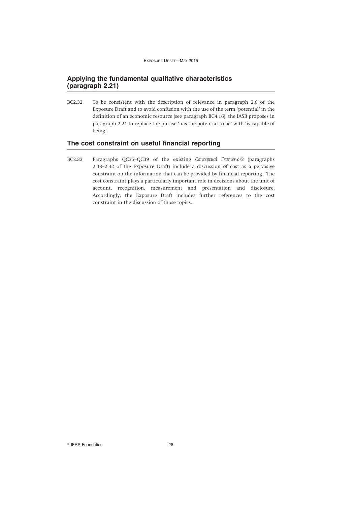# **Applying the fundamental qualitative characteristics (paragraph 2.21)**

BC2.32 To be consistent with the description of relevance in paragraph 2.6 of the Exposure Draft and to avoid confusion with the use of the term 'potential' in the definition of an economic resource (see paragraph BC4.16), the IASB proposes in paragraph 2.21 to replace the phrase 'has the potential to be' with 'is capable of being'.

# **The cost constraint on useful financial reporting**

BC2.33 Paragraphs QC35–QC39 of the existing *Conceptual Framework* (paragraphs 2.38–2.42 of the Exposure Draft) include a discussion of cost as a pervasive constraint on the information that can be provided by financial reporting. The cost constraint plays a particularly important role in decisions about the unit of account, recognition, measurement and presentation and disclosure. Accordingly, the Exposure Draft includes further references to the cost constraint in the discussion of those topics.

**Communist Execution 28 CONTERS Foundation** 28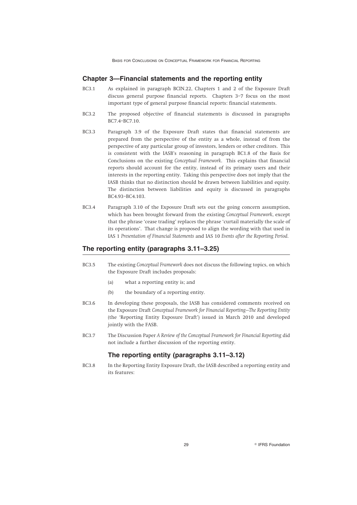## **Chapter 3—Financial statements and the reporting entity**

- BC3.1 As explained in paragraph BCIN.22, Chapters 1 and 2 of the Exposure Draft discuss general purpose financial reports. Chapters 3–7 focus on the most important type of general purpose financial reports: financial statements.
- BC3.2 The proposed objective of financial statements is discussed in paragraphs BC7.4–BC7.10.
- BC3.3 Paragraph 3.9 of the Exposure Draft states that financial statements are prepared from the perspective of the entity as a whole, instead of from the perspective of any particular group of investors, lenders or other creditors. This is consistent with the IASB's reasoning in paragraph BC1.8 of the Basis for Conclusions on the existing *Conceptual Framework*. This explains that financial reports should account for the entity, instead of its primary users and their interests in the reporting entity. Taking this perspective does not imply that the IASB thinks that no distinction should be drawn between liabilities and equity. The distinction between liabilities and equity is discussed in paragraphs BC4.93–BC4.103.
- BC3.4 Paragraph 3.10 of the Exposure Draft sets out the going concern assumption, which has been brought forward from the existing *Conceptual Framework*, except that the phrase 'cease trading' replaces the phrase 'curtail materially the scale of its operations'. That change is proposed to align the wording with that used in IAS 1 *Presentation of Financial Statements* and IAS 10 *Events after the Reporting Period*.

# **The reporting entity (paragraphs 3.11–3.25)**

- BC3.5 The existing *Conceptual Framework* does not discuss the following topics, on which the Exposure Draft includes proposals:
	- (a) what a reporting entity is; and
	- (b) the boundary of a reporting entity.
- BC3.6 In developing these proposals, the IASB has considered comments received on the Exposure Draft *Conceptual Framework for Financial Reporting—The Reporting Entity* (the 'Reporting Entity Exposure Draft') issued in March 2010 and developed jointly with the FASB.
- BC3.7 The Discussion Paper *A Review of the Conceptual Framework for Financial Reporting* did not include a further discussion of the reporting entity.

# **The reporting entity (paragraphs 3.11–3.12)**

BC3.8 In the Reporting Entity Exposure Draft, the IASB described a reporting entity and its features: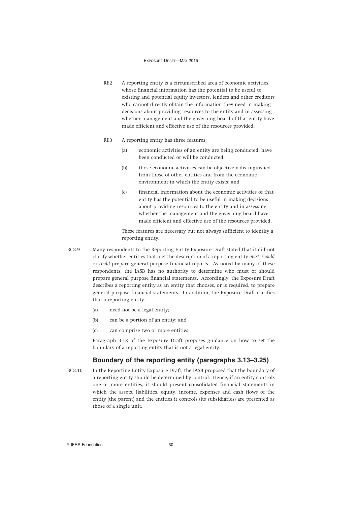- RE2 A reporting entity is a circumscribed area of economic activities whose financial information has the potential to be useful to existing and potential equity investors, lenders and other creditors who cannot directly obtain the information they need in making decisions about providing resources to the entity and in assessing whether management and the governing board of that entity have made efficient and effective use of the resources provided.
- RE3 A reporting entity has three features:
	- (a) economic activities of an entity are being conducted, have been conducted or will be conducted;
	- (b) those economic activities can be objectively distinguished from those of other entities and from the economic environment in which the entity exists; and
	- (c) financial information about the economic activities of that entity has the potential to be useful in making decisions about providing resources to the entity and in assessing whether the management and the governing board have made efficient and effective use of the resources provided.

These features are necessary but not always sufficient to identify a reporting entity.

- BC3.9 Many respondents to the Reporting Entity Exposure Draft stated that it did not clarify whether entities that met the description of a reporting entity *must*, *should* or *could* prepare general purpose financial reports. As noted by many of these respondents, the IASB has no authority to determine who must or should prepare general purpose financial statements. Accordingly, the Exposure Draft describes a reporting entity as an entity that chooses, or is required, to prepare general purpose financial statements. In addition, the Exposure Draft clarifies that a reporting entity:
	- (a) need not be a legal entity;
	- (b) can be a portion of an entity; and
	- (c) can comprise two or more entities.

Paragraph 3.18 of the Exposure Draft proposes guidance on how to set the boundary of a reporting entity that is not a legal entity.

# **Boundary of the reporting entity (paragraphs 3.13–3.25)**

BC3.10 In the Reporting Entity Exposure Draft, the IASB proposed that the boundary of a reporting entity should be determined by control. Hence, if an entity controls one or more entities, it should present consolidated financial statements in which the assets, liabilities, equity, income, expenses and cash flows of the entity (the parent) and the entities it controls (its subsidiaries) are presented as those of a single unit.

**Communist Execution 30** Solution 30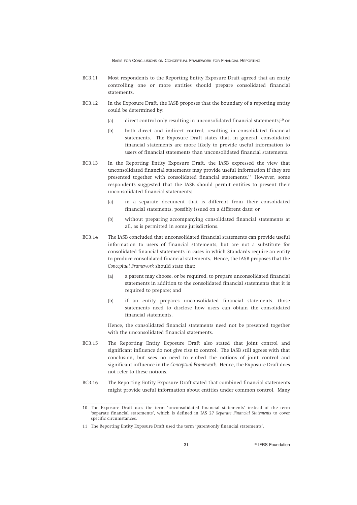- BC3.11 Most respondents to the Reporting Entity Exposure Draft agreed that an entity controlling one or more entities should prepare consolidated financial statements.
- BC3.12 In the Exposure Draft, the IASB proposes that the boundary of a reporting entity could be determined by:
	- (a) direct control only resulting in unconsolidated financial statements;<sup>10</sup> or
	- (b) both direct and indirect control, resulting in consolidated financial statements. The Exposure Draft states that, in general, consolidated financial statements are more likely to provide useful information to users of financial statements than unconsolidated financial statements.
- BC3.13 In the Reporting Entity Exposure Draft, the IASB expressed the view that unconsolidated financial statements may provide useful information if they are presented together with consolidated financial statements.<sup>11</sup> However, some respondents suggested that the IASB should permit entities to present their unconsolidated financial statements:
	- (a) in a separate document that is different from their consolidated financial statements, possibly issued on a different date; or
	- (b) without preparing accompanying consolidated financial statements at all, as is permitted in some jurisdictions.
- BC3.14 The IASB concluded that unconsolidated financial statements can provide useful information to users of financial statements, but are not a substitute for consolidated financial statements in cases in which Standards require an entity to produce consolidated financial statements. Hence, the IASB proposes that the *Conceptual Framework* should state that:
	- (a) a parent may choose, or be required, to prepare unconsolidated financial statements in addition to the consolidated financial statements that it is required to prepare; and
	- (b) if an entity prepares unconsolidated financial statements, those statements need to disclose how users can obtain the consolidated financial statements.

Hence, the consolidated financial statements need not be presented together with the unconsolidated financial statements.

- BC3.15 The Reporting Entity Exposure Draft also stated that joint control and significant influence do not give rise to control. The IASB still agrees with that conclusion, but sees no need to embed the notions of joint control and significant influence in the *Conceptual Framework*. Hence, the Exposure Draft does not refer to these notions.
- BC3.16 The Reporting Entity Exposure Draft stated that combined financial statements might provide useful information about entities under common control. Many

<sup>10</sup> The Exposure Draft uses the term 'unconsolidated financial statements' instead of the term 'separate financial statements', which is defined in IAS 27 *Separate Financial Statements* to cover specific circumstances.

<sup>11</sup> The Reporting Entity Exposure Draft used the term 'parent-only financial statements'.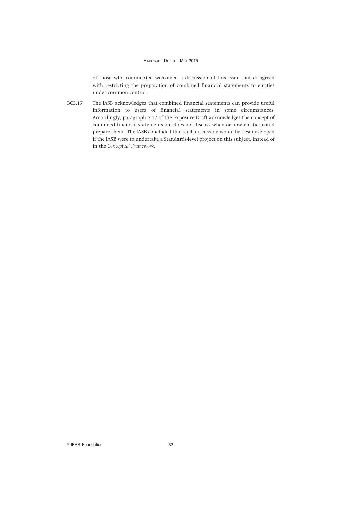of those who commented welcomed a discussion of this issue, but disagreed with restricting the preparation of combined financial statements to entities under common control.

BC3.17 The IASB acknowledges that combined financial statements can provide useful information to users of financial statements in some circumstances. Accordingly, paragraph 3.17 of the Exposure Draft acknowledges the concept of combined financial statements but does not discuss when or how entities could prepare them. The IASB concluded that such discussion would be best developed if the IASB were to undertake a Standards-level project on this subject, instead of in the *Conceptual Framework*.

**Communist Execution 32 CONTERS Foundation** 32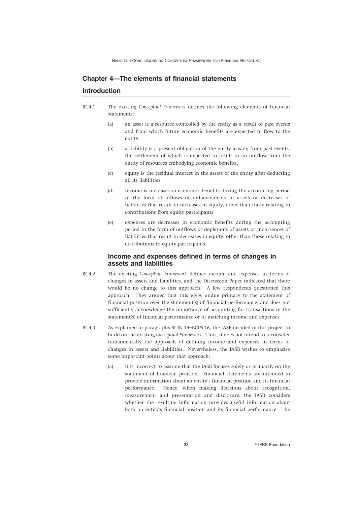# **Chapter 4—The elements of financial statements**

# **Introduction**

- BC4.1 The existing *Conceptual Framework* defines the following elements of financial statements:
	- (a) an asset is a resource controlled by the entity as a result of past events and from which future economic benefits are expected to flow to the entity.
	- (b) a liability is a present obligation of the entity arising from past events, the settlement of which is expected to result in an outflow from the entity of resources embodying economic benefits.
	- (c) equity is the residual interest in the assets of the entity after deducting all its liabilities.
	- (d) income is increases in economic benefits during the accounting period in the form of inflows or enhancements of assets or decreases of liabilities that result in increases in equity, other than those relating to contributions from equity participants.
	- (e) expenses are decreases in economic benefits during the accounting period in the form of outflows or depletions of assets or incurrences of liabilities that result in decreases in equity, other than those relating to distributions to equity participants.

## **Income and expenses defined in terms of changes in assets and liabilities**

- BC4.2 The existing *Conceptual Framework* defines income and expenses in terms of changes in assets and liabilities, and the Discussion Paper indicated that there would be no change to this approach. A few respondents questioned this approach. They argued that this gives undue primacy to the statement of financial position over the statement(s) of financial performance, and does not sufficiently acknowledge the importance of accounting for transactions in the statement(s) of financial performance or of matching income and expenses.
- BC4.3 As explained in paragraphs BCIN.14–BCIN.16, the IASB decided in this project to build on the existing *Conceptual Framework*. Thus, it does not intend to reconsider fundamentally the approach of defining income and expenses in terms of changes in assets and liabilities. Nevertheless, the IASB wishes to emphasise some important points about that approach:
	- (a) it is incorrect to assume that the IASB focuses solely or primarily on the statement of financial position. Financial statements are intended to provide information about an entity's financial position and its financial performance. Hence, when making decisions about recognition, measurement and presentation and disclosure, the IASB considers whether the resulting information provides useful information about both an entity's financial position and its financial performance. The

<sup>©</sup> IFRS Foundation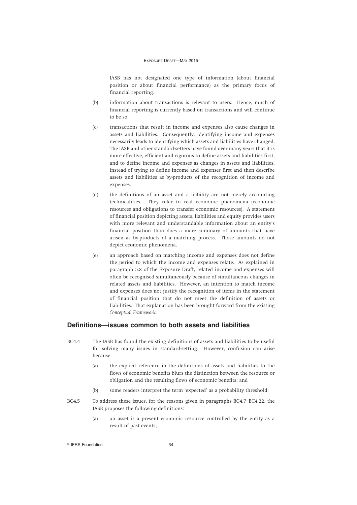IASB has not designated one type of information (about financial position or about financial performance) as the primary focus of financial reporting.

- (b) information about transactions is relevant to users. Hence, much of financial reporting is currently based on transactions and will continue to be so.
- (c) transactions that result in income and expenses also cause changes in assets and liabilities. Consequently, identifying income and expenses necessarily leads to identifying which assets and liabilities have changed. The IASB and other standard-setters have found over many years that it is more effective, efficient and rigorous to define assets and liabilities first, and to define income and expenses as changes in assets and liabilities, instead of trying to define income and expenses first and then describe assets and liabilities as by-products of the recognition of income and expenses.
- (d) the definitions of an asset and a liability are not merely accounting technicalities. They refer to real economic phenomena (economic resources and obligations to transfer economic resources). A statement of financial position depicting assets, liabilities and equity provides users with more relevant and understandable information about an entity's financial position than does a mere summary of amounts that have arisen as by-products of a matching process. Those amounts do not depict economic phenomena.
- (e) an approach based on matching income and expenses does not define the period to which the income and expenses relate. As explained in paragraph 5.8 of the Exposure Draft, related income and expenses will often be recognised simultaneously because of simultaneous changes in related assets and liabilities. However, an intention to match income and expenses does not justify the recognition of items in the statement of financial position that do not meet the definition of assets or liabilities. That explanation has been brought forward from the existing *Conceptual Framework*.

## **Definitions—issues common to both assets and liabilities**

- BC4.4 The IASB has found the existing definitions of assets and liabilities to be useful for solving many issues in standard-setting. However, confusion can arise because:
	- (a) the explicit reference in the definitions of assets and liabilities to the flows of economic benefits blurs the distinction between the resource or obligation and the resulting flows of economic benefits; and
	- (b) some readers interpret the term 'expected' as a probability threshold.
- BC4.5 To address these issues, for the reasons given in paragraphs BC4.7–BC4.22, the IASB proposes the following definitions:
	- (a) an asset is a present economic resource controlled by the entity as a result of past events;

**Communist Execution 34 CONTERS Foundation** 34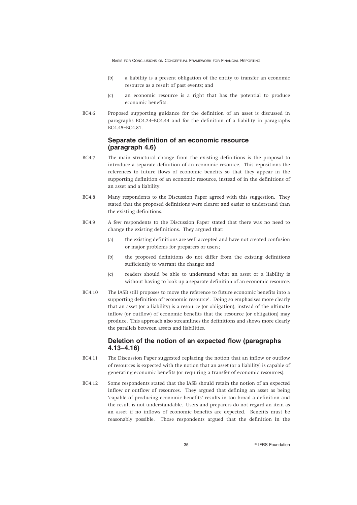- (b) a liability is a present obligation of the entity to transfer an economic resource as a result of past events; and
- (c) an economic resource is a right that has the potential to produce economic benefits.
- BC4.6 Proposed supporting guidance for the definition of an asset is discussed in paragraphs BC4.24–BC4.44 and for the definition of a liability in paragraphs BC4.45–BC4.81.

## **Separate definition of an economic resource (paragraph 4.6)**

- BC4.7 The main structural change from the existing definitions is the proposal to introduce a separate definition of an economic resource. This repositions the references to future flows of economic benefits so that they appear in the supporting definition of an economic resource, instead of in the definitions of an asset and a liability.
- BC4.8 Many respondents to the Discussion Paper agreed with this suggestion. They stated that the proposed definitions were clearer and easier to understand than the existing definitions.
- BC4.9 A few respondents to the Discussion Paper stated that there was no need to change the existing definitions. They argued that:
	- (a) the existing definitions are well accepted and have not created confusion or major problems for preparers or users;
	- (b) the proposed definitions do not differ from the existing definitions sufficiently to warrant the change; and
	- (c) readers should be able to understand what an asset or a liability is without having to look up a separate definition of an economic resource.
- BC4.10 The IASB still proposes to move the reference to future economic benefits into a supporting definition of 'economic resource'. Doing so emphasises more clearly that an asset (or a liability) is a resource (or obligation), instead of the ultimate inflow (or outflow) of economic benefits that the resource (or obligation) may produce. This approach also streamlines the definitions and shows more clearly the parallels between assets and liabilities.

# **Deletion of the notion of an expected flow (paragraphs 4.13–4.16)**

- BC4.11 The Discussion Paper suggested replacing the notion that an inflow or outflow of resources is expected with the notion that an asset (or a liability) is capable of generating economic benefits (or requiring a transfer of economic resources).
- BC4.12 Some respondents stated that the IASB should retain the notion of an expected inflow or outflow of resources. They argued that defining an asset as being 'capable of producing economic benefits' results in too broad a definition and the result is not understandable. Users and preparers do not regard an item as an asset if no inflows of economic benefits are expected. Benefits must be reasonably possible. Those respondents argued that the definition in the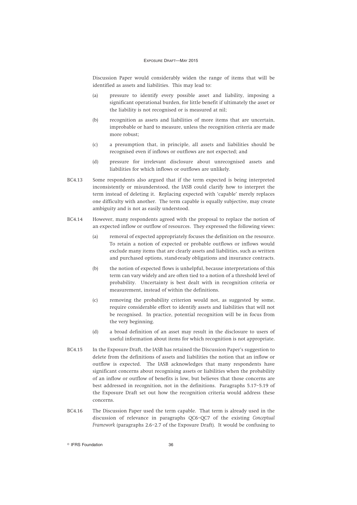Discussion Paper would considerably widen the range of items that will be identified as assets and liabilities. This may lead to:

- (a) pressure to identify every possible asset and liability, imposing a significant operational burden, for little benefit if ultimately the asset or the liability is not recognised or is measured at nil;
- (b) recognition as assets and liabilities of more items that are uncertain, improbable or hard to measure, unless the recognition criteria are made more robust;
- (c) a presumption that, in principle, all assets and liabilities should be recognised even if inflows or outflows are not expected; and
- (d) pressure for irrelevant disclosure about unrecognised assets and liabilities for which inflows or outflows are unlikely.
- BC4.13 Some respondents also argued that if the term expected is being interpreted inconsistently or misunderstood, the IASB could clarify how to interpret the term instead of deleting it. Replacing expected with 'capable' merely replaces one difficulty with another. The term capable is equally subjective, may create ambiguity and is not as easily understood.
- BC4.14 However, many respondents agreed with the proposal to replace the notion of an expected inflow or outflow of resources. They expressed the following views:
	- (a) removal of expected appropriately focuses the definition on the resource. To retain a notion of expected or probable outflows or inflows would exclude many items that are clearly assets and liabilities, such as written and purchased options, stand-ready obligations and insurance contracts.
	- (b) the notion of expected flows is unhelpful, because interpretations of this term can vary widely and are often tied to a notion of a threshold level of probability. Uncertainty is best dealt with in recognition criteria or measurement, instead of within the definitions.
	- (c) removing the probability criterion would not, as suggested by some, require considerable effort to identify assets and liabilities that will not be recognised. In practice, potential recognition will be in focus from the very beginning.
	- (d) a broad definition of an asset may result in the disclosure to users of useful information about items for which recognition is not appropriate.
- BC4.15 In the Exposure Draft, the IASB has retained the Discussion Paper's suggestion to delete from the definitions of assets and liabilities the notion that an inflow or outflow is expected. The IASB acknowledges that many respondents have significant concerns about recognising assets or liabilities when the probability of an inflow or outflow of benefits is low, but believes that those concerns are best addressed in recognition, not in the definitions. Paragraphs 5.17–5.19 of the Exposure Draft set out how the recognition criteria would address these concerns.
- BC4.16 The Discussion Paper used the term capable. That term is already used in the discussion of relevance in paragraphs QC6–QC7 of the existing *Conceptual Framework* (paragraphs 2.6–2.7 of the Exposure Draft). It would be confusing to

**Communist Execution 36 CONTERS Foundation** 36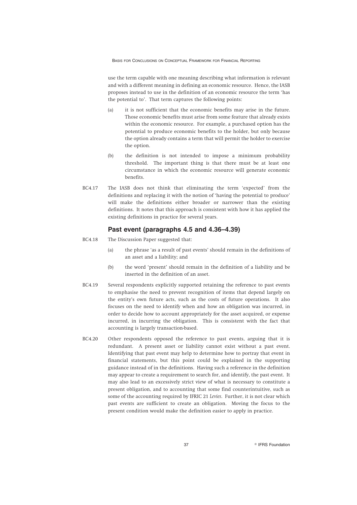use the term capable with one meaning describing what information is relevant and with a different meaning in defining an economic resource. Hence, the IASB proposes instead to use in the definition of an economic resource the term 'has the potential to'. That term captures the following points:

- (a) it is not sufficient that the economic benefits may arise in the future. Those economic benefits must arise from some feature that already exists within the economic resource. For example, a purchased option has the potential to produce economic benefits to the holder, but only because the option already contains a term that will permit the holder to exercise the option.
- (b) the definition is not intended to impose a minimum probability threshold. The important thing is that there must be at least one circumstance in which the economic resource will generate economic benefits.
- BC4.17 The IASB does not think that eliminating the term 'expected' from the definitions and replacing it with the notion of 'having the potential to produce' will make the definitions either broader or narrower than the existing definitions. It notes that this approach is consistent with how it has applied the existing definitions in practice for several years.

### **Past event (paragraphs 4.5 and 4.36–4.39)**

- BC4.18 The Discussion Paper suggested that:
	- (a) the phrase 'as a result of past events' should remain in the definitions of an asset and a liability; and
	- (b) the word 'present' should remain in the definition of a liability and be inserted in the definition of an asset.
- BC4.19 Several respondents explicitly supported retaining the reference to past events to emphasise the need to prevent recognition of items that depend largely on the entity's own future acts, such as the costs of future operations. It also focuses on the need to identify when and how an obligation was incurred, in order to decide how to account appropriately for the asset acquired, or expense incurred, in incurring the obligation. This is consistent with the fact that accounting is largely transaction-based.
- BC4.20 Other respondents opposed the reference to past events, arguing that it is redundant. A present asset or liability cannot exist without a past event. Identifying that past event may help to determine how to portray that event in financial statements, but this point could be explained in the supporting guidance instead of in the definitions. Having such a reference in the definition may appear to create a requirement to search for, and identify, the past event. It may also lead to an excessively strict view of what is necessary to constitute a present obligation, and to accounting that some find counterintuitive, such as some of the accounting required by IFRIC 21 *Levies*. Further, it is not clear which past events are sufficient to create an obligation. Moving the focus to the present condition would make the definition easier to apply in practice.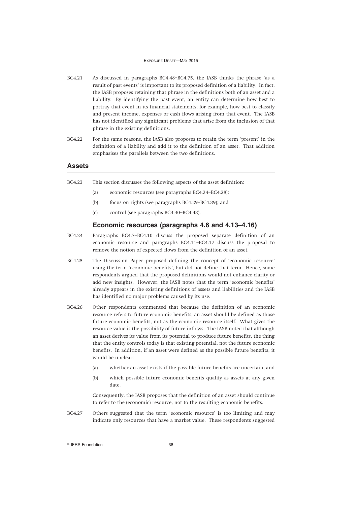- BC4.21 As discussed in paragraphs BC4.48–BC4.75, the IASB thinks the phrase 'as a result of past events' is important to its proposed definition of a liability. In fact, the IASB proposes retaining that phrase in the definitions both of an asset and a liability. By identifying the past event, an entity can determine how best to portray that event in its financial statements; for example, how best to classify and present income, expenses or cash flows arising from that event. The IASB has not identified any significant problems that arise from the inclusion of that phrase in the existing definitions.
- BC4.22 For the same reasons, the IASB also proposes to retain the term 'present' in the definition of a liability and add it to the definition of an asset. That addition emphasises the parallels between the two definitions.

### **Assets**

- BC4.23 This section discusses the following aspects of the asset definition:
	- (a) economic resources (see paragraphs BC4.24–BC4.28);
	- (b) focus on rights (see paragraphs BC4.29–BC4.39); and
	- (c) control (see paragraphs BC4.40–BC4.43).

## **Economic resources (paragraphs 4.6 and 4.13–4.16)**

- BC4.24 Paragraphs BC4.7–BC4.10 discuss the proposed separate definition of an economic resource and paragraphs BC4.11–BC4.17 discuss the proposal to remove the notion of expected flows from the definition of an asset.
- BC4.25 The Discussion Paper proposed defining the concept of 'economic resource' using the term 'economic benefits', but did not define that term. Hence, some respondents argued that the proposed definitions would not enhance clarity or add new insights. However, the IASB notes that the term 'economic benefits' already appears in the existing definitions of assets and liabilities and the IASB has identified no major problems caused by its use.
- BC4.26 Other respondents commented that because the definition of an economic resource refers to future economic benefits, an asset should be defined as those future economic benefits, not as the economic resource itself. What gives the resource value is the possibility of future inflows. The IASB noted that although an asset derives its value from its potential to produce future benefits, the thing that the entity controls today is that existing potential, not the future economic benefits. In addition, if an asset were defined as the possible future benefits, it would be unclear:
	- (a) whether an asset exists if the possible future benefits are uncertain; and
	- (b) which possible future economic benefits qualify as assets at any given date.

Consequently, the IASB proposes that the definition of an asset should continue to refer to the (economic) resource, not to the resulting economic benefits.

BC4.27 Others suggested that the term 'economic resource' is too limiting and may indicate only resources that have a market value. These respondents suggested

**Communist Execution 38 CONTERS Foundation** 38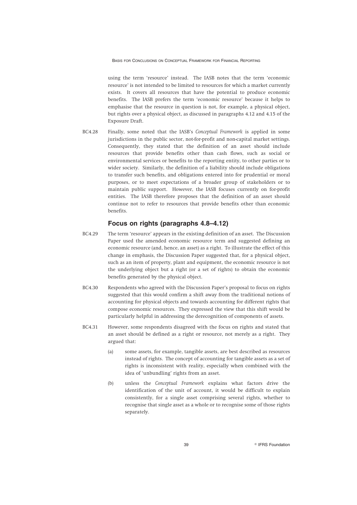using the term 'resource' instead. The IASB notes that the term 'economic resource' is not intended to be limited to resources for which a market currently exists. It covers all resources that have the potential to produce economic benefits. The IASB prefers the term 'economic resource' because it helps to emphasise that the resource in question is not, for example, a physical object, but rights over a physical object, as discussed in paragraphs 4.12 and 4.15 of the Exposure Draft.

BC4.28 Finally, some noted that the IASB's *Conceptual Framework* is applied in some jurisdictions in the public sector, not-for-profit and non-capital market settings. Consequently, they stated that the definition of an asset should include resources that provide benefits other than cash flows, such as social or environmental services or benefits to the reporting entity, to other parties or to wider society. Similarly, the definition of a liability should include obligations to transfer such benefits, and obligations entered into for prudential or moral purposes, or to meet expectations of a broader group of stakeholders or to maintain public support. However, the IASB focuses currently on for-profit entities. The IASB therefore proposes that the definition of an asset should continue not to refer to resources that provide benefits other than economic benefits.

## **Focus on rights (paragraphs 4.8–4.12)**

- BC4.29 The term 'resource' appears in the existing definition of an asset. The Discussion Paper used the amended economic resource term and suggested defining an economic resource (and, hence, an asset) as a right. To illustrate the effect of this change in emphasis, the Discussion Paper suggested that, for a physical object, such as an item of property, plant and equipment, the economic resource is not the underlying object but a right (or a set of rights) to obtain the economic benefits generated by the physical object.
- BC4.30 Respondents who agreed with the Discussion Paper's proposal to focus on rights suggested that this would confirm a shift away from the traditional notions of accounting for physical objects and towards accounting for different rights that compose economic resources. They expressed the view that this shift would be particularly helpful in addressing the derecognition of components of assets.
- BC4.31 However, some respondents disagreed with the focus on rights and stated that an asset should be defined as a right or resource, not merely as a right. They argued that:
	- (a) some assets, for example, tangible assets, are best described as resources instead of rights. The concept of accounting for tangible assets as a set of rights is inconsistent with reality, especially when combined with the idea of 'unbundling' rights from an asset.
	- (b) unless the *Conceptual Framework* explains what factors drive the identification of the unit of account, it would be difficult to explain consistently, for a single asset comprising several rights, whether to recognise that single asset as a whole or to recognise some of those rights separately.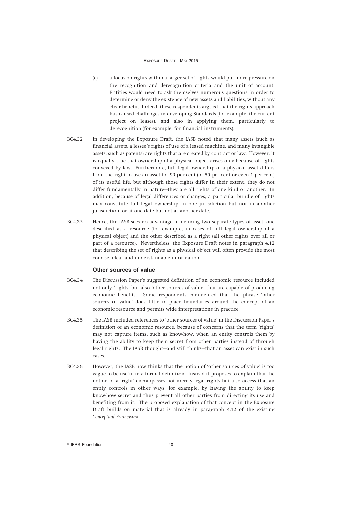- (c) a focus on rights within a larger set of rights would put more pressure on the recognition and derecognition criteria and the unit of account. Entities would need to ask themselves numerous questions in order to determine or deny the existence of new assets and liabilities, without any clear benefit. Indeed, these respondents argued that the rights approach has caused challenges in developing Standards (for example, the current project on leases), and also in applying them, particularly to derecognition (for example, for financial instruments).
- BC4.32 In developing the Exposure Draft, the IASB noted that many assets (such as financial assets, a lessee's rights of use of a leased machine, and many intangible assets, such as patents) are rights that are created by contract or law. However, it is equally true that ownership of a physical object arises only because of rights conveyed by law. Furthermore, full legal ownership of a physical asset differs from the right to use an asset for 99 per cent (or 50 per cent or even 1 per cent) of its useful life, but although those rights differ in their extent, they do not differ fundamentally in nature—they are all rights of one kind or another. In addition, because of legal differences or changes, a particular bundle of rights may constitute full legal ownership in one jurisdiction but not in another jurisdiction, or at one date but not at another date.
- BC4.33 Hence, the IASB sees no advantage in defining two separate types of asset, one described as a resource (for example, in cases of full legal ownership of a physical object) and the other described as a right (all other rights over all or part of a resource). Nevertheless, the Exposure Draft notes in paragraph 4.12 that describing the set of rights as a physical object will often provide the most concise, clear and understandable information.

### **Other sources of value**

- BC4.34 The Discussion Paper's suggested definition of an economic resource included not only 'rights' but also 'other sources of value' that are capable of producing economic benefits. Some respondents commented that the phrase 'other sources of value' does little to place boundaries around the concept of an economic resource and permits wide interpretations in practice.
- BC4.35 The IASB included references to 'other sources of value' in the Discussion Paper's definition of an economic resource, because of concerns that the term 'rights' may not capture items, such as know-how, when an entity controls them by having the ability to keep them secret from other parties instead of through legal rights. The IASB thought—and still thinks—that an asset can exist in such cases.
- BC4.36 However, the IASB now thinks that the notion of 'other sources of value' is too vague to be useful in a formal definition. Instead it proposes to explain that the notion of a 'right' encompasses not merely legal rights but also access that an entity controls in other ways, for example, by having the ability to keep know-how secret and thus prevent all other parties from directing its use and benefiting from it. The proposed explanation of that concept in the Exposure Draft builds on material that is already in paragraph 4.12 of the existing *Conceptual Framework*.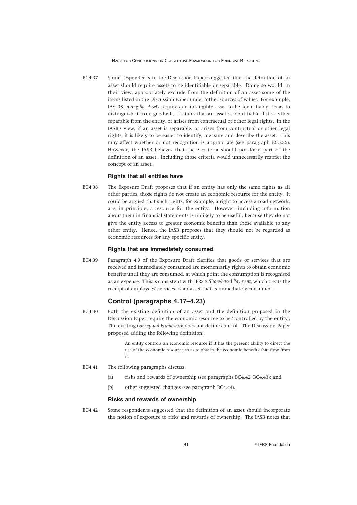BC4.37 Some respondents to the Discussion Paper suggested that the definition of an asset should require assets to be identifiable or separable. Doing so would, in their view, appropriately exclude from the definition of an asset some of the items listed in the Discussion Paper under 'other sources of value'. For example, IAS 38 *Intangible Assets* requires an intangible asset to be identifiable, so as to distinguish it from goodwill. It states that an asset is identifiable if it is either separable from the entity, or arises from contractual or other legal rights. In the IASB's view, if an asset is separable, or arises from contractual or other legal rights, it is likely to be easier to identify, measure and describe the asset. This may affect whether or not recognition is appropriate (see paragraph BC5.35). However, the IASB believes that these criteria should not form part of the definition of an asset. Including those criteria would unnecessarily restrict the concept of an asset.

#### **Rights that all entities have**

BC4.38 The Exposure Draft proposes that if an entity has only the same rights as all other parties, those rights do not create an economic resource for the entity. It could be argued that such rights, for example, a right to access a road network, are, in principle, a resource for the entity. However, including information about them in financial statements is unlikely to be useful, because they do not give the entity access to greater economic benefits than those available to any other entity. Hence, the IASB proposes that they should not be regarded as economic resources for any specific entity.

### **Rights that are immediately consumed**

BC4.39 Paragraph 4.9 of the Exposure Draft clarifies that goods or services that are received and immediately consumed are momentarily rights to obtain economic benefits until they are consumed, at which point the consumption is recognised as an expense. This is consistent with IFRS 2 *Share-based Payment*, which treats the receipt of employees' services as an asset that is immediately consumed.

## **Control (paragraphs 4.17–4.23)**

BC4.40 Both the existing definition of an asset and the definition proposed in the Discussion Paper require the economic resource to be 'controlled by the entity'. The existing *Conceptual Framework* does not define control. The Discussion Paper proposed adding the following definition:

> An entity controls an economic resource if it has the present ability to direct the use of the economic resource so as to obtain the economic benefits that flow from it.

- BC4.41 The following paragraphs discuss:
	- (a) risks and rewards of ownership (see paragraphs BC4.42–BC4.43); and
		- (b) other suggested changes (see paragraph BC4.44).

### **Risks and rewards of ownership**

BC4.42 Some respondents suggested that the definition of an asset should incorporate the notion of exposure to risks and rewards of ownership. The IASB notes that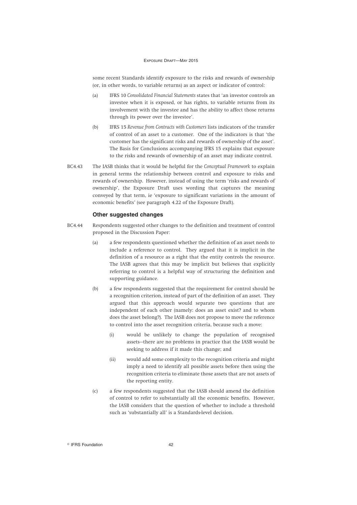some recent Standards identify exposure to the risks and rewards of ownership (or, in other words, to variable returns) as an aspect or indicator of control:

- (a) IFRS 10 *Consolidated Financial Statements* states that 'an investor controls an investee when it is exposed, or has rights, to variable returns from its involvement with the investee and has the ability to affect those returns through its power over the investee'.
- (b) IFRS 15 *Revenue from Contracts with Customers* lists indicators of the transfer of control of an asset to a customer. One of the indicators is that 'the customer has the significant risks and rewards of ownership of the asset'. The Basis for Conclusions accompanying IFRS 15 explains that exposure to the risks and rewards of ownership of an asset may indicate control.
- BC4.43 The IASB thinks that it would be helpful for the *Conceptual Framework* to explain in general terms the relationship between control and exposure to risks and rewards of ownership. However, instead of using the term 'risks and rewards of ownership', the Exposure Draft uses wording that captures the meaning conveyed by that term, ie 'exposure to significant variations in the amount of economic benefits' (see paragraph 4.22 of the Exposure Draft).

### **Other suggested changes**

- BC4.44 Respondents suggested other changes to the definition and treatment of control proposed in the Discussion Paper:
	- (a) a few respondents questioned whether the definition of an asset needs to include a reference to control. They argued that it is implicit in the definition of a resource as a right that the entity controls the resource. The IASB agrees that this may be implicit but believes that explicitly referring to control is a helpful way of structuring the definition and supporting guidance.
	- (b) a few respondents suggested that the requirement for control should be a recognition criterion, instead of part of the definition of an asset. They argued that this approach would separate two questions that are independent of each other (namely: does an asset exist? and to whom does the asset belong?). The IASB does not propose to move the reference to control into the asset recognition criteria, because such a move:
		- (i) would be unlikely to change the population of recognised assets—there are no problems in practice that the IASB would be seeking to address if it made this change; and
		- (ii) would add some complexity to the recognition criteria and might imply a need to identify all possible assets before then using the recognition criteria to eliminate those assets that are not assets of the reporting entity.
	- (c) a few respondents suggested that the IASB should amend the definition of control to refer to substantially all the economic benefits. However, the IASB considers that the question of whether to include a threshold such as 'substantially all' is a Standards-level decision.

**Communist Execution 42** CIFRS Foundation 42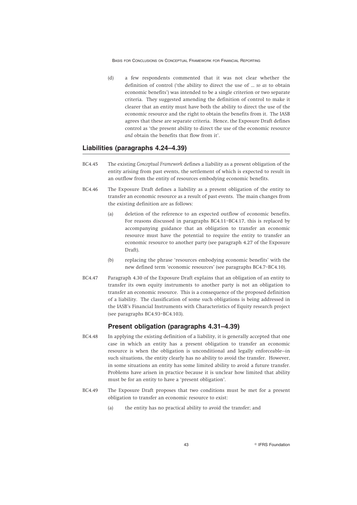(d) a few respondents commented that it was not clear whether the definition of control ('the ability to direct the use of … *so as* to obtain economic benefits') was intended to be a single criterion or two separate criteria. They suggested amending the definition of control to make it clearer that an entity must have both the ability to direct the use of the economic resource and the right to obtain the benefits from it. The IASB agrees that these are separate criteria. Hence, the Exposure Draft defines control as 'the present ability to direct the use of the economic resource *and* obtain the benefits that flow from it'.

## **Liabilities (paragraphs 4.24–4.39)**

- BC4.45 The existing *Conceptual Framework* defines a liability as a present obligation of the entity arising from past events, the settlement of which is expected to result in an outflow from the entity of resources embodying economic benefits.
- BC4.46 The Exposure Draft defines a liability as a present obligation of the entity to transfer an economic resource as a result of past events. The main changes from the existing definition are as follows:
	- (a) deletion of the reference to an expected outflow of economic benefits. For reasons discussed in paragraphs BC4.11–BC4.17, this is replaced by accompanying guidance that an obligation to transfer an economic resource must have the potential to require the entity to transfer an economic resource to another party (see paragraph 4.27 of the Exposure Draft).
	- (b) replacing the phrase 'resources embodying economic benefits' with the new defined term 'economic resources' (see paragraphs BC4.7–BC4.10).
- BC4.47 Paragraph 4.30 of the Exposure Draft explains that an obligation of an entity to transfer its own equity instruments to another party is not an obligation to transfer an economic resource. This is a consequence of the proposed definition of a liability. The classification of some such obligations is being addressed in the IASB's Financial Instruments with Characteristics of Equity research project (see paragraphs BC4.93–BC4.103).

## **Present obligation (paragraphs 4.31–4.39)**

- BC4.48 In applying the existing definition of a liability, it is generally accepted that one case in which an entity has a present obligation to transfer an economic resource is when the obligation is unconditional and legally enforceable—in such situations, the entity clearly has no ability to avoid the transfer. However, in some situations an entity has some limited ability to avoid a future transfer. Problems have arisen in practice because it is unclear how limited that ability must be for an entity to have a 'present obligation'.
- BC4.49 The Exposure Draft proposes that two conditions must be met for a present obligation to transfer an economic resource to exist:
	- (a) the entity has no practical ability to avoid the transfer; and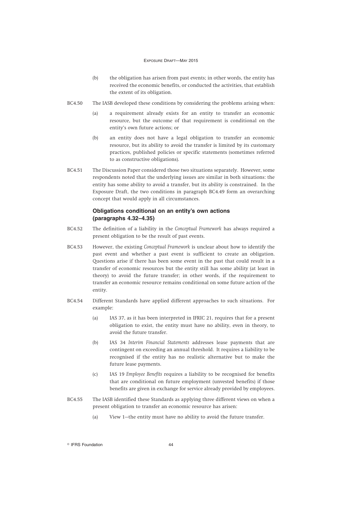- (b) the obligation has arisen from past events; in other words, the entity has received the economic benefits, or conducted the activities, that establish the extent of its obligation.
- BC4.50 The IASB developed these conditions by considering the problems arising when:
	- (a) a requirement already exists for an entity to transfer an economic resource, but the outcome of that requirement is conditional on the entity's own future actions; or
	- (b) an entity does not have a legal obligation to transfer an economic resource, but its ability to avoid the transfer is limited by its customary practices, published policies or specific statements (sometimes referred to as constructive obligations).
- BC4.51 The Discussion Paper considered those two situations separately. However, some respondents noted that the underlying issues are similar in both situations: the entity has some ability to avoid a transfer, but its ability is constrained. In the Exposure Draft, the two conditions in paragraph BC4.49 form an overarching concept that would apply in all circumstances.

## **Obligations conditional on an entity's own actions (paragraphs 4.32–4.35)**

- BC4.52 The definition of a liability in the *Conceptual Framework* has always required a present obligation to be the result of past events.
- BC4.53 However, the existing *Conceptual Framework* is unclear about how to identify the past event and whether a past event is sufficient to create an obligation. Questions arise if there has been some event in the past that could result in a transfer of economic resources but the entity still has some ability (at least in theory) to avoid the future transfer; in other words, if the requirement to transfer an economic resource remains conditional on some future action of the entity.
- BC4.54 Different Standards have applied different approaches to such situations. For example:
	- (a) IAS 37, as it has been interpreted in IFRIC 21, requires that for a present obligation to exist, the entity must have no ability, even in theory, to avoid the future transfer.
	- (b) IAS 34 *Interim Financial Statements* addresses lease payments that are contingent on exceeding an annual threshold. It requires a liability to be recognised if the entity has no realistic alternative but to make the future lease payments.
	- (c) IAS 19 *Employee Benefits* requires a liability to be recognised for benefits that are conditional on future employment (unvested benefits) if those benefits are given in exchange for service already provided by employees.
- BC4.55 The IASB identified these Standards as applying three different views on when a present obligation to transfer an economic resource has arisen:
	- (a) View 1—the entity must have no ability to avoid the future transfer.

**Communist Execution 44 CONTERS** Foundation 44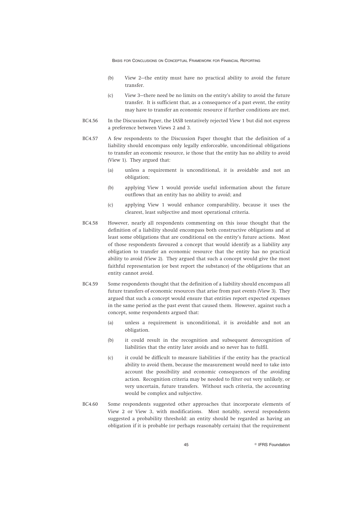- (b) View 2—the entity must have no practical ability to avoid the future transfer.
- (c) View 3—there need be no limits on the entity's ability to avoid the future transfer. It is sufficient that, as a consequence of a past event, the entity may have to transfer an economic resource if further conditions are met.
- BC4.56 In the Discussion Paper, the IASB tentatively rejected View 1 but did not express a preference between Views 2 and 3.
- BC4.57 A few respondents to the Discussion Paper thought that the definition of a liability should encompass only legally enforceable, unconditional obligations to transfer an economic resource, ie those that the entity has no ability to avoid (View 1). They argued that:
	- (a) unless a requirement is unconditional, it is avoidable and not an obligation;
	- (b) applying View 1 would provide useful information about the future outflows that an entity has no ability to avoid; and
	- (c) applying View 1 would enhance comparability, because it uses the clearest, least subjective and most operational criteria.
- BC4.58 However, nearly all respondents commenting on this issue thought that the definition of a liability should encompass both constructive obligations and at least some obligations that are conditional on the entity's future actions. Most of those respondents favoured a concept that would identify as a liability any obligation to transfer an economic resource that the entity has no practical ability to avoid (View 2). They argued that such a concept would give the most faithful representation (or best report the substance) of the obligations that an entity cannot avoid.
- BC4.59 Some respondents thought that the definition of a liability should encompass all future transfers of economic resources that arise from past events (View 3). They argued that such a concept would ensure that entities report expected expenses in the same period as the past event that caused them. However, against such a concept, some respondents argued that:
	- (a) unless a requirement is unconditional, it is avoidable and not an obligation.
	- (b) it could result in the recognition and subsequent derecognition of liabilities that the entity later avoids and so never has to fulfil.
	- (c) it could be difficult to measure liabilities if the entity has the practical ability to avoid them, because the measurement would need to take into account the possibility and economic consequences of the avoiding action. Recognition criteria may be needed to filter out very unlikely, or very uncertain, future transfers. Without such criteria, the accounting would be complex and subjective.
- BC4.60 Some respondents suggested other approaches that incorporate elements of View 2 or View 3, with modifications. Most notably, several respondents suggested a probability threshold: an entity should be regarded as having an obligation if it is probable (or perhaps reasonably certain) that the requirement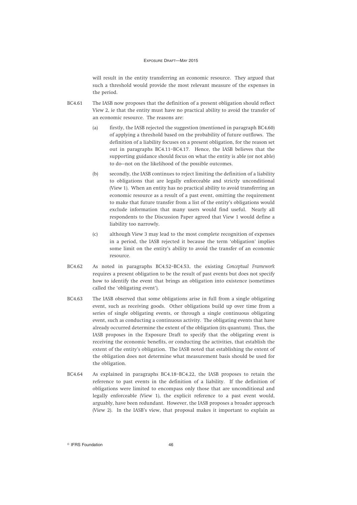will result in the entity transferring an economic resource. They argued that such a threshold would provide the most relevant measure of the expenses in the period.

- BC4.61 The IASB now proposes that the definition of a present obligation should reflect View 2, ie that the entity must have no practical ability to avoid the transfer of an economic resource. The reasons are:
	- (a) firstly, the IASB rejected the suggestion (mentioned in paragraph BC4.60) of applying a threshold based on the probability of future outflows. The definition of a liability focuses on a present obligation, for the reason set out in paragraphs BC4.11–BC4.17. Hence, the IASB believes that the supporting guidance should focus on what the entity is able (or not able) to do—not on the likelihood of the possible outcomes.
	- (b) secondly, the IASB continues to reject limiting the definition of a liability to obligations that are legally enforceable and strictly unconditional (View 1). When an entity has no practical ability to avoid transferring an economic resource as a result of a past event, omitting the requirement to make that future transfer from a list of the entity's obligations would exclude information that many users would find useful. Nearly all respondents to the Discussion Paper agreed that View 1 would define a liability too narrowly.
	- (c) although View 3 may lead to the most complete recognition of expenses in a period, the IASB rejected it because the term 'obligation' implies some limit on the entity's ability to avoid the transfer of an economic resource.
- BC4.62 As noted in paragraphs BC4.52–BC4.53, the existing *Conceptual Framework* requires a present obligation to be the result of past events but does not specify how to identify the event that brings an obligation into existence (sometimes called the 'obligating event').
- BC4.63 The IASB observed that some obligations arise in full from a single obligating event, such as receiving goods. Other obligations build up over time from a series of single obligating events, or through a single continuous obligating event, such as conducting a continuous activity. The obligating events that have already occurred determine the extent of the obligation (its quantum). Thus, the IASB proposes in the Exposure Draft to specify that the obligating event is receiving the economic benefits, or conducting the activities, that establish the extent of the entity's obligation. The IASB noted that establishing the extent of the obligation does not determine what measurement basis should be used for the obligation.
- BC4.64 As explained in paragraphs BC4.18–BC4.22, the IASB proposes to retain the reference to past events in the definition of a liability. If the definition of obligations were limited to encompass only those that are unconditional and legally enforceable (View 1), the explicit reference to a past event would, arguably, have been redundant. However, the IASB proposes a broader approach (View 2). In the IASB's view, that proposal makes it important to explain as

**Communist Execution 46 CONTERS Foundation** 46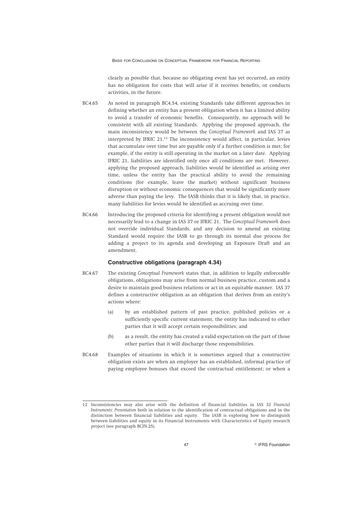clearly as possible that, because no obligating event has yet occurred, an entity has no obligation for costs that will arise if it receives benefits, or conducts activities, in the future.

- BC4.65 As noted in paragraph BC4.54, existing Standards take different approaches in defining whether an entity has a present obligation when it has a limited ability to avoid a transfer of economic benefits. Consequently, no approach will be consistent with all existing Standards. Applying the proposed approach, the main inconsistency would be between the *Conceptual Framework* and IAS 37 as interpreted by IFRIC 21.<sup>12</sup> The inconsistency would affect, in particular, levies that accumulate over time but are payable only if a further condition is met; for example, if the entity is still operating in the market on a later date. Applying IFRIC 21, liabilities are identified only once all conditions are met. However, applying the proposed approach, liabilities would be identified as arising over time, unless the entity has the practical ability to avoid the remaining conditions (for example, leave the market) without significant business disruption or without economic consequences that would be significantly more adverse than paying the levy. The IASB thinks that it is likely that, in practice, many liabilities for levies would be identified as accruing over time.
- BC4.66 Introducing the proposed criteria for identifying a present obligation would not necessarily lead to a change in IAS 37 or IFRIC 21. The *Conceptual Framework* does not override individual Standards, and any decision to amend an existing Standard would require the IASB to go through its normal due process for adding a project to its agenda and developing an Exposure Draft and an amendment.

### **Constructive obligations (paragraph 4.34)**

- BC4.67 The existing *Conceptual Framework* states that, in addition to legally enforceable obligations, obligations may arise from normal business practice, custom and a desire to maintain good business relations or act in an equitable manner. IAS 37 defines a constructive obligation as an obligation that derives from an entity's actions where:
	- (a) by an established pattern of past practice, published policies or a sufficiently specific current statement, the entity has indicated to other parties that it will accept certain responsibilities; and
	- (b) as a result, the entity has created a valid expectation on the part of those other parties that it will discharge those responsibilities.
- BC4.68 Examples of situations in which it is sometimes argued that a constructive obligation exists are when an employer has an established, informal practice of paying employee bonuses that exceed the contractual entitlement; or when a

<sup>12</sup> Inconsistencies may also arise with the definition of financial liabilities in IAS 32 *Financial Instruments: Presentation* both in relation to the identification of contractual obligations and in the distinction between financial liabilities and equity. The IASB is exploring how to distinguish between liabilities and equity in its Financial Instruments with Characteristics of Equity research project (see paragraph BCIN.25).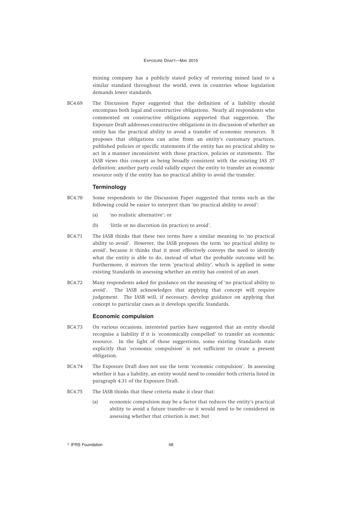mining company has a publicly stated policy of restoring mined land to a similar standard throughout the world, even in countries whose legislation demands lower standards.

BC4.69 The Discussion Paper suggested that the definition of a liability should encompass both legal and constructive obligations. Nearly all respondents who commented on constructive obligations supported that suggestion. The Exposure Draft addresses constructive obligations in its discussion of whether an entity has the practical ability to avoid a transfer of economic resources. It proposes that obligations can arise from an entity's customary practices, published policies or specific statements if the entity has no practical ability to act in a manner inconsistent with those practices, policies or statements. The IASB views this concept as being broadly consistent with the existing IAS 37 definition: another party could validly expect the entity to transfer an economic resource only if the entity has no practical ability to avoid the transfer.

### **Terminology**

- BC4.70 Some respondents to the Discussion Paper suggested that terms such as the following could be easier to interpret than 'no practical ability to avoid':
	- (a) 'no realistic alternative'; or
	- (b) 'little or no discretion (in practice) to avoid'.
- BC4.71 The IASB thinks that these two terms have a similar meaning to 'no practical ability to avoid'. However, the IASB proposes the term 'no practical ability to avoid', because it thinks that it most effectively conveys the need to identify what the entity is able to do, instead of what the probable outcome will be. Furthermore, it mirrors the term 'practical ability', which is applied in some existing Standards in assessing whether an entity has control of an asset.
- BC4.72 Many respondents asked for guidance on the meaning of 'no practical ability to avoid'. The IASB acknowledges that applying that concept will require judgement. The IASB will, if necessary, develop guidance on applying that concept to particular cases as it develops specific Standards.

### **Economic compulsion**

- BC4.73 On various occasions, interested parties have suggested that an entity should recognise a liability if it is 'economically compelled' to transfer an economic resource. In the light of those suggestions, some existing Standards state explicitly that 'economic compulsion' is not sufficient to create a present obligation.
- BC4.74 The Exposure Draft does not use the term 'economic compulsion'. In assessing whether it has a liability, an entity would need to consider both criteria listed in paragraph 4.31 of the Exposure Draft.
- BC4.75 The IASB thinks that these criteria make it clear that:
	- (a) economic compulsion may be a factor that reduces the entity's practical ability to avoid a future transfer—so it would need to be considered in assessing whether that criterion is met; but

**Communist Execution 48 CONTERS Foundation** 48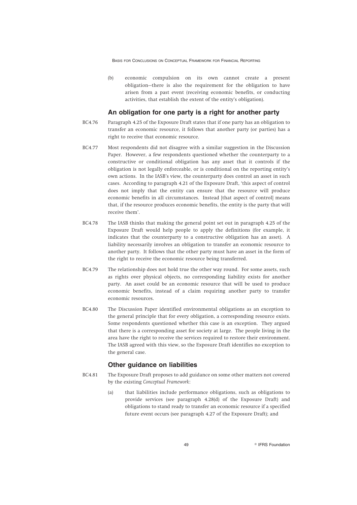(b) economic compulsion on its own cannot create a present obligation—there is also the requirement for the obligation to have arisen from a past event (receiving economic benefits, or conducting activities, that establish the extent of the entity's obligation).

### **An obligation for one party is a right for another party**

- BC4.76 Paragraph 4.25 of the Exposure Draft states that if one party has an obligation to transfer an economic resource, it follows that another party (or parties) has a right to receive that economic resource.
- BC4.77 Most respondents did not disagree with a similar suggestion in the Discussion Paper. However, a few respondents questioned whether the counterparty to a constructive or conditional obligation has any asset that it controls if the obligation is not legally enforceable, or is conditional on the reporting entity's own actions. In the IASB's view, the counterparty does control an asset in such cases. According to paragraph 4.21 of the Exposure Draft, 'this aspect of control does not imply that the entity can ensure that the resource will produce economic benefits in all circumstances. Instead [that aspect of control] means that, if the resource produces economic benefits, the entity is the party that will receive them'.
- BC4.78 The IASB thinks that making the general point set out in paragraph 4.25 of the Exposure Draft would help people to apply the definitions (for example, it indicates that the counterparty to a constructive obligation has an asset). A liability necessarily involves an obligation to transfer an economic resource to another party. It follows that the other party must have an asset in the form of the right to receive the economic resource being transferred.
- BC4.79 The relationship does not hold true the other way round. For some assets, such as rights over physical objects, no corresponding liability exists for another party. An asset could be an economic resource that will be used to produce economic benefits, instead of a claim requiring another party to transfer economic resources.
- BC4.80 The Discussion Paper identified environmental obligations as an exception to the general principle that for every obligation, a corresponding resource exists. Some respondents questioned whether this case is an exception. They argued that there is a corresponding asset for society at large. The people living in the area have the right to receive the services required to restore their environment. The IASB agreed with this view, so the Exposure Draft identifies no exception to the general case.

## **Other guidance on liabilities**

- BC4.81 The Exposure Draft proposes to add guidance on some other matters not covered by the existing *Conceptual Framework*:
	- (a) that liabilities include performance obligations, such as obligations to provide services (see paragraph 4.28(d) of the Exposure Draft) and obligations to stand ready to transfer an economic resource if a specified future event occurs (see paragraph 4.27 of the Exposure Draft); and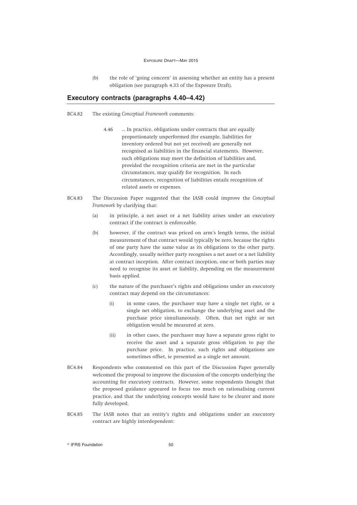(b) the role of 'going concern' in assessing whether an entity has a present obligation (see paragraph 4.33 of the Exposure Draft).

## **Executory contracts (paragraphs 4.40–4.42)**

BC4.82 The existing *Conceptual Framework* comments:

- 4.46 … In practice, obligations under contracts that are equally proportionately unperformed (for example, liabilities for inventory ordered but not yet received) are generally not recognised as liabilities in the financial statements. However, such obligations may meet the definition of liabilities and, provided the recognition criteria are met in the particular circumstances, may qualify for recognition. In such circumstances, recognition of liabilities entails recognition of related assets or expenses.
- BC4.83 The Discussion Paper suggested that the IASB could improve the *Conceptual Framework* by clarifying that:
	- (a) in principle, a net asset or a net liability arises under an executory contract if the contract is enforceable.
	- (b) however, if the contract was priced on arm's length terms, the initial measurement of that contract would typically be zero, because the rights of one party have the same value as its obligations to the other party. Accordingly, usually neither party recognises a net asset or a net liability at contract inception. After contract inception, one or both parties may need to recognise its asset or liability, depending on the measurement basis applied.
	- (c) the nature of the purchaser's rights and obligations under an executory contract may depend on the circumstances:
		- (i) in some cases, the purchaser may have a single net right, or a single net obligation, to exchange the underlying asset and the purchase price simultaneously. Often, that net right or net obligation would be measured at zero.
		- (ii) in other cases, the purchaser may have a separate gross right to receive the asset and a separate gross obligation to pay the purchase price. In practice, such rights and obligations are sometimes offset, ie presented as a single net amount.
- BC4.84 Respondents who commented on this part of the Discussion Paper generally welcomed the proposal to improve the discussion of the concepts underlying the accounting for executory contracts. However, some respondents thought that the proposed guidance appeared to focus too much on rationalising current practice, and that the underlying concepts would have to be clearer and more fully developed.
- BC4.85 The IASB notes that an entity's rights and obligations under an executory contract are highly interdependent:

**Communist Execution** 50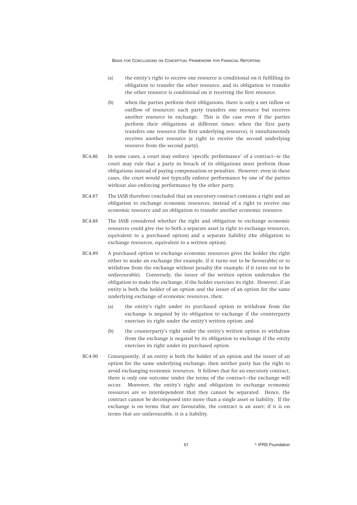- (a) the entity's right to receive one resource is conditional on it fulfilling its obligation to transfer the other resource, and its obligation to transfer the other resource is conditional on it receiving the first resource.
- (b) when the parties perform their obligations, there is only a net inflow or outflow of resources: each party transfers one resource but receives another resource in exchange. This is the case even if the parties perform their obligations at different times: when the first party transfers one resource (the first underlying resource), it simultaneously receives another resource (a right to receive the second underlying resource from the second party).
- BC4.86 In some cases, a court may enforce 'specific performance' of a contract—ie the court may rule that a party in breach of its obligations must perform those obligations instead of paying compensation or penalties. However, even in these cases, the court would not typically enforce performance by one of the parties without also enforcing performance by the other party.
- BC4.87 The IASB therefore concluded that an executory contract contains a right and an obligation to exchange economic resources, instead of a right to receive one economic resource and an obligation to transfer another economic resource.
- BC4.88 The IASB considered whether the right and obligation to exchange economic resources could give rise to both a separate asset (a right to exchange resources, equivalent to a purchased option) and a separate liability (the obligation to exchange resources, equivalent to a written option).
- BC4.89 A purchased option to exchange economic resources gives the holder the right either to make an exchange (for example, if it turns out to be favourable) or to withdraw from the exchange without penalty (for example, if it turns out to be unfavourable). Conversely, the issuer of the written option undertakes the obligation to make the exchange, if the holder exercises its right. However, if an entity is both the holder of an option and the issuer of an option for the same underlying exchange of economic resources, then:
	- (a) the entity's right under its purchased option to withdraw from the exchange is negated by its obligation to exchange if the counterparty exercises its right under the entity's written option; and
	- (b) the counterparty's right under the entity's written option to withdraw from the exchange is negated by its obligation to exchange if the entity exercises its right under its purchased option.
- BC4.90 Consequently, if an entity is both the holder of an option and the issuer of an option for the same underlying exchange, then neither party has the right to avoid exchanging economic resources. It follows that for an executory contract, there is only one outcome under the terms of the contract—the exchange will occur. Moreover, the entity's right and obligation to exchange economic resources are so interdependent that they cannot be separated. Hence, the contract cannot be decomposed into more than a single asset or liability. If the exchange is on terms that are favourable, the contract is an asset; if it is on terms that are unfavourable, it is a liability.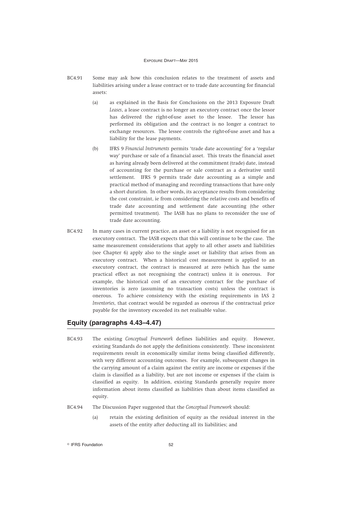- BC4.91 Some may ask how this conclusion relates to the treatment of assets and liabilities arising under a lease contract or to trade date accounting for financial assets:
	- (a) as explained in the Basis for Conclusions on the 2013 Exposure Draft *Leases*, a lease contract is no longer an executory contract once the lessor has delivered the right-of-use asset to the lessee. The lessor has performed its obligation and the contract is no longer a contract to exchange resources. The lessee controls the right-of-use asset and has a liability for the lease payments.
	- (b) IFRS 9 *Financial Instruments* permits 'trade date accounting' for a 'regular way' purchase or sale of a financial asset. This treats the financial asset as having already been delivered at the commitment (trade) date, instead of accounting for the purchase or sale contract as a derivative until settlement. IFRS 9 permits trade date accounting as a simple and practical method of managing and recording transactions that have only a short duration. In other words, its acceptance results from considering the cost constraint, ie from considering the relative costs and benefits of trade date accounting and settlement date accounting (the other permitted treatment). The IASB has no plans to reconsider the use of trade date accounting.
- BC4.92 In many cases in current practice, an asset or a liability is not recognised for an executory contract. The IASB expects that this will continue to be the case. The same measurement considerations that apply to all other assets and liabilities (see Chapter 6) apply also to the single asset or liability that arises from an executory contract. When a historical cost measurement is applied to an executory contract, the contract is measured at zero (which has the same practical effect as not recognising the contract) unless it is onerous. For example, the historical cost of an executory contract for the purchase of inventories is zero (assuming no transaction costs) unless the contract is onerous. To achieve consistency with the existing requirements in IAS 2 *Inventories*, that contract would be regarded as onerous if the contractual price payable for the inventory exceeded its net realisable value.

## **Equity (paragraphs 4.43–4.47)**

- BC4.93 The existing *Conceptual Framework* defines liabilities and equity. However, existing Standards do not apply the definitions consistently. These inconsistent requirements result in economically similar items being classified differently, with very different accounting outcomes. For example, subsequent changes in the carrying amount of a claim against the entity are income or expenses if the claim is classified as a liability, but are not income or expenses if the claim is classified as equity. In addition, existing Standards generally require more information about items classified as liabilities than about items classified as equity.
- BC4.94 The Discussion Paper suggested that the *Conceptual Framework* should:
	- (a) retain the existing definition of equity as the residual interest in the assets of the entity after deducting all its liabilities; and

**Communist Execution** 52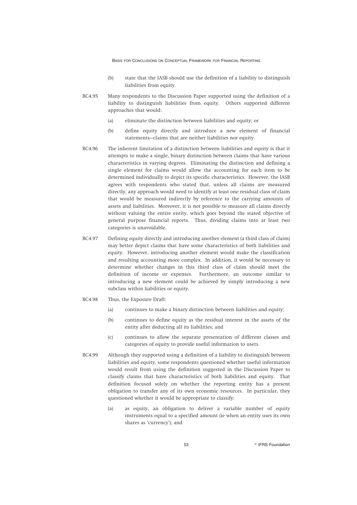- (b) state that the IASB should use the definition of a liability to distinguish liabilities from equity.
- BC4.95 Many respondents to the Discussion Paper supported using the definition of a liability to distinguish liabilities from equity. Others supported different approaches that would:
	- (a) eliminate the distinction between liabilities and equity; or
	- (b) define equity directly and introduce a new element of financial statements—claims that are neither liabilities nor equity.
- BC4.96 The inherent limitation of a distinction between liabilities and equity is that it attempts to make a single, binary distinction between claims that have various characteristics in varying degrees. Eliminating the distinction and defining a single element for claims would allow the accounting for each item to be determined individually to depict its specific characteristics. However, the IASB agrees with respondents who stated that, unless all claims are measured directly, any approach would need to identify at least one residual class of claim that would be measured indirectly by reference to the carrying amounts of assets and liabilities. Moreover, it is not possible to measure all claims directly without valuing the entire entity, which goes beyond the stated objective of general purpose financial reports. Thus, dividing claims into at least two categories is unavoidable.
- BC4.97 Defining equity directly and introducing another element (a third class of claim) may better depict claims that have some characteristics of both liabilities and equity. However, introducing another element would make the classification and resulting accounting more complex. In addition, it would be necessary to determine whether changes in this third class of claim should meet the definition of income or expenses. Furthermore, an outcome similar to introducing a new element could be achieved by simply introducing a new subclass within liabilities or equity.
- BC4.98 Thus, the Exposure Draft:
	- (a) continues to make a binary distinction between liabilities and equity;
	- (b) continues to define equity as the residual interest in the assets of the entity after deducting all its liabilities; and
	- (c) continues to allow the separate presentation of different classes and categories of equity to provide useful information to users.
- BC4.99 Although they supported using a definition of a liability to distinguish between liabilities and equity, some respondents questioned whether useful information would result from using the definition suggested in the Discussion Paper to classify claims that have characteristics of both liabilities and equity. That definition focused solely on whether the reporting entity has a present obligation to transfer any of its own economic resources. In particular, they questioned whether it would be appropriate to classify:
	- (a) as equity, an obligation to deliver a variable number of equity instruments equal to a specified amount (ie when an entity uses its own shares as 'currency'); and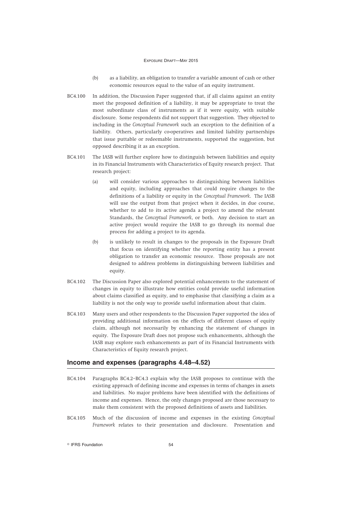- (b) as a liability, an obligation to transfer a variable amount of cash or other economic resources equal to the value of an equity instrument.
- BC4.100 In addition, the Discussion Paper suggested that, if all claims against an entity meet the proposed definition of a liability, it may be appropriate to treat the most subordinate class of instruments as if it were equity, with suitable disclosure. Some respondents did not support that suggestion. They objected to including in the *Conceptual Framework* such an exception to the definition of a liability. Others, particularly co-operatives and limited liability partnerships that issue puttable or redeemable instruments, supported the suggestion, but opposed describing it as an exception.
- BC4.101 The IASB will further explore how to distinguish between liabilities and equity in its Financial Instruments with Characteristics of Equity research project. That research project:
	- (a) will consider various approaches to distinguishing between liabilities and equity, including approaches that could require changes to the definitions of a liability or equity in the *Conceptual Framework*. The IASB will use the output from that project when it decides, in due course, whether to add to its active agenda a project to amend the relevant Standards, the *Conceptual Framework*, or both. Any decision to start an active project would require the IASB to go through its normal due process for adding a project to its agenda.
	- (b) is unlikely to result in changes to the proposals in the Exposure Draft that focus on identifying whether the reporting entity has a present obligation to transfer an economic resource. Those proposals are not designed to address problems in distinguishing between liabilities and equity.
- BC4.102 The Discussion Paper also explored potential enhancements to the statement of changes in equity to illustrate how entities could provide useful information about claims classified as equity, and to emphasise that classifying a claim as a liability is not the only way to provide useful information about that claim.
- BC4.103 Many users and other respondents to the Discussion Paper supported the idea of providing additional information on the effects of different classes of equity claim, although not necessarily by enhancing the statement of changes in equity. The Exposure Draft does not propose such enhancements, although the IASB may explore such enhancements as part of its Financial Instruments with Characteristics of Equity research project.

### **Income and expenses (paragraphs 4.48–4.52)**

- BC4.104 Paragraphs BC4.2–BC4.3 explain why the IASB proposes to continue with the existing approach of defining income and expenses in terms of changes in assets and liabilities. No major problems have been identified with the definitions of income and expenses. Hence, the only changes proposed are those necessary to make them consistent with the proposed definitions of assets and liabilities.
- BC4.105 Much of the discussion of income and expenses in the existing *Conceptual Framework* relates to their presentation and disclosure. Presentation and

**Communist Execution** 54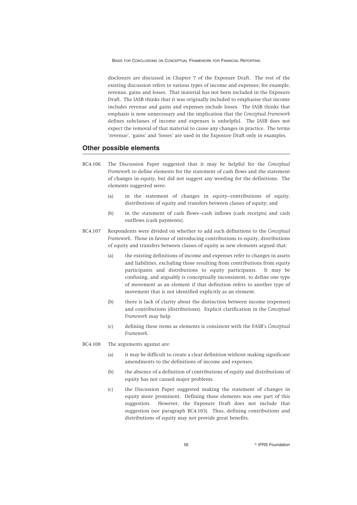disclosure are discussed in Chapter 7 of the Exposure Draft. The rest of the existing discussion refers to various types of income and expenses; for example, revenue, gains and losses. That material has not been included in the Exposure Draft. The IASB thinks that it was originally included to emphasise that income includes revenue and gains and expenses include losses. The IASB thinks that emphasis is now unnecessary and the implication that the *Conceptual Framework* defines subclasses of income and expenses is unhelpful. The IASB does not expect the removal of that material to cause any changes in practice. The terms 'revenue', 'gains' and 'losses' are used in the Exposure Draft only in examples.

### **Other possible elements**

- BC4.106 The Discussion Paper suggested that it may be helpful for the *Conceptual Framework* to define elements for the statement of cash flows and the statement of changes in equity, but did not suggest any wording for the definitions. The elements suggested were:
	- (a) in the statement of changes in equity—contributions of equity, distributions of equity and transfers between classes of equity; and
	- (b) in the statement of cash flows—cash inflows (cash receipts) and cash outflows (cash payments).
- BC4.107 Respondents were divided on whether to add such definitions to the *Conceptual Framework*. Those in favour of introducing contributions to equity, distributions of equity and transfers between classes of equity as new elements argued that:
	- (a) the existing definitions of income and expenses refer to changes in assets and liabilities, excluding those resulting from contributions from equity participants and distributions to equity participants. It may be confusing, and arguably is conceptually inconsistent, to define one type of movement as an element if that definition refers to another type of movement that is not identified explicitly as an element.
	- (b) there is lack of clarity about the distinction between income (expenses) and contributions (distributions). Explicit clarification in the *Conceptual Framework* may help.
	- (c) defining these items as elements is consistent with the FASB's *Conceptual Framework*.
- BC4.108 The arguments against are:
	- (a) it may be difficult to create a clear definition without making significant amendments to the definitions of income and expenses.
	- (b) the absence of a definition of contributions of equity and distributions of equity has not caused major problems.
	- (c) the Discussion Paper suggested making the statement of changes in equity more prominent. Defining these elements was one part of this suggestion. However, the Exposure Draft does not include that suggestion (see paragraph BC4.103). Thus, defining contributions and distributions of equity may not provide great benefits.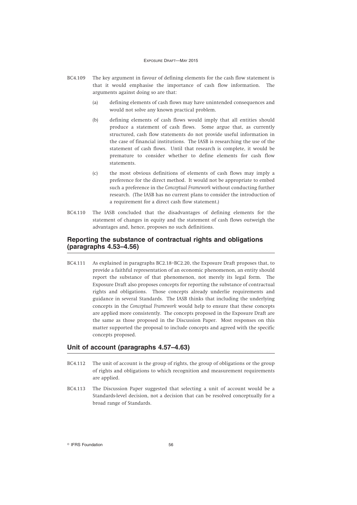- BC4.109 The key argument in favour of defining elements for the cash flow statement is that it would emphasise the importance of cash flow information. The arguments against doing so are that:
	- (a) defining elements of cash flows may have unintended consequences and would not solve any known practical problem.
	- (b) defining elements of cash flows would imply that all entities should produce a statement of cash flows. Some argue that, as currently structured, cash flow statements do not provide useful information in the case of financial institutions. The IASB is researching the use of the statement of cash flows. Until that research is complete, it would be premature to consider whether to define elements for cash flow statements.
	- (c) the most obvious definitions of elements of cash flows may imply a preference for the direct method. It would not be appropriate to embed such a preference in the *Conceptual Framework* without conducting further research. (The IASB has no current plans to consider the introduction of a requirement for a direct cash flow statement.)
- BC4.110 The IASB concluded that the disadvantages of defining elements for the statement of changes in equity and the statement of cash flows outweigh the advantages and, hence, proposes no such definitions.

## **Reporting the substance of contractual rights and obligations (paragraphs 4.53–4.56)**

BC4.111 As explained in paragraphs BC2.18–BC2.20, the Exposure Draft proposes that, to provide a faithful representation of an economic phenomenon, an entity should report the substance of that phenomenon, not merely its legal form. The Exposure Draft also proposes concepts for reporting the substance of contractual rights and obligations. Those concepts already underlie requirements and guidance in several Standards. The IASB thinks that including the underlying concepts in the *Conceptual Framework* would help to ensure that these concepts are applied more consistently. The concepts proposed in the Exposure Draft are the same as those proposed in the Discussion Paper. Most responses on this matter supported the proposal to include concepts and agreed with the specific concepts proposed.

## **Unit of account (paragraphs 4.57–4.63)**

- BC4.112 The unit of account is the group of rights, the group of obligations or the group of rights and obligations to which recognition and measurement requirements are applied.
- BC4.113 The Discussion Paper suggested that selecting a unit of account would be a Standards-level decision, not a decision that can be resolved conceptually for a broad range of Standards.

**Communist Execution** 56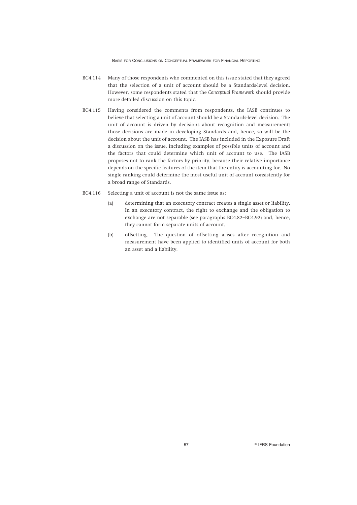- BC4.114 Many of those respondents who commented on this issue stated that they agreed that the selection of a unit of account should be a Standards-level decision. However, some respondents stated that the *Conceptual Framework* should provide more detailed discussion on this topic.
- BC4.115 Having considered the comments from respondents, the IASB continues to believe that selecting a unit of account should be a Standards-level decision. The unit of account is driven by decisions about recognition and measurement: those decisions are made in developing Standards and, hence, so will be the decision about the unit of account. The IASB has included in the Exposure Draft a discussion on the issue, including examples of possible units of account and the factors that could determine which unit of account to use. The IASB proposes not to rank the factors by priority, because their relative importance depends on the specific features of the item that the entity is accounting for. No single ranking could determine the most useful unit of account consistently for a broad range of Standards.
- BC4.116 Selecting a unit of account is not the same issue as:
	- (a) determining that an executory contract creates a single asset or liability. In an executory contract, the right to exchange and the obligation to exchange are not separable (see paragraphs BC4.82–BC4.92) and, hence, they cannot form separate units of account.
	- (b) offsetting. The question of offsetting arises after recognition and measurement have been applied to identified units of account for both an asset and a liability.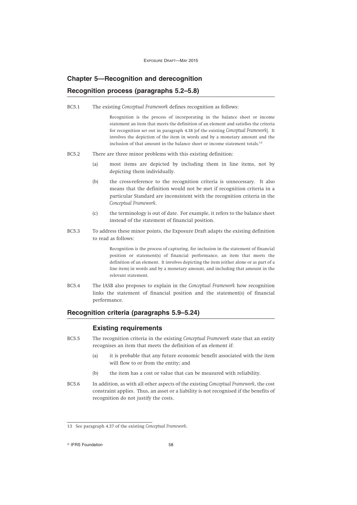# **Chapter 5—Recognition and derecognition Recognition process (paragraphs 5.2–5.8)**

### BC5.1 The existing *Conceptual Framework* defines recognition as follows:

Recognition is the process of incorporating in the balance sheet or income statement an item that meets the definition of an element and satisfies the criteria for recognition set out in paragraph 4.38 [of the existing *Conceptual Framework*]. It involves the depiction of the item in words and by a monetary amount and the inclusion of that amount in the balance sheet or income statement totals.<sup>13</sup>

- BC5.2 There are three minor problems with this existing definition:
	- (a) most items are depicted by including them in line items, not by depicting them individually.
	- (b) the cross-reference to the recognition criteria is unnecessary. It also means that the definition would not be met if recognition criteria in a particular Standard are inconsistent with the recognition criteria in the *Conceptual Framework*.
	- (c) the terminology is out of date. For example, it refers to the balance sheet instead of the statement of financial position.
- BC5.3 To address these minor points, the Exposure Draft adapts the existing definition to read as follows:

Recognition is the process of capturing, for inclusion in the statement of financial position or statement(s) of financial performance, an item that meets the definition of an element. It involves depicting the item (either alone or as part of a line item) in words and by a monetary amount, and including that amount in the relevant statement.

BC5.4 The IASB also proposes to explain in the *Conceptual Framework* how recognition links the statement of financial position and the statement(s) of financial performance.

## **Recognition criteria (paragraphs 5.9–5.24)**

## **Existing requirements**

- BC5.5 The recognition criteria in the existing *Conceptual Framework* state that an entity recognises an item that meets the definition of an element if:
	- (a) it is probable that any future economic benefit associated with the item will flow to or from the entity; and
	- (b) the item has a cost or value that can be measured with reliability.
- BC5.6 In addition, as with all other aspects of the existing *Conceptual Framework*, the cost constraint applies. Thus, an asset or a liability is not recognised if the benefits of recognition do not justify the costs.

**Communist Execution** 58

<sup>13</sup> See paragraph 4.37 of the existing *Conceptual Framework*.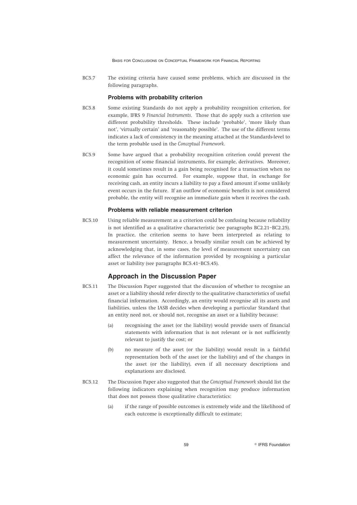BC5.7 The existing criteria have caused some problems, which are discussed in the following paragraphs.

#### **Problems with probability criterion**

- BC5.8 Some existing Standards do not apply a probability recognition criterion, for example, IFRS 9 *Financial Instruments*. Those that do apply such a criterion use different probability thresholds. These include 'probable', 'more likely than not', 'virtually certain' and 'reasonably possible'. The use of the different terms indicates a lack of consistency in the meaning attached at the Standards-level to the term probable used in the *Conceptual Framework*.
- BC5.9 Some have argued that a probability recognition criterion could prevent the recognition of some financial instruments, for example, derivatives. Moreover, it could sometimes result in a gain being recognised for a transaction when no economic gain has occurred. For example, suppose that, in exchange for receiving cash, an entity incurs a liability to pay a fixed amount if some unlikely event occurs in the future. If an outflow of economic benefits is not considered probable, the entity will recognise an immediate gain when it receives the cash.

### **Problems with reliable measurement criterion**

BC5.10 Using reliable measurement as a criterion could be confusing because reliability is not identified as a qualitative characteristic (see paragraphs BC2.21–BC2.25). In practice, the criterion seems to have been interpreted as relating to measurement uncertainty. Hence, a broadly similar result can be achieved by acknowledging that, in some cases, the level of measurement uncertainty can affect the relevance of the information provided by recognising a particular asset or liability (see paragraphs BC5.41–BC5.45).

## **Approach in the Discussion Paper**

- BC5.11 The Discussion Paper suggested that the discussion of whether to recognise an asset or a liability should refer directly to the qualitative characteristics of useful financial information. Accordingly, an entity would recognise all its assets and liabilities, unless the IASB decides when developing a particular Standard that an entity need not, or should not, recognise an asset or a liability because:
	- (a) recognising the asset (or the liability) would provide users of financial statements with information that is not relevant or is not sufficiently relevant to justify the cost; or
	- (b) no measure of the asset (or the liability) would result in a faithful representation both of the asset (or the liability) and of the changes in the asset (or the liability), even if all necessary descriptions and explanations are disclosed.
- BC5.12 The Discussion Paper also suggested that the *Conceptual Framework* should list the following indicators explaining when recognition may produce information that does not possess those qualitative characteristics:
	- (a) if the range of possible outcomes is extremely wide and the likelihood of each outcome is exceptionally difficult to estimate;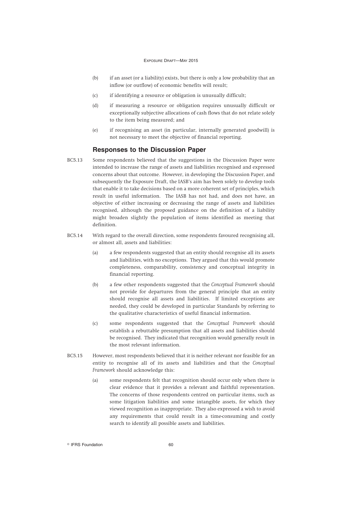- (b) if an asset (or a liability) exists, but there is only a low probability that an inflow (or outflow) of economic benefits will result;
- (c) if identifying a resource or obligation is unusually difficult;
- (d) if measuring a resource or obligation requires unusually difficult or exceptionally subjective allocations of cash flows that do not relate solely to the item being measured; and
- (e) if recognising an asset (in particular, internally generated goodwill) is not necessary to meet the objective of financial reporting.

## **Responses to the Discussion Paper**

- BC5.13 Some respondents believed that the suggestions in the Discussion Paper were intended to increase the range of assets and liabilities recognised and expressed concerns about that outcome. However, in developing the Discussion Paper, and subsequently the Exposure Draft, the IASB's aim has been solely to develop tools that enable it to take decisions based on a more coherent set of principles, which result in useful information. The IASB has not had, and does not have, an objective of either increasing or decreasing the range of assets and liabilities recognised, although the proposed guidance on the definition of a liability might broaden slightly the population of items identified as meeting that definition.
- BC5.14 With regard to the overall direction, some respondents favoured recognising all, or almost all, assets and liabilities:
	- (a) a few respondents suggested that an entity should recognise all its assets and liabilities, with no exceptions. They argued that this would promote completeness, comparability, consistency and conceptual integrity in financial reporting.
	- (b) a few other respondents suggested that the *Conceptual Framework* should not provide for departures from the general principle that an entity should recognise all assets and liabilities. If limited exceptions are needed, they could be developed in particular Standards by referring to the qualitative characteristics of useful financial information.
	- (c) some respondents suggested that the *Conceptual Framework* should establish a rebuttable presumption that all assets and liabilities should be recognised. They indicated that recognition would generally result in the most relevant information.
- BC5.15 However, most respondents believed that it is neither relevant nor feasible for an entity to recognise all of its assets and liabilities and that the *Conceptual Framework* should acknowledge this:
	- (a) some respondents felt that recognition should occur only when there is clear evidence that it provides a relevant and faithful representation. The concerns of those respondents centred on particular items, such as some litigation liabilities and some intangible assets, for which they viewed recognition as inappropriate. They also expressed a wish to avoid any requirements that could result in a time-consuming and costly search to identify all possible assets and liabilities.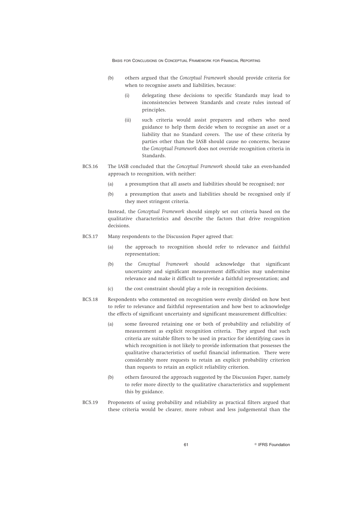- (b) others argued that the *Conceptual Framework* should provide criteria for when to recognise assets and liabilities, because:
	- (i) delegating these decisions to specific Standards may lead to inconsistencies between Standards and create rules instead of principles.
	- (ii) such criteria would assist preparers and others who need guidance to help them decide when to recognise an asset or a liability that no Standard covers. The use of these criteria by parties other than the IASB should cause no concerns, because the *Conceptual Framework* does not override recognition criteria in Standards.
- BC5.16 The IASB concluded that the *Conceptual Framework* should take an even-handed approach to recognition, with neither:
	- (a) a presumption that all assets and liabilities should be recognised; nor
	- (b) a presumption that assets and liabilities should be recognised only if they meet stringent criteria.

Instead, the *Conceptual Framework* should simply set out criteria based on the qualitative characteristics and describe the factors that drive recognition decisions.

- BC5.17 Many respondents to the Discussion Paper agreed that:
	- (a) the approach to recognition should refer to relevance and faithful representation;
	- (b) the *Conceptual Framework* should acknowledge that significant uncertainty and significant measurement difficulties may undermine relevance and make it difficult to provide a faithful representation; and
	- (c) the cost constraint should play a role in recognition decisions.
- BC5.18 Respondents who commented on recognition were evenly divided on how best to refer to relevance and faithful representation and how best to acknowledge the effects of significant uncertainty and significant measurement difficulties:
	- (a) some favoured retaining one or both of probability and reliability of measurement as explicit recognition criteria. They argued that such criteria are suitable filters to be used in practice for identifying cases in which recognition is not likely to provide information that possesses the qualitative characteristics of useful financial information. There were considerably more requests to retain an explicit probability criterion than requests to retain an explicit reliability criterion.
	- (b) others favoured the approach suggested by the Discussion Paper, namely to refer more directly to the qualitative characteristics and supplement this by guidance.
- BC5.19 Proponents of using probability and reliability as practical filters argued that these criteria would be clearer, more robust and less judgemental than the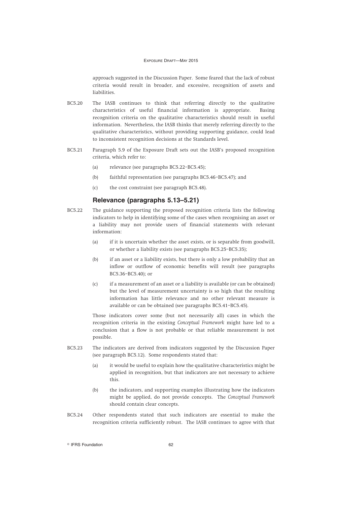approach suggested in the Discussion Paper. Some feared that the lack of robust criteria would result in broader, and excessive, recognition of assets and liabilities.

- BC5.20 The IASB continues to think that referring directly to the qualitative characteristics of useful financial information is appropriate. Basing recognition criteria on the qualitative characteristics should result in useful information. Nevertheless, the IASB thinks that merely referring directly to the qualitative characteristics, without providing supporting guidance, could lead to inconsistent recognition decisions at the Standards level.
- BC5.21 Paragraph 5.9 of the Exposure Draft sets out the IASB's proposed recognition criteria, which refer to:
	- (a) relevance (see paragraphs BC5.22–BC5.45);
	- (b) faithful representation (see paragraphs BC5.46–BC5.47); and
	- (c) the cost constraint (see paragraph BC5.48).

## **Relevance (paragraphs 5.13–5.21)**

- BC5.22 The guidance supporting the proposed recognition criteria lists the following indicators to help in identifying some of the cases when recognising an asset or a liability may not provide users of financial statements with relevant information:
	- (a) if it is uncertain whether the asset exists, or is separable from goodwill, or whether a liability exists (see paragraphs BC5.25–BC5.35);
	- (b) if an asset or a liability exists, but there is only a low probability that an inflow or outflow of economic benefits will result (see paragraphs BC5.36–BC5.40); or
	- (c) if a measurement of an asset or a liability is available (or can be obtained) but the level of measurement uncertainty is so high that the resulting information has little relevance and no other relevant measure is available or can be obtained (see paragraphs BC5.41–BC5.45).

Those indicators cover some (but not necessarily all) cases in which the recognition criteria in the existing *Conceptual Framework* might have led to a conclusion that a flow is not probable or that reliable measurement is not possible.

- BC5.23 The indicators are derived from indicators suggested by the Discussion Paper (see paragraph BC5.12). Some respondents stated that:
	- (a) it would be useful to explain how the qualitative characteristics might be applied in recognition, but that indicators are not necessary to achieve this.
	- (b) the indicators, and supporting examples illustrating how the indicators might be applied, do not provide concepts. The *Conceptual Framework* should contain clear concepts.
- BC5.24 Other respondents stated that such indicators are essential to make the recognition criteria sufficiently robust. The IASB continues to agree with that

**Communist Execution 62** COMPUTER SCIENCE 62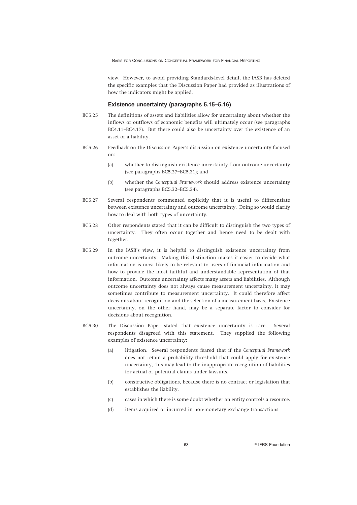view. However, to avoid providing Standards-level detail, the IASB has deleted the specific examples that the Discussion Paper had provided as illustrations of how the indicators might be applied.

### **Existence uncertainty (paragraphs 5.15–5.16)**

- BC5.25 The definitions of assets and liabilities allow for uncertainty about whether the inflows or outflows of economic benefits will ultimately occur (see paragraphs BC4.11–BC4.17). But there could also be uncertainty over the existence of an asset or a liability.
- BC5.26 Feedback on the Discussion Paper's discussion on existence uncertainty focused on:
	- (a) whether to distinguish existence uncertainty from outcome uncertainty (see paragraphs BC5.27–BC5.31); and
	- (b) whether the *Conceptual Framework* should address existence uncertainty (see paragraphs BC5.32–BC5.34).
- BC5.27 Several respondents commented explicitly that it is useful to differentiate between existence uncertainty and outcome uncertainty. Doing so would clarify how to deal with both types of uncertainty.
- BC5.28 Other respondents stated that it can be difficult to distinguish the two types of uncertainty. They often occur together and hence need to be dealt with together.
- BC5.29 In the IASB's view, it is helpful to distinguish existence uncertainty from outcome uncertainty. Making this distinction makes it easier to decide what information is most likely to be relevant to users of financial information and how to provide the most faithful and understandable representation of that information. Outcome uncertainty affects many assets and liabilities. Although outcome uncertainty does not always cause measurement uncertainty, it may sometimes contribute to measurement uncertainty. It could therefore affect decisions about recognition and the selection of a measurement basis. Existence uncertainty, on the other hand, may be a separate factor to consider for decisions about recognition.
- BC5.30 The Discussion Paper stated that existence uncertainty is rare. Several respondents disagreed with this statement. They supplied the following examples of existence uncertainty:
	- (a) litigation. Several respondents feared that if the *Conceptual Framework* does not retain a probability threshold that could apply for existence uncertainty, this may lead to the inappropriate recognition of liabilities for actual or potential claims under lawsuits.
	- (b) constructive obligations, because there is no contract or legislation that establishes the liability.
	- (c) cases in which there is some doubt whether an entity controls a resource.
	- (d) items acquired or incurred in non-monetary exchange transactions.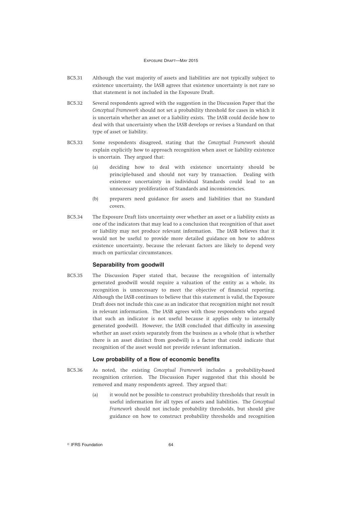- BC5.31 Although the vast majority of assets and liabilities are not typically subject to existence uncertainty, the IASB agrees that existence uncertainty is not rare so that statement is not included in the Exposure Draft.
- BC5.32 Several respondents agreed with the suggestion in the Discussion Paper that the *Conceptual Framework* should not set a probability threshold for cases in which it is uncertain whether an asset or a liability exists. The IASB could decide how to deal with that uncertainty when the IASB develops or revises a Standard on that type of asset or liability.
- BC5.33 Some respondents disagreed, stating that the *Conceptual Framework* should explain explicitly how to approach recognition when asset or liability existence is uncertain. They argued that:
	- (a) deciding how to deal with existence uncertainty should be principle-based and should not vary by transaction. Dealing with existence uncertainty in individual Standards could lead to an unnecessary proliferation of Standards and inconsistencies.
	- (b) preparers need guidance for assets and liabilities that no Standard covers.
- BC5.34 The Exposure Draft lists uncertainty over whether an asset or a liability exists as one of the indicators that may lead to a conclusion that recognition of that asset or liability may not produce relevant information. The IASB believes that it would not be useful to provide more detailed guidance on how to address existence uncertainty, because the relevant factors are likely to depend very much on particular circumstances.

### **Separability from goodwill**

BC5.35 The Discussion Paper stated that, because the recognition of internally generated goodwill would require a valuation of the entity as a whole, its recognition is unnecessary to meet the objective of financial reporting. Although the IASB continues to believe that this statement is valid, the Exposure Draft does not include this case as an indicator that recognition might not result in relevant information. The IASB agrees with those respondents who argued that such an indicator is not useful because it applies only to internally generated goodwill. However, the IASB concluded that difficulty in assessing whether an asset exists separately from the business as a whole (that is whether there is an asset distinct from goodwill) is a factor that could indicate that recognition of the asset would not provide relevant information.

### **Low probability of a flow of economic benefits**

- BC5.36 As noted, the existing *Conceptual Framework* includes a probability-based recognition criterion. The Discussion Paper suggested that this should be removed and many respondents agreed. They argued that:
	- (a) it would not be possible to construct probability thresholds that result in useful information for all types of assets and liabilities. The *Conceptual Framework* should not include probability thresholds, but should give guidance on how to construct probability thresholds and recognition

Communication 64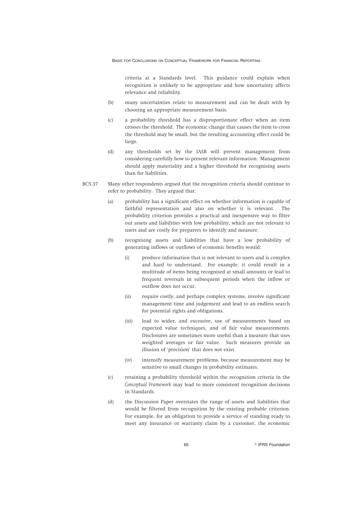criteria at a Standards level. This guidance could explain when recognition is unlikely to be appropriate and how uncertainty affects relevance and reliability.

- (b) many uncertainties relate to measurement and can be dealt with by choosing an appropriate measurement basis.
- (c) a probability threshold has a disproportionate effect when an item crosses the threshold. The economic change that causes the item to cross the threshold may be small, but the resulting accounting effect could be large.
- (d) any thresholds set by the IASB will prevent management from considering carefully how to present relevant information. Management should apply materiality and a higher threshold for recognising assets than for liabilities.
- BC5.37 Many other respondents argued that the recognition criteria should continue to refer to probability. They argued that:
	- (a) probability has a significant effect on whether information is capable of faithful representation and also on whether it is relevant. The probability criterion provides a practical and inexpensive way to filter out assets and liabilities with low probability, which are not relevant to users and are costly for preparers to identify and measure.
	- (b) recognising assets and liabilities that have a low probability of generating inflows or outflows of economic benefits would:
		- (i) produce information that is not relevant to users and is complex and hard to understand. For example, it could result in a multitude of items being recognised at small amounts or lead to frequent reversals in subsequent periods when the inflow or outflow does not occur.
		- (ii) require costly, and perhaps complex systems, involve significant management time and judgement and lead to an endless search for potential rights and obligations.
		- (iii) lead to wider, and excessive, use of measurements based on expected value techniques, and of fair value measurements. Disclosures are sometimes more useful than a measure that uses weighted averages or fair value. Such measures provide an illusion of 'precision' that does not exist.
		- (iv) intensify measurement problems, because measurement may be sensitive to small changes in probability estimates.
	- (c) retaining a probability threshold within the recognition criteria in the *Conceptual Framework* may lead to more consistent recognition decisions in Standards.
	- (d) the Discussion Paper overstates the range of assets and liabilities that would be filtered from recognition by the existing probable criterion. For example, for an obligation to provide a service of standing ready to meet any insurance or warranty claim by a customer, the economic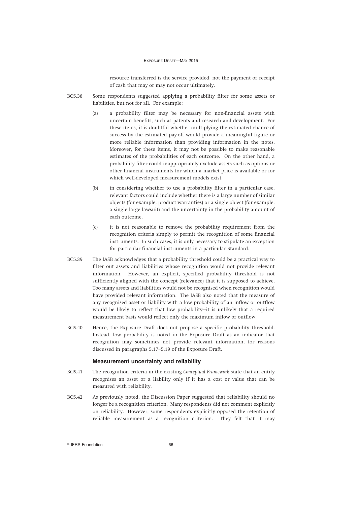resource transferred is the service provided, not the payment or receipt of cash that may or may not occur ultimately.

- BC5.38 Some respondents suggested applying a probability filter for some assets or liabilities, but not for all. For example:
	- (a) a probability filter may be necessary for non-financial assets with uncertain benefits, such as patents and research and development. For these items, it is doubtful whether multiplying the estimated chance of success by the estimated pay-off would provide a meaningful figure or more reliable information than providing information in the notes. Moreover, for these items, it may not be possible to make reasonable estimates of the probabilities of each outcome. On the other hand, a probability filter could inappropriately exclude assets such as options or other financial instruments for which a market price is available or for which well-developed measurement models exist.
	- (b) in considering whether to use a probability filter in a particular case, relevant factors could include whether there is a large number of similar objects (for example, product warranties) or a single object (for example, a single large lawsuit) and the uncertainty in the probability amount of each outcome.
	- (c) it is not reasonable to remove the probability requirement from the recognition criteria simply to permit the recognition of some financial instruments. In such cases, it is only necessary to stipulate an exception for particular financial instruments in a particular Standard.
- BC5.39 The IASB acknowledges that a probability threshold could be a practical way to filter out assets and liabilities whose recognition would not provide relevant information. However, an explicit, specified probability threshold is not sufficiently aligned with the concept (relevance) that it is supposed to achieve. Too many assets and liabilities would not be recognised when recognition would have provided relevant information. The IASB also noted that the measure of any recognised asset or liability with a low probability of an inflow or outflow would be likely to reflect that low probability—it is unlikely that a required measurement basis would reflect only the maximum inflow or outflow.
- BC5.40 Hence, the Exposure Draft does not propose a specific probability threshold. Instead, low probability is noted in the Exposure Draft as an indicator that recognition may sometimes not provide relevant information, for reasons discussed in paragraphs 5.17–5.19 of the Exposure Draft.

### **Measurement uncertainty and reliability**

- BC5.41 The recognition criteria in the existing *Conceptual Framework* state that an entity recognises an asset or a liability only if it has a cost or value that can be measured with reliability.
- BC5.42 As previously noted, the Discussion Paper suggested that reliability should no longer be a recognition criterion. Many respondents did not comment explicitly on reliability. However, some respondents explicitly opposed the retention of reliable measurement as a recognition criterion. They felt that it may

**Communist Execution 66 IFRS** Foundation 66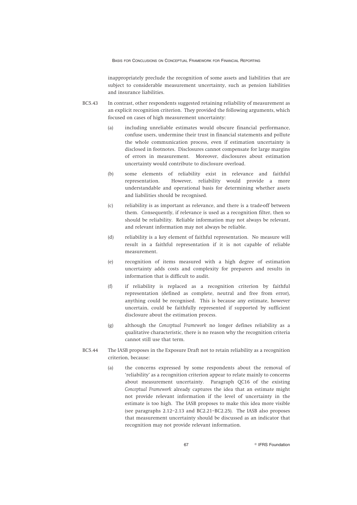inappropriately preclude the recognition of some assets and liabilities that are subject to considerable measurement uncertainty, such as pension liabilities and insurance liabilities.

- BC5.43 In contrast, other respondents suggested retaining reliability of measurement as an explicit recognition criterion. They provided the following arguments, which focused on cases of high measurement uncertainty:
	- (a) including unreliable estimates would obscure financial performance, confuse users, undermine their trust in financial statements and pollute the whole communication process, even if estimation uncertainty is disclosed in footnotes. Disclosures cannot compensate for large margins of errors in measurement. Moreover, disclosures about estimation uncertainty would contribute to disclosure overload.
	- (b) some elements of reliability exist in relevance and faithful representation. However, reliability would provide a more understandable and operational basis for determining whether assets and liabilities should be recognised.
	- (c) reliability is as important as relevance, and there is a trade-off between them. Consequently, if relevance is used as a recognition filter, then so should be reliability. Reliable information may not always be relevant, and relevant information may not always be reliable.
	- (d) reliability is a key element of faithful representation. No measure will result in a faithful representation if it is not capable of reliable measurement.
	- (e) recognition of items measured with a high degree of estimation uncertainty adds costs and complexity for preparers and results in information that is difficult to audit.
	- (f) if reliability is replaced as a recognition criterion by faithful representation (defined as complete, neutral and free from error), anything could be recognised. This is because any estimate, however uncertain, could be faithfully represented if supported by sufficient disclosure about the estimation process.
	- (g) although the *Conceptual Framework* no longer defines reliability as a qualitative characteristic, there is no reason why the recognition criteria cannot still use that term.
- BC5.44 The IASB proposes in the Exposure Draft not to retain reliability as a recognition criterion, because:
	- (a) the concerns expressed by some respondents about the removal of 'reliability' as a recognition criterion appear to relate mainly to concerns about measurement uncertainty. Paragraph QC16 of the existing *Conceptual Framework* already captures the idea that an estimate might not provide relevant information if the level of uncertainty in the estimate is too high. The IASB proposes to make this idea more visible (see paragraphs 2.12–2.13 and BC2.21–BC2.25). The IASB also proposes that measurement uncertainty should be discussed as an indicator that recognition may not provide relevant information.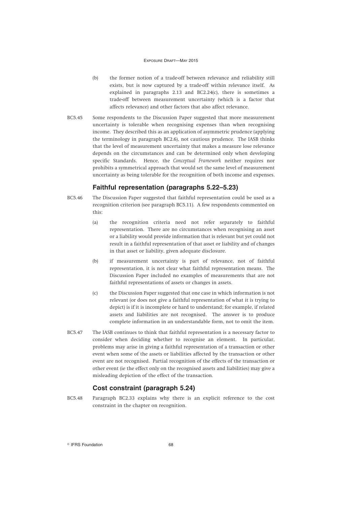- (b) the former notion of a trade-off between relevance and reliability still exists, but is now captured by a trade-off within relevance itself. As explained in paragraphs 2.13 and BC2.24(c), there is sometimes a trade-off between measurement uncertainty (which is a factor that affects relevance) and other factors that also affect relevance.
- BC5.45 Some respondents to the Discussion Paper suggested that more measurement uncertainty is tolerable when recognising expenses than when recognising income. They described this as an application of asymmetric prudence (applying the terminology in paragraph BC2.6), not cautious prudence. The IASB thinks that the level of measurement uncertainty that makes a measure lose relevance depends on the circumstances and can be determined only when developing specific Standards. Hence, the *Conceptual Framework* neither requires nor prohibits a symmetrical approach that would set the same level of measurement uncertainty as being tolerable for the recognition of both income and expenses.

## **Faithful representation (paragraphs 5.22–5.23)**

- BC5.46 The Discussion Paper suggested that faithful representation could be used as a recognition criterion (see paragraph BC5.11). A few respondents commented on this:
	- (a) the recognition criteria need not refer separately to faithful representation. There are no circumstances when recognising an asset or a liability would provide information that is relevant but yet could not result in a faithful representation of that asset or liability and of changes in that asset or liability, given adequate disclosure.
	- (b) if measurement uncertainty is part of relevance, not of faithful representation, it is not clear what faithful representation means. The Discussion Paper included no examples of measurements that are not faithful representations of assets or changes in assets.
	- (c) the Discussion Paper suggested that one case in which information is not relevant (or does not give a faithful representation of what it is trying to depict) is if it is incomplete or hard to understand; for example, if related assets and liabilities are not recognised. The answer is to produce complete information in an understandable form, not to omit the item.
- BC5.47 The IASB continues to think that faithful representation is a necessary factor to consider when deciding whether to recognise an element. In particular, problems may arise in giving a faithful representation of a transaction or other event when some of the assets or liabilities affected by the transaction or other event are not recognised. Partial recognition of the effects of the transaction or other event (ie the effect only on the recognised assets and liabilities) may give a misleading depiction of the effect of the transaction.

## **Cost constraint (paragraph 5.24)**

BC5.48 Paragraph BC2.33 explains why there is an explicit reference to the cost constraint in the chapter on recognition.

**Communist Execution 68 CONTERS** Foundation 68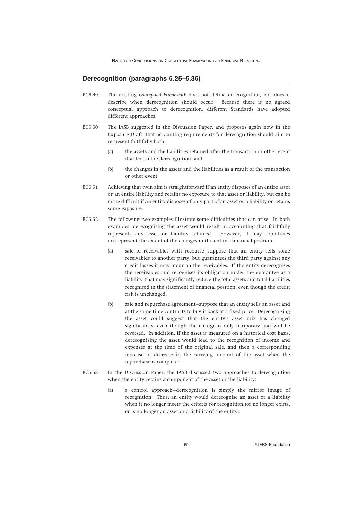## **Derecognition (paragraphs 5.25–5.36)**

- BC5.49 The existing *Conceptual Framework* does not define derecognition, nor does it describe when derecognition should occur. Because there is no agreed conceptual approach to derecognition, different Standards have adopted different approaches.
- BC5.50 The IASB suggested in the Discussion Paper, and proposes again now in the Exposure Draft, that accounting requirements for derecognition should aim to represent faithfully both:
	- (a) the assets and the liabilities retained after the transaction or other event that led to the derecognition; and
	- (b) the changes in the assets and the liabilities as a result of the transaction or other event.
- BC5.51 Achieving that twin aim is straightforward if an entity disposes of an entire asset or an entire liability and retains no exposure to that asset or liability, but can be more difficult if an entity disposes of only part of an asset or a liability or retains some exposure.
- BC5.52 The following two examples illustrate some difficulties that can arise. In both examples, derecognising the asset would result in accounting that faithfully represents any asset or liability retained. However, it may sometimes misrepresent the extent of the changes in the entity's financial position:
	- (a) sale of receivables with recourse—suppose that an entity sells some receivables to another party, but guarantees the third party against any credit losses it may incur on the receivables. If the entity derecognises the receivables and recognises its obligation under the guarantee as a liability, that may significantly reduce the total assets and total liabilities recognised in the statement of financial position, even though the credit risk is unchanged.
	- (b) sale and repurchase agreement—suppose that an entity sells an asset and at the same time contracts to buy it back at a fixed price. Derecognising the asset could suggest that the entity's asset mix has changed significantly, even though the change is only temporary and will be reversed. In addition, if the asset is measured on a historical cost basis, derecognising the asset would lead to the recognition of income and expenses at the time of the original sale, and then a corresponding increase or decrease in the carrying amount of the asset when the repurchase is completed.
- BC5.53 In the Discussion Paper, the IASB discussed two approaches to derecognition when the entity retains a component of the asset or the liability:
	- (a) a control approach—derecognition is simply the mirror image of recognition. Thus, an entity would derecognise an asset or a liability when it no longer meets the criteria for recognition (or no longer exists, or is no longer an asset or a liability of the entity).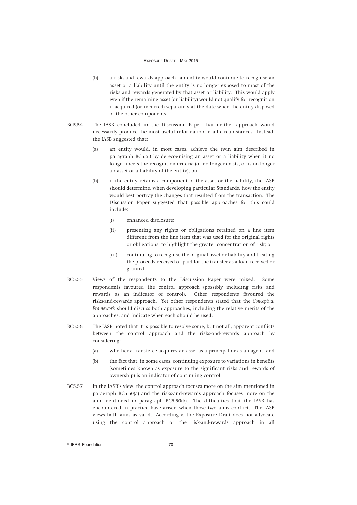- (b) a risks-and-rewards approach—an entity would continue to recognise an asset or a liability until the entity is no longer exposed to most of the risks and rewards generated by that asset or liability. This would apply even if the remaining asset (or liability) would not qualify for recognition if acquired (or incurred) separately at the date when the entity disposed of the other components.
- BC5.54 The IASB concluded in the Discussion Paper that neither approach would necessarily produce the most useful information in all circumstances. Instead, the IASB suggested that:
	- (a) an entity would, in most cases, achieve the twin aim described in paragraph BC5.50 by derecognising an asset or a liability when it no longer meets the recognition criteria (or no longer exists, or is no longer an asset or a liability of the entity); but
	- (b) if the entity retains a component of the asset or the liability, the IASB should determine, when developing particular Standards, how the entity would best portray the changes that resulted from the transaction. The Discussion Paper suggested that possible approaches for this could include:
		- (i) enhanced disclosure;
		- (ii) presenting any rights or obligations retained on a line item different from the line item that was used for the original rights or obligations, to highlight the greater concentration of risk; or
		- (iii) continuing to recognise the original asset or liability and treating the proceeds received or paid for the transfer as a loan received or granted.
- BC5.55 Views of the respondents to the Discussion Paper were mixed. Some respondents favoured the control approach (possibly including risks and rewards as an indicator of control). Other respondents favoured the risks-and-rewards approach. Yet other respondents stated that the *Conceptual Framework* should discuss both approaches, including the relative merits of the approaches, and indicate when each should be used.
- BC5.56 The IASB noted that it is possible to resolve some, but not all, apparent conflicts between the control approach and the risks-and-rewards approach by considering:
	- (a) whether a transferee acquires an asset as a principal or as an agent; and
	- (b) the fact that, in some cases, continuing exposure to variations in benefits (sometimes known as exposure to the significant risks and rewards of ownership) is an indicator of continuing control.
- BC5.57 In the IASB's view, the control approach focuses more on the aim mentioned in paragraph BC5.50(a) and the risks-and-rewards approach focuses more on the aim mentioned in paragraph BC5.50(b). The difficulties that the IASB has encountered in practice have arisen when those two aims conflict. The IASB views both aims as valid. Accordingly, the Exposure Draft does not advocate using the control approach or the risk-and-rewards approach in all

**Communist Foundation** 70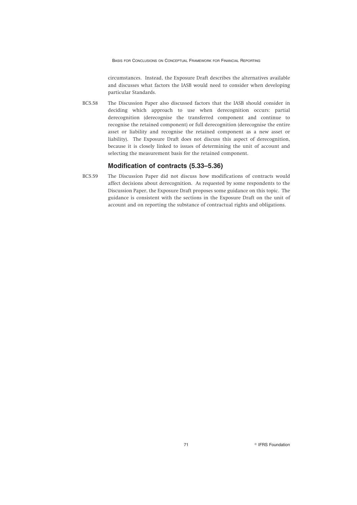circumstances. Instead, the Exposure Draft describes the alternatives available and discusses what factors the IASB would need to consider when developing particular Standards.

BC5.58 The Discussion Paper also discussed factors that the IASB should consider in deciding which approach to use when derecognition occurs: partial derecognition (derecognise the transferred component and continue to recognise the retained component) or full derecognition (derecognise the entire asset or liability and recognise the retained component as a new asset or liability). The Exposure Draft does not discuss this aspect of derecognition, because it is closely linked to issues of determining the unit of account and selecting the measurement basis for the retained component.

## **Modification of contracts (5.33–5.36)**

BC5.59 The Discussion Paper did not discuss how modifications of contracts would affect decisions about derecognition. As requested by some respondents to the Discussion Paper, the Exposure Draft proposes some guidance on this topic. The guidance is consistent with the sections in the Exposure Draft on the unit of account and on reporting the substance of contractual rights and obligations.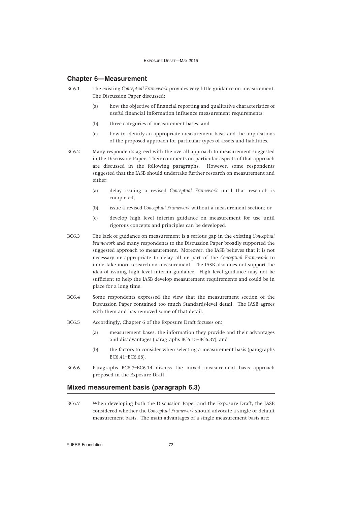### **Chapter 6—Measurement**

- BC6.1 The existing *Conceptual Framework* provides very little guidance on measurement. The Discussion Paper discussed:
	- (a) how the objective of financial reporting and qualitative characteristics of useful financial information influence measurement requirements;
	- (b) three categories of measurement bases; and
	- (c) how to identify an appropriate measurement basis and the implications of the proposed approach for particular types of assets and liabilities.
- BC6.2 Many respondents agreed with the overall approach to measurement suggested in the Discussion Paper. Their comments on particular aspects of that approach are discussed in the following paragraphs. However, some respondents suggested that the IASB should undertake further research on measurement and either:
	- (a) delay issuing a revised *Conceptual Framework* until that research is completed;
	- (b) issue a revised *Conceptual Framework* without a measurement section; or
	- (c) develop high level interim guidance on measurement for use until rigorous concepts and principles can be developed.
- BC6.3 The lack of guidance on measurement is a serious gap in the existing *Conceptual Framework* and many respondents to the Discussion Paper broadly supported the suggested approach to measurement. Moreover, the IASB believes that it is not necessary or appropriate to delay all or part of the *Conceptual Framework* to undertake more research on measurement. The IASB also does not support the idea of issuing high level interim guidance. High level guidance may not be sufficient to help the IASB develop measurement requirements and could be in place for a long time.
- BC6.4 Some respondents expressed the view that the measurement section of the Discussion Paper contained too much Standards-level detail. The IASB agrees with them and has removed some of that detail.
- BC6.5 Accordingly, Chapter 6 of the Exposure Draft focuses on:
	- (a) measurement bases, the information they provide and their advantages and disadvantages (paragraphs BC6.15–BC6.37); and
	- (b) the factors to consider when selecting a measurement basis (paragraphs BC6.41–BC6.68).
- BC6.6 Paragraphs BC6.7–BC6.14 discuss the mixed measurement basis approach proposed in the Exposure Draft.

## **Mixed measurement basis (paragraph 6.3)**

BC6.7 When developing both the Discussion Paper and the Exposure Draft, the IASB considered whether the *Conceptual Framework* should advocate a single or default measurement basis. The main advantages of a single measurement basis are:

**Communist Execution** 6 and 5 and 5 and 5 and 5 and 6 and 5 and 6 and 6 and 6 and 6 and 6 and 6 and 6 and 6 and 6 and 6 and 6 and 6 and 6 and 6 and 6 and 6 and 6 and 6 and 6 and 6 and 6 and 6 and 6 and 6 and 6 and 6 and 6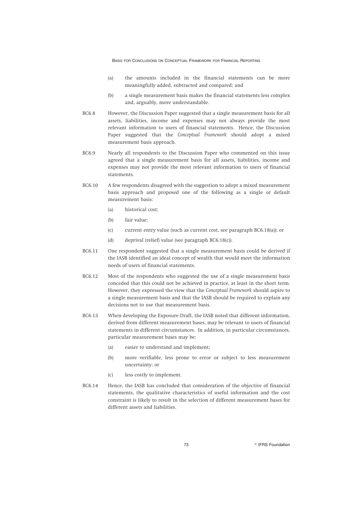- (a) the amounts included in the financial statements can be more meaningfully added, subtracted and compared; and
- (b) a single measurement basis makes the financial statements less complex and, arguably, more understandable.
- BC6.8 However, the Discussion Paper suggested that a single measurement basis for all assets, liabilities, income and expenses may not always provide the most relevant information to users of financial statements. Hence, the Discussion Paper suggested that the *Conceptual Framework* should adopt a mixed measurement basis approach.
- BC6.9 Nearly all respondents to the Discussion Paper who commented on this issue agreed that a single measurement basis for all assets, liabilities, income and expenses may not provide the most relevant information to users of financial statements.
- BC6.10 A few respondents disagreed with the suggestion to adopt a mixed measurement basis approach and proposed one of the following as a single or default measurement basis:
	- (a) historical cost;
	- (b) fair value;
	- (c) current entry value (such as current cost, see paragraph BC6.18(a)); or
	- (d) deprival (relief) value (see paragraph BC6.18(c)).
- BC6.11 One respondent suggested that a single measurement basis could be derived if the IASB identified an ideal concept of wealth that would meet the information needs of users of financial statements.
- BC6.12 Most of the respondents who suggested the use of a single measurement basis conceded that this could not be achieved in practice, at least in the short term. However, they expressed the view that the *Conceptual Framework* should aspire to a single measurement basis and that the IASB should be required to explain any decisions not to use that measurement basis.
- BC6.13 When developing the Exposure Draft, the IASB noted that different information, derived from different measurement bases, may be relevant to users of financial statements in different circumstances. In addition, in particular circumstances, particular measurement bases may be:
	- (a) easier to understand and implement;
	- (b) more verifiable, less prone to error or subject to less measurement uncertainty; or
	- (c) less costly to implement.
- BC6.14 Hence, the IASB has concluded that consideration of the objective of financial statements, the qualitative characteristics of useful information and the cost constraint is likely to result in the selection of different measurement bases for different assets and liabilities.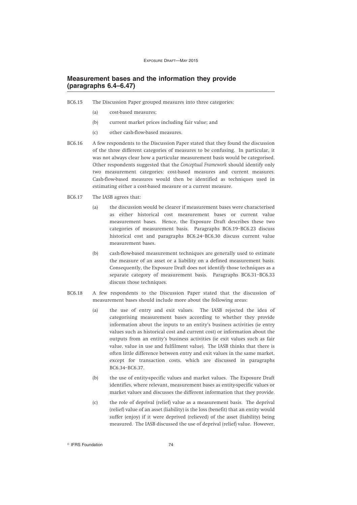## **Measurement bases and the information they provide (paragraphs 6.4–6.47)**

- BC6.15 The Discussion Paper grouped measures into three categories:
	- (a) cost-based measures;
	- (b) current market prices including fair value; and
	- (c) other cash-flow-based measures.
- BC6.16 A few respondents to the Discussion Paper stated that they found the discussion of the three different categories of measures to be confusing. In particular, it was not always clear how a particular measurement basis would be categorised. Other respondents suggested that the *Conceptual Framework* should identify only two measurement categories: cost-based measures and current measures. Cash-flow-based measures would then be identified as techniques used in estimating either a cost-based measure or a current measure.
- BC6.17 The IASB agrees that:
	- (a) the discussion would be clearer if measurement bases were characterised as either historical cost measurement bases or current value measurement bases. Hence, the Exposure Draft describes these two categories of measurement basis. Paragraphs BC6.19–BC6.23 discuss historical cost and paragraphs BC6.24–BC6.30 discuss current value measurement bases.
	- (b) cash-flow-based measurement techniques are generally used to estimate the measure of an asset or a liability on a defined measurement basis. Consequently, the Exposure Draft does not identify those techniques as a separate category of measurement basis. Paragraphs BC6.31–BC6.33 discuss those techniques.
- BC6.18 A few respondents to the Discussion Paper stated that the discussion of measurement bases should include more about the following areas:
	- (a) the use of entry and exit values. The IASB rejected the idea of categorising measurement bases according to whether they provide information about the inputs to an entity's business activities (ie entry values such as historical cost and current cost) or information about the outputs from an entity's business activities (ie exit values such as fair value, value in use and fulfilment value). The IASB thinks that there is often little difference between entry and exit values in the same market, except for transaction costs, which are discussed in paragraphs BC6.34–BC6.37.
	- (b) the use of entity-specific values and market values. The Exposure Draft identifies, where relevant, measurement bases as entity-specific values or market values and discusses the different information that they provide.
	- (c) the role of deprival (relief) value as a measurement basis. The deprival (relief) value of an asset (liability) is the loss (benefit) that an entity would suffer (enjoy) if it were deprived (relieved) of the asset (liability) being measured. The IASB discussed the use of deprival (relief) value. However,

**Communist Execution** 6 and 5 and 5 and 5 and 5 and 5 and 6 and 6 and 6 and 6 and 6 and 6 and 6 and 6 and 6 and 6 and 6 and 6 and 6 and 6 and 6 and 6 and 6 and 6 and 6 and 6 and 6 and 6 and 6 and 6 and 6 and 6 and 6 and 6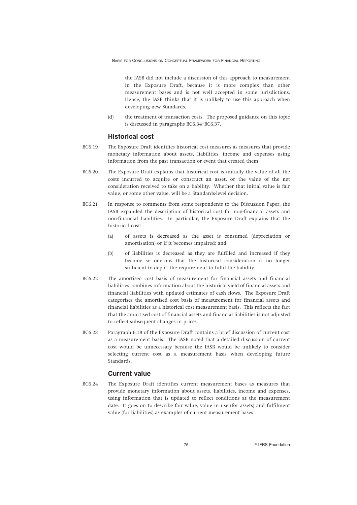the IASB did not include a discussion of this approach to measurement in the Exposure Draft, because it is more complex than other measurement bases and is not well accepted in some jurisdictions. Hence, the IASB thinks that it is unlikely to use this approach when developing new Standards.

(d) the treatment of transaction costs. The proposed guidance on this topic is discussed in paragraphs BC6.34–BC6.37.

#### **Historical cost**

- BC6.19 The Exposure Draft identifies historical cost measures as measures that provide monetary information about assets, liabilities, income and expenses using information from the past transaction or event that created them.
- BC6.20 The Exposure Draft explains that historical cost is initially the value of all the costs incurred to acquire or construct an asset, or the value of the net consideration received to take on a liability. Whether that initial value is fair value, or some other value, will be a Standards-level decision.
- BC6.21 In response to comments from some respondents to the Discussion Paper, the IASB expanded the description of historical cost for non-financial assets and non-financial liabilities. In particular, the Exposure Draft explains that the historical cost:
	- (a) of assets is decreased as the asset is consumed (depreciation or amortisation) or if it becomes impaired; and
	- (b) of liabilities is decreased as they are fulfilled and increased if they become so onerous that the historical consideration is no longer sufficient to depict the requirement to fulfil the liability.
- BC6.22 The amortised cost basis of measurement for financial assets and financial liabilities combines information about the historical yield of financial assets and financial liabilities with updated estimates of cash flows. The Exposure Draft categorises the amortised cost basis of measurement for financial assets and financial liabilities as a historical cost measurement basis. This reflects the fact that the amortised cost of financial assets and financial liabilities is not adjusted to reflect subsequent changes in prices.
- BC6.23 Paragraph 6.18 of the Exposure Draft contains a brief discussion of current cost as a measurement basis. The IASB noted that a detailed discussion of current cost would be unnecessary because the IASB would be unlikely to consider selecting current cost as a measurement basis when developing future Standards.

### **Current value**

BC6.24 The Exposure Draft identifies current measurement bases as measures that provide monetary information about assets, liabilities, income and expenses, using information that is updated to reflect conditions at the measurement date. It goes on to describe fair value, value in use (for assets) and fulfilment value (for liabilities) as examples of current measurement bases.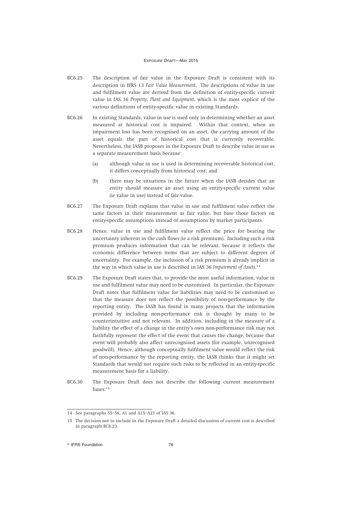- BC6.25 The description of fair value in the Exposure Draft is consistent with its description in IFRS 13 *Fair Value Measurement*. The descriptions of value in use and fulfilment value are derived from the definition of entity-specific current value in IAS 16 *Property, Plant and Equipment*, which is the most explicit of the various definitions of entity-specific value in existing Standards.
- BC6.26 In existing Standards, value in use is used only in determining whether an asset measured at historical cost is impaired. Within that context, when an impairment loss has been recognised on an asset, the carrying amount of the asset equals the part of historical cost that is currently recoverable. Nevertheless, the IASB proposes in the Exposure Draft to describe value in use as a separate measurement basis because:
	- (a) although value in use is used in determining recoverable historical cost, it differs conceptually from historical cost; and
	- (b) there may be situations in the future when the IASB decides that an entity should measure an asset using an entity-specific current value (ie value in use) instead of fair value.
- BC6.27 The Exposure Draft explains that value in use and fulfilment value reflect the same factors in their measurement as fair value, but base those factors on entity-specific assumptions instead of assumptions by market participants.
- BC6.28 Hence, value in use and fulfilment value reflect the price for bearing the uncertainty inherent in the cash flows (ie a risk premium). Including such a risk premium produces information that can be relevant, because it reflects the economic difference between items that are subject to different degrees of uncertainty. For example, the inclusion of a risk premium is already implicit in the way in which value in use is described in IAS 36 *Impairment of Assets*. 14
- BC6.29 The Exposure Draft states that, to provide the most useful information, value in use and fulfilment value may need to be customised. In particular, the Exposure Draft notes that fulfilment value for liabilities may need to be customised so that the measure does not reflect the possibility of non-performance by the reporting entity. The IASB has found in many projects that the information provided by including non-performance risk is thought by many to be counterintuitive and not relevant. In addition, including in the measure of a liability the effect of a change in the entity's own non-performance risk may not faithfully represent the effect of the event that causes the change, because that event will probably also affect unrecognised assets (for example, unrecognised goodwill). Hence, although conceptually fulfilment value would reflect the risk of non-performance by the reporting entity, the IASB thinks that it might set Standards that would not require such risks to be reflected in an entity-specific measurement basis for a liability.
- BC6.30 The Exposure Draft does not describe the following current measurement bases:15

<sup>14</sup> See paragraphs 55–56, A1 and A15–A21 of IAS 36.

<sup>15</sup> The decision not to include in the Exposure Draft a detailed discussion of current cost is described in paragraph BC6.23.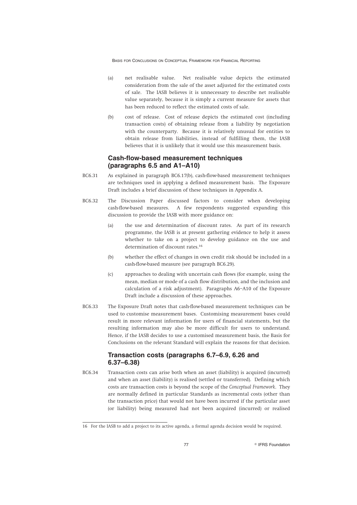- (a) net realisable value. Net realisable value depicts the estimated consideration from the sale of the asset adjusted for the estimated costs of sale. The IASB believes it is unnecessary to describe net realisable value separately, because it is simply a current measure for assets that has been reduced to reflect the estimated costs of sale.
- (b) cost of release. Cost of release depicts the estimated cost (including transaction costs) of obtaining release from a liability by negotiation with the counterparty. Because it is relatively unusual for entities to obtain release from liabilities, instead of fulfilling them, the IASB believes that it is unlikely that it would use this measurement basis.

## **Cash-flow-based measurement techniques (paragraphs 6.5 and A1–A10)**

- BC6.31 As explained in paragraph BC6.17(b), cash-flow-based measurement techniques are techniques used in applying a defined measurement basis. The Exposure Draft includes a brief discussion of these techniques in Appendix A.
- BC6.32 The Discussion Paper discussed factors to consider when developing cash-flow-based measures. A few respondents suggested expanding this discussion to provide the IASB with more guidance on:
	- (a) the use and determination of discount rates. As part of its research programme, the IASB is at present gathering evidence to help it assess whether to take on a project to develop guidance on the use and determination of discount rates.<sup>16</sup>
	- (b) whether the effect of changes in own credit risk should be included in a cash-flow-based measure (see paragraph BC6.29).
	- (c) approaches to dealing with uncertain cash flows (for example, using the mean, median or mode of a cash flow distribution, and the inclusion and calculation of a risk adjustment). Paragraphs A6–A10 of the Exposure Draft include a discussion of these approaches.
- BC6.33 The Exposure Draft notes that cash-flow-based measurement techniques can be used to customise measurement bases. Customising measurement bases could result in more relevant information for users of financial statements, but the resulting information may also be more difficult for users to understand. Hence, if the IASB decides to use a customised measurement basis, the Basis for Conclusions on the relevant Standard will explain the reasons for that decision.

## **Transaction costs (paragraphs 6.7–6.9, 6.26 and 6.37–6.38)**

BC6.34 Transaction costs can arise both when an asset (liability) is acquired (incurred) and when an asset (liability) is realised (settled or transferred). Defining which costs are transaction costs is beyond the scope of the *Conceptual Framework*. They are normally defined in particular Standards as incremental costs (other than the transaction price) that would not have been incurred if the particular asset (or liability) being measured had not been acquired (incurred) or realised

<sup>16</sup> For the IASB to add a project to its active agenda, a formal agenda decision would be required.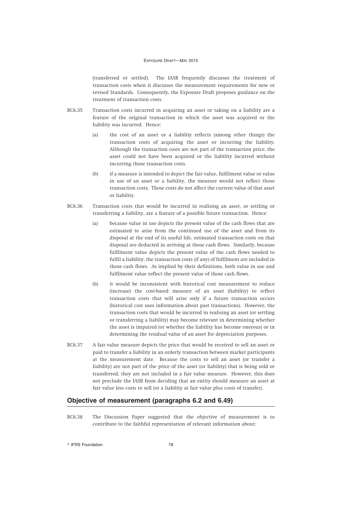(transferred or settled). The IASB frequently discusses the treatment of transaction costs when it discusses the measurement requirements for new or revised Standards. Consequently, the Exposure Draft proposes guidance on the treatment of transaction costs.

- BC6.35 Transaction costs incurred in acquiring an asset or taking on a liability are a feature of the original transaction in which the asset was acquired or the liability was incurred. Hence:
	- (a) the cost of an asset or a liability reflects (among other things) the transaction costs of acquiring the asset or incurring the liability. Although the transaction costs are not part of the transaction price, the asset could not have been acquired or the liability incurred without incurring those transaction costs.
	- (b) if a measure is intended to depict the fair value, fulfilment value or value in use of an asset or a liability, the measure would not reflect those transaction costs. Those costs do not affect the current value of that asset or liability.
- BC6.36 Transaction costs that would be incurred in realising an asset, or settling or transferring a liability, are a feature of a possible future transaction. Hence:
	- (a) because value in use depicts the present value of the cash flows that are estimated to arise from the continued use of the asset and from its disposal at the end of its useful life, estimated transaction costs on that disposal are deducted in arriving at those cash flows. Similarly, because fulfilment value depicts the present value of the cash flows needed to fulfil a liability, the transaction costs (if any) of fulfilment are included in those cash flows. As implied by their definitions, both value in use and fulfilment value reflect the present value of those cash flows.
	- (b) it would be inconsistent with historical cost measurement to reduce (increase) the cost-based measure of an asset (liability) to reflect transaction costs that will arise only if a future transaction occurs (historical cost uses information about past transactions). However, the transaction costs that would be incurred in realising an asset (or settling or transferring a liability) may become relevant in determining whether the asset is impaired (or whether the liability has become onerous) or in determining the residual value of an asset for depreciation purposes.
- BC6.37 A fair value measure depicts the price that would be received to sell an asset or paid to transfer a liability in an orderly transaction between market participants at the measurement date. Because the costs to sell an asset (or transfer a liability) are not part of the price of the asset (or liability) that is being sold or transferred, they are not included in a fair value measure. However, this does not preclude the IASB from deciding that an entity should measure an asset at fair value less costs to sell (or a liability at fair value plus costs of transfer).

## **Objective of measurement (paragraphs 6.2 and 6.49)**

BC6.38 The Discussion Paper suggested that the objective of measurement is to contribute to the faithful representation of relevant information about:

**Communist Execution** 6 and 5 and 5 and 5 and 5 and 5 and 5 and 5 and 5 and 5 and 5 and 5 and 5 and 5 and 5 and 5 and 5 and 5 and 5 and 5 and 5 and 5 and 5 and 5 and 5 and 5 and 5 and 5 and 5 and 5 and 5 and 5 and 5 and 5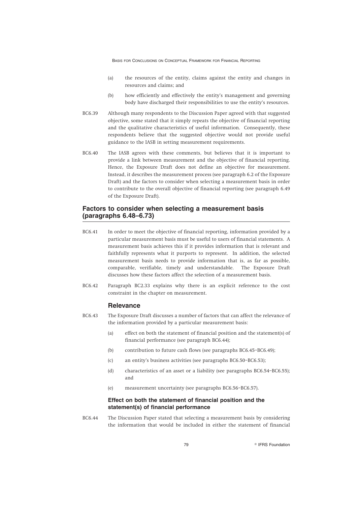- (a) the resources of the entity, claims against the entity and changes in resources and claims; and
- (b) how efficiently and effectively the entity's management and governing body have discharged their responsibilities to use the entity's resources.
- BC6.39 Although many respondents to the Discussion Paper agreed with that suggested objective, some stated that it simply repeats the objective of financial reporting and the qualitative characteristics of useful information. Consequently, these respondents believe that the suggested objective would not provide useful guidance to the IASB in setting measurement requirements.
- BC6.40 The IASB agrees with these comments, but believes that it is important to provide a link between measurement and the objective of financial reporting. Hence, the Exposure Draft does not define an objective for measurement. Instead, it describes the measurement process (see paragraph 6.2 of the Exposure Draft) and the factors to consider when selecting a measurement basis in order to contribute to the overall objective of financial reporting (see paragraph 6.49 of the Exposure Draft).

## **Factors to consider when selecting a measurement basis (paragraphs 6.48–6.73)**

- BC6.41 In order to meet the objective of financial reporting, information provided by a particular measurement basis must be useful to users of financial statements. A measurement basis achieves this if it provides information that is relevant and faithfully represents what it purports to represent. In addition, the selected measurement basis needs to provide information that is, as far as possible, comparable, verifiable, timely and understandable. The Exposure Draft discusses how these factors affect the selection of a measurement basis.
- BC6.42 Paragraph BC2.33 explains why there is an explicit reference to the cost constraint in the chapter on measurement.

### **Relevance**

- BC6.43 The Exposure Draft discusses a number of factors that can affect the relevance of the information provided by a particular measurement basis:
	- (a) effect on both the statement of financial position and the statement(s) of financial performance (see paragraph BC6.44);
	- (b) contribution to future cash flows (see paragraphs BC6.45–BC6.49);
	- (c) an entity's business activities (see paragraphs BC6.50–BC6.53);
	- (d) characteristics of an asset or a liability (see paragraphs BC6.54–BC6.55); and
	- (e) measurement uncertainty (see paragraphs BC6.56–BC6.57).

### **Effect on both the statement of financial position and the statement(s) of financial performance**

BC6.44 The Discussion Paper stated that selecting a measurement basis by considering the information that would be included in either the statement of financial

<sup>©</sup> IFRS Foundation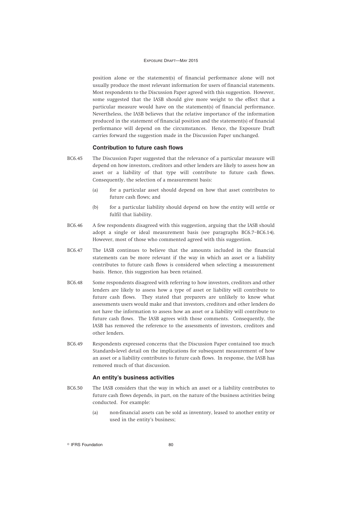position alone or the statement(s) of financial performance alone will not usually produce the most relevant information for users of financial statements. Most respondents to the Discussion Paper agreed with this suggestion. However, some suggested that the IASB should give more weight to the effect that a particular measure would have on the statement(s) of financial performance. Nevertheless, the IASB believes that the relative importance of the information produced in the statement of financial position and the statement(s) of financial performance will depend on the circumstances. Hence, the Exposure Draft carries forward the suggestion made in the Discussion Paper unchanged.

#### **Contribution to future cash flows**

- BC6.45 The Discussion Paper suggested that the relevance of a particular measure will depend on how investors, creditors and other lenders are likely to assess how an asset or a liability of that type will contribute to future cash flows. Consequently, the selection of a measurement basis:
	- (a) for a particular asset should depend on how that asset contributes to future cash flows; and
	- (b) for a particular liability should depend on how the entity will settle or fulfil that liability.
- BC6.46 A few respondents disagreed with this suggestion, arguing that the IASB should adopt a single or ideal measurement basis (see paragraphs BC6.7–BC6.14). However, most of those who commented agreed with this suggestion.
- BC6.47 The IASB continues to believe that the amounts included in the financial statements can be more relevant if the way in which an asset or a liability contributes to future cash flows is considered when selecting a measurement basis. Hence, this suggestion has been retained.
- BC6.48 Some respondents disagreed with referring to how investors, creditors and other lenders are likely to assess how a type of asset or liability will contribute to future cash flows. They stated that preparers are unlikely to know what assessments users would make and that investors, creditors and other lenders do not have the information to assess how an asset or a liability will contribute to future cash flows. The IASB agrees with those comments. Consequently, the IASB has removed the reference to the assessments of investors, creditors and other lenders.
- BC6.49 Respondents expressed concerns that the Discussion Paper contained too much Standards-level detail on the implications for subsequent measurement of how an asset or a liability contributes to future cash flows. In response, the IASB has removed much of that discussion.

#### **An entity's business activities**

- BC6.50 The IASB considers that the way in which an asset or a liability contributes to future cash flows depends, in part, on the nature of the business activities being conducted. For example:
	- (a) non-financial assets can be sold as inventory, leased to another entity or used in the entity's business;

- IFRS Foundation 80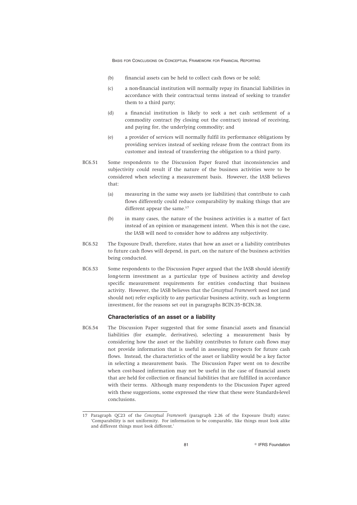- (b) financial assets can be held to collect cash flows or be sold;
- (c) a non-financial institution will normally repay its financial liabilities in accordance with their contractual terms instead of seeking to transfer them to a third party;
- (d) a financial institution is likely to seek a net cash settlement of a commodity contract (by closing out the contract) instead of receiving, and paying for, the underlying commodity; and
- (e) a provider of services will normally fulfil its performance obligations by providing services instead of seeking release from the contract from its customer and instead of transferring the obligation to a third party.
- BC6.51 Some respondents to the Discussion Paper feared that inconsistencies and subjectivity could result if the nature of the business activities were to be considered when selecting a measurement basis. However, the IASB believes that:
	- (a) measuring in the same way assets (or liabilities) that contribute to cash flows differently could reduce comparability by making things that are different appear the same.<sup>17</sup>
	- (b) in many cases, the nature of the business activities is a matter of fact instead of an opinion or management intent. When this is not the case, the IASB will need to consider how to address any subjectivity.
- BC6.52 The Exposure Draft, therefore, states that how an asset or a liability contributes to future cash flows will depend, in part, on the nature of the business activities being conducted.
- BC6.53 Some respondents to the Discussion Paper argued that the IASB should identify long-term investment as a particular type of business activity and develop specific measurement requirements for entities conducting that business activity. However, the IASB believes that the *Conceptual Framework* need not (and should not) refer explicitly to any particular business activity, such as long-term investment, for the reasons set out in paragraphs BCIN.35–BCIN.38.

#### **Characteristics of an asset or a liability**

BC6.54 The Discussion Paper suggested that for some financial assets and financial liabilities (for example, derivatives), selecting a measurement basis by considering how the asset or the liability contributes to future cash flows may not provide information that is useful in assessing prospects for future cash flows. Instead, the characteristics of the asset or liability would be a key factor in selecting a measurement basis. The Discussion Paper went on to describe when cost-based information may not be useful in the case of financial assets that are held for collection or financial liabilities that are fulfilled in accordance with their terms. Although many respondents to the Discussion Paper agreed with these suggestions, some expressed the view that these were Standards-level conclusions.

<sup>17</sup> Paragraph QC23 of the *Conceptual Framework* (paragraph 2.26 of the Exposure Draft) states: 'Comparability is not uniformity. For information to be comparable, like things must look alike and different things must look different.'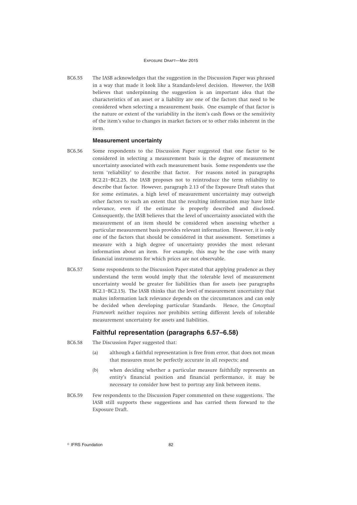BC6.55 The IASB acknowledges that the suggestion in the Discussion Paper was phrased in a way that made it look like a Standards-level decision. However, the IASB believes that underpinning the suggestion is an important idea that the characteristics of an asset or a liability are one of the factors that need to be considered when selecting a measurement basis. One example of that factor is the nature or extent of the variability in the item's cash flows or the sensitivity of the item's value to changes in market factors or to other risks inherent in the item.

#### **Measurement uncertainty**

- BC6.56 Some respondents to the Discussion Paper suggested that one factor to be considered in selecting a measurement basis is the degree of measurement uncertainty associated with each measurement basis. Some respondents use the term 'reliability' to describe that factor. For reasons noted in paragraphs BC2.21–BC2.25, the IASB proposes not to reintroduce the term reliability to describe that factor. However, paragraph 2.13 of the Exposure Draft states that for some estimates, a high level of measurement uncertainty may outweigh other factors to such an extent that the resulting information may have little relevance, even if the estimate is properly described and disclosed. Consequently, the IASB believes that the level of uncertainty associated with the measurement of an item should be considered when assessing whether a particular measurement basis provides relevant information. However, it is only one of the factors that should be considered in that assessment. Sometimes a measure with a high degree of uncertainty provides the most relevant information about an item. For example, this may be the case with many financial instruments for which prices are not observable.
- BC6.57 Some respondents to the Discussion Paper stated that applying prudence as they understand the term would imply that the tolerable level of measurement uncertainty would be greater for liabilities than for assets (see paragraphs BC2.1–BC2.15). The IASB thinks that the level of measurement uncertainty that makes information lack relevance depends on the circumstances and can only be decided when developing particular Standards. Hence, the *Conceptual Framework* neither requires nor prohibits setting different levels of tolerable measurement uncertainty for assets and liabilities.

### **Faithful representation (paragraphs 6.57–6.58)**

- BC6.58 The Discussion Paper suggested that:
	- (a) although a faithful representation is free from error, that does not mean that measures must be perfectly accurate in all respects; and
	- (b) when deciding whether a particular measure faithfully represents an entity's financial position and financial performance, it may be necessary to consider how best to portray any link between items.
- BC6.59 Few respondents to the Discussion Paper commented on these suggestions. The IASB still supports these suggestions and has carried them forward to the Exposure Draft.

**Communist Execution 1982 82**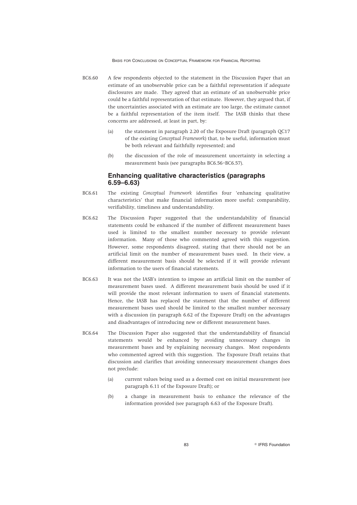- BC6.60 A few respondents objected to the statement in the Discussion Paper that an estimate of an unobservable price can be a faithful representation if adequate disclosures are made. They agreed that an estimate of an unobservable price could be a faithful representation of that estimate. However, they argued that, if the uncertainties associated with an estimate are too large, the estimate cannot be a faithful representation of the item itself. The IASB thinks that these concerns are addressed, at least in part, by:
	- (a) the statement in paragraph 2.20 of the Exposure Draft (paragraph QC17 of the existing *Conceptual Framework*) that, to be useful, information must be both relevant and faithfully represented; and
	- (b) the discussion of the role of measurement uncertainty in selecting a measurement basis (see paragraphs BC6.56–BC6.57).

## **Enhancing qualitative characteristics (paragraphs 6.59–6.63)**

- BC6.61 The existing *Conceptual Framework* identifies four 'enhancing qualitative characteristics' that make financial information more useful: comparability, verifiability, timeliness and understandability.
- BC6.62 The Discussion Paper suggested that the understandability of financial statements could be enhanced if the number of different measurement bases used is limited to the smallest number necessary to provide relevant information. Many of those who commented agreed with this suggestion. However, some respondents disagreed, stating that there should not be an artificial limit on the number of measurement bases used. In their view, a different measurement basis should be selected if it will provide relevant information to the users of financial statements.
- BC6.63 It was not the IASB's intention to impose an artificial limit on the number of measurement bases used. A different measurement basis should be used if it will provide the most relevant information to users of financial statements. Hence, the IASB has replaced the statement that the number of different measurement bases used should be limited to the smallest number necessary with a discussion (in paragraph 6.62 of the Exposure Draft) on the advantages and disadvantages of introducing new or different measurement bases.
- BC6.64 The Discussion Paper also suggested that the understandability of financial statements would be enhanced by avoiding unnecessary changes in measurement bases and by explaining necessary changes. Most respondents who commented agreed with this suggestion. The Exposure Draft retains that discussion and clarifies that avoiding unnecessary measurement changes does not preclude:
	- (a) current values being used as a deemed cost on initial measurement (see paragraph 6.11 of the Exposure Draft); or
	- (b) a change in measurement basis to enhance the relevance of the information provided (see paragraph 6.63 of the Exposure Draft).

<sup>©</sup> IFRS Foundation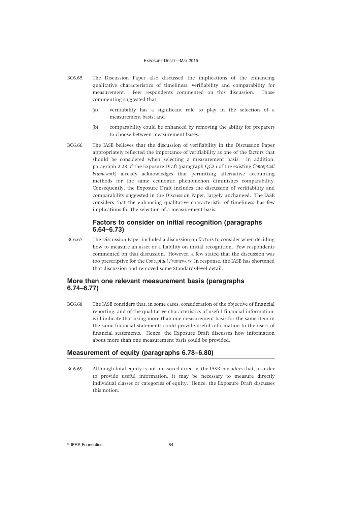- BC6.65 The Discussion Paper also discussed the implications of the enhancing qualitative characteristics of timeliness, verifiability and comparability for measurement. Few respondents commented on this discussion. Those commenting suggested that:
	- (a) verifiability has a significant role to play in the selection of a measurement basis; and
	- (b) comparability could be enhanced by removing the ability for preparers to choose between measurement bases.
- BC6.66 The IASB believes that the discussion of verifiability in the Discussion Paper appropriately reflected the importance of verifiability as one of the factors that should be considered when selecting a measurement basis. In addition, paragraph 2.28 of the Exposure Draft (paragraph QC25 of the existing *Conceptual Framework*) already acknowledges that permitting alternative accounting methods for the same economic phenomenon diminishes comparability. Consequently, the Exposure Draft includes the discussion of verifiability and comparability suggested in the Discussion Paper, largely unchanged. The IASB considers that the enhancing qualitative characteristic of timeliness has few implications for the selection of a measurement basis.

## **Factors to consider on initial recognition (paragraphs 6.64–6.73)**

BC6.67 The Discussion Paper included a discussion on factors to consider when deciding how to measure an asset or a liability on initial recognition. Few respondents commented on that discussion. However, a few stated that the discussion was too prescriptive for the *Conceptual Framework.* In response, the IASB has shortened that discussion and removed some Standards-level detail.

## **More than one relevant measurement basis (paragraphs 6.74–6.77)**

BC6.68 The IASB considers that, in some cases, consideration of the objective of financial reporting, and of the qualitative characteristics of useful financial information, will indicate that using more than one measurement basis for the same item in the same financial statements could provide useful information to the users of financial statements. Hence, the Exposure Draft discusses how information about more than one measurement basis could be provided.

### **Measurement of equity (paragraphs 6.78–6.80)**

BC6.69 Although total equity is not measured directly, the IASB considers that, in order to provide useful information, it may be necessary to measure directly individual classes or categories of equity. Hence, the Exposure Draft discusses this notion.

**Communist Execution 1944 84**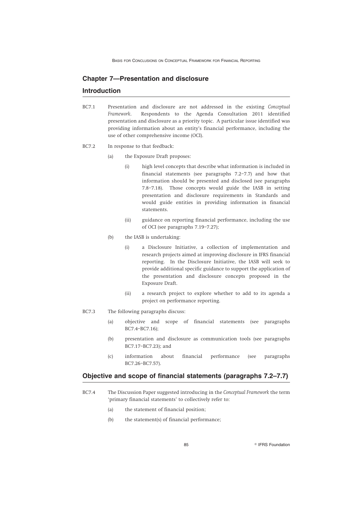## **Chapter 7—Presentation and disclosure**

## **Introduction**

- BC7.1 Presentation and disclosure are not addressed in the existing *Conceptual Framework*. Respondents to the Agenda Consultation 2011 identified presentation and disclosure as a priority topic. A particular issue identified was providing information about an entity's financial performance, including the use of other comprehensive income (OCI).
- BC7.2 In response to that feedback:
	- (a) the Exposure Draft proposes:
		- (i) high level concepts that describe what information is included in financial statements (see paragraphs 7.2–7.7) and how that information should be presented and disclosed (see paragraphs 7.8–7.18). Those concepts would guide the IASB in setting presentation and disclosure requirements in Standards and would guide entities in providing information in financial statements.
		- (ii) guidance on reporting financial performance, including the use of OCI (see paragraphs 7.19–7.27);
	- (b) the IASB is undertaking:
		- (i) a Disclosure Initiative, a collection of implementation and research projects aimed at improving disclosure in IFRS financial reporting. In the Disclosure Initiative, the IASB will seek to provide additional specific guidance to support the application of the presentation and disclosure concepts proposed in the Exposure Draft.
		- (ii) a research project to explore whether to add to its agenda a project on performance reporting.
- BC7.3 The following paragraphs discuss:
	- (a) objective and scope of financial statements (see paragraphs BC7.4–BC7.16);
	- (b) presentation and disclosure as communication tools (see paragraphs BC7.17–BC7.23); and
	- (c) information about financial performance (see paragraphs BC7.26–BC7.57).

## **Objective and scope of financial statements (paragraphs 7.2–7.7)**

- BC7.4 The Discussion Paper suggested introducing in the *Conceptual Framework* the term 'primary financial statements' to collectively refer to:
	- (a) the statement of financial position;
	- (b) the statement(s) of financial performance;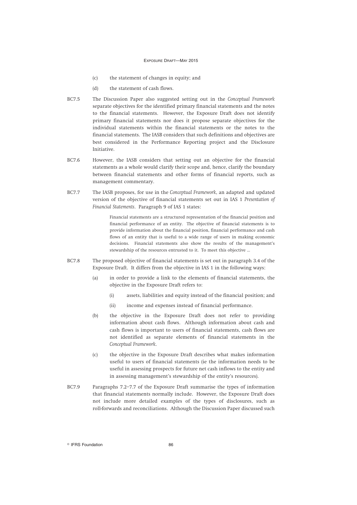- (c) the statement of changes in equity; and
- (d) the statement of cash flows.
- BC7.5 The Discussion Paper also suggested setting out in the *Conceptual Framework* separate objectives for the identified primary financial statements and the notes to the financial statements. However, the Exposure Draft does not identify primary financial statements nor does it propose separate objectives for the individual statements within the financial statements or the notes to the financial statements. The IASB considers that such definitions and objectives are best considered in the Performance Reporting project and the Disclosure Initiative.
- BC7.6 However, the IASB considers that setting out an objective for the financial statements as a whole would clarify their scope and, hence, clarify the boundary between financial statements and other forms of financial reports, such as management commentary.
- BC7.7 The IASB proposes, for use in the *Conceptual Framework*, an adapted and updated version of the objective of financial statements set out in IAS 1 *Presentation of Financial Statements*. Paragraph 9 of IAS 1 states:

Financial statements are a structured representation of the financial position and financial performance of an entity. The objective of financial statements is to provide information about the financial position, financial performance and cash flows of an entity that is useful to a wide range of users in making economic decisions. Financial statements also show the results of the management's stewardship of the resources entrusted to it. To meet this objective …

- BC7.8 The proposed objective of financial statements is set out in paragraph 3.4 of the Exposure Draft. It differs from the objective in IAS 1 in the following ways:
	- (a) in order to provide a link to the elements of financial statements, the objective in the Exposure Draft refers to:
		- (i) assets, liabilities and equity instead of the financial position; and
		- (ii) income and expenses instead of financial performance.
	- (b) the objective in the Exposure Draft does not refer to providing information about cash flows. Although information about cash and cash flows is important to users of financial statements, cash flows are not identified as separate elements of financial statements in the *Conceptual Framework*.
	- (c) the objective in the Exposure Draft describes what makes information useful to users of financial statements (ie the information needs to be useful in assessing prospects for future net cash inflows to the entity and in assessing management's stewardship of the entity's resources).
- BC7.9 Paragraphs 7.2–7.7 of the Exposure Draft summarise the types of information that financial statements normally include. However, the Exposure Draft does not include more detailed examples of the types of disclosures, such as roll-forwards and reconciliations. Although the Discussion Paper discussed such

**Communist Execution 1998 86**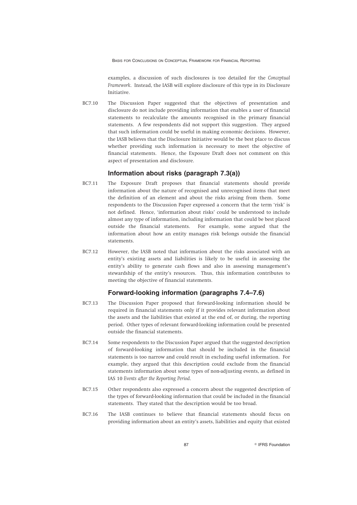examples, a discussion of such disclosures is too detailed for the *Conceptual Framework*. Instead, the IASB will explore disclosure of this type in its Disclosure Initiative.

BC7.10 The Discussion Paper suggested that the objectives of presentation and disclosure do not include providing information that enables a user of financial statements to recalculate the amounts recognised in the primary financial statements. A few respondents did not support this suggestion. They argued that such information could be useful in making economic decisions. However, the IASB believes that the Disclosure Initiative would be the best place to discuss whether providing such information is necessary to meet the objective of financial statements. Hence, the Exposure Draft does not comment on this aspect of presentation and disclosure.

### **Information about risks (paragraph 7.3(a))**

- BC7.11 The Exposure Draft proposes that financial statements should provide information about the nature of recognised and unrecognised items that meet the definition of an element and about the risks arising from them. Some respondents to the Discussion Paper expressed a concern that the term 'risk' is not defined. Hence, 'information about risks' could be understood to include almost any type of information, including information that could be best placed outside the financial statements. For example, some argued that the information about how an entity manages risk belongs outside the financial statements.
- BC7.12 However, the IASB noted that information about the risks associated with an entity's existing assets and liabilities is likely to be useful in assessing the entity's ability to generate cash flows and also in assessing management's stewardship of the entity's resources. Thus, this information contributes to meeting the objective of financial statements.

### **Forward-looking information (paragraphs 7.4–7.6)**

- BC7.13 The Discussion Paper proposed that forward-looking information should be required in financial statements only if it provides relevant information about the assets and the liabilities that existed at the end of, or during, the reporting period. Other types of relevant forward-looking information could be presented outside the financial statements.
- BC7.14 Some respondents to the Discussion Paper argued that the suggested description of forward-looking information that should be included in the financial statements is too narrow and could result in excluding useful information. For example, they argued that this description could exclude from the financial statements information about some types of non-adjusting events, as defined in IAS 10 *Events after the Reporting Period*.
- BC7.15 Other respondents also expressed a concern about the suggested description of the types of forward-looking information that could be included in the financial statements. They stated that the description would be too broad.
- BC7.16 The IASB continues to believe that financial statements should focus on providing information about an entity's assets, liabilities and equity that existed

<sup>©</sup> IFRS Foundation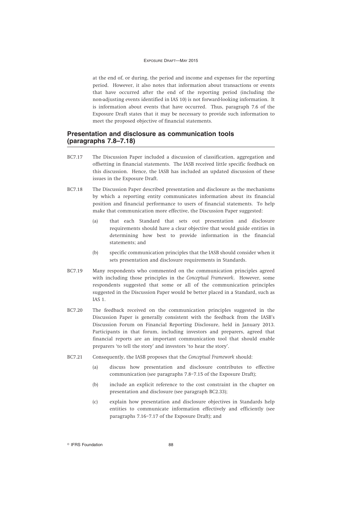at the end of, or during, the period and income and expenses for the reporting period. However, it also notes that information about transactions or events that have occurred after the end of the reporting period (including the non-adjusting events identified in IAS 10) is not forward-looking information. It is information about events that have occurred. Thus, paragraph 7.6 of the Exposure Draft states that it may be necessary to provide such information to meet the proposed objective of financial statements.

## **Presentation and disclosure as communication tools (paragraphs 7.8–7.18)**

- BC7.17 The Discussion Paper included a discussion of classification, aggregation and offsetting in financial statements. The IASB received little specific feedback on this discussion. Hence, the IASB has included an updated discussion of these issues in the Exposure Draft.
- BC7.18 The Discussion Paper described presentation and disclosure as the mechanisms by which a reporting entity communicates information about its financial position and financial performance to users of financial statements. To help make that communication more effective, the Discussion Paper suggested:
	- (a) that each Standard that sets out presentation and disclosure requirements should have a clear objective that would guide entities in determining how best to provide information in the financial statements; and
	- (b) specific communication principles that the IASB should consider when it sets presentation and disclosure requirements in Standards.
- BC7.19 Many respondents who commented on the communication principles agreed with including those principles in the *Conceptual Framework*. However, some respondents suggested that some or all of the communication principles suggested in the Discussion Paper would be better placed in a Standard, such as IAS 1.
- BC7.20 The feedback received on the communication principles suggested in the Discussion Paper is generally consistent with the feedback from the IASB's Discussion Forum on Financial Reporting Disclosure, held in January 2013. Participants in that forum, including investors and preparers, agreed that financial reports are an important communication tool that should enable preparers 'to tell the story' and investors 'to hear the story'.
- BC7.21 Consequently, the IASB proposes that the *Conceptual Framework* should:
	- (a) discuss how presentation and disclosure contributes to effective communication (see paragraphs 7.8–7.15 of the Exposure Draft);
	- (b) include an explicit reference to the cost constraint in the chapter on presentation and disclosure (see paragraph BC2.33);
	- (c) explain how presentation and disclosure objectives in Standards help entities to communicate information effectively and efficiently (see paragraphs 7.16–7.17 of the Exposure Draft); and

**Communist Execution 1988 88**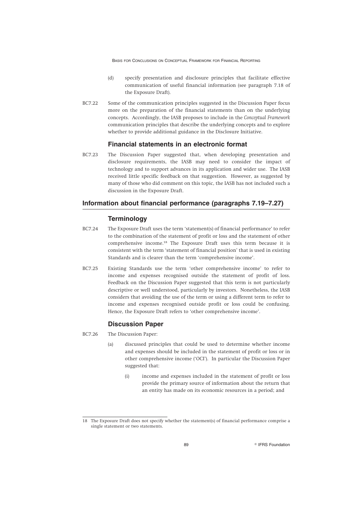- (d) specify presentation and disclosure principles that facilitate effective communication of useful financial information (see paragraph 7.18 of the Exposure Draft).
- BC7.22 Some of the communication principles suggested in the Discussion Paper focus more on the preparation of the financial statements than on the underlying concepts. Accordingly, the IASB proposes to include in the *Conceptual Framework* communication principles that describe the underlying concepts and to explore whether to provide additional guidance in the Disclosure Initiative.

### **Financial statements in an electronic format**

BC7.23 The Discussion Paper suggested that, when developing presentation and disclosure requirements, the IASB may need to consider the impact of technology and to support advances in its application and wider use. The IASB received little specific feedback on that suggestion. However, as suggested by many of those who did comment on this topic, the IASB has not included such a discussion in the Exposure Draft.

### **Information about financial performance (paragraphs 7.19–7.27)**

### **Terminology**

- BC7.24 The Exposure Draft uses the term 'statement(s) of financial performance' to refer to the combination of the statement of profit or loss and the statement of other comprehensive income.<sup>18</sup> The Exposure Draft uses this term because it is consistent with the term 'statement of financial position' that is used in existing Standards and is clearer than the term 'comprehensive income'.
- BC7.25 Existing Standards use the term 'other comprehensive income' to refer to income and expenses recognised outside the statement of profit of loss. Feedback on the Discussion Paper suggested that this term is not particularly descriptive or well understood, particularly by investors. Nonetheless, the IASB considers that avoiding the use of the term or using a different term to refer to income and expenses recognised outside profit or loss could be confusing. Hence, the Exposure Draft refers to 'other comprehensive income'.

### **Discussion Paper**

- BC7.26 The Discussion Paper:
	- (a) discussed principles that could be used to determine whether income and expenses should be included in the statement of profit or loss or in other comprehensive income ('OCI'). In particular the Discussion Paper suggested that:
		- (i) income and expenses included in the statement of profit or loss provide the primary source of information about the return that an entity has made on its economic resources in a period; and

<sup>18</sup> The Exposure Draft does not specify whether the statement(s) of financial performance comprise a single statement or two statements.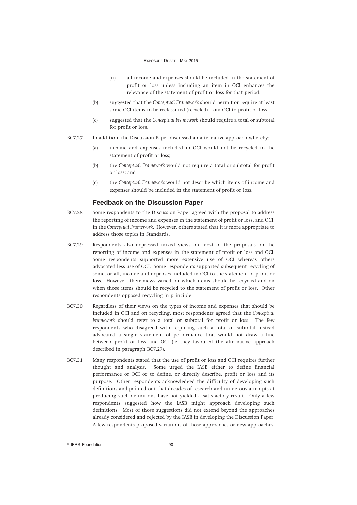- (ii) all income and expenses should be included in the statement of profit or loss unless including an item in OCI enhances the relevance of the statement of profit or loss for that period.
- (b) suggested that the *Conceptual Framework* should permit or require at least some OCI items to be reclassified (recycled) from OCI to profit or loss.
- (c) suggested that the *Conceptual Framework* should require a total or subtotal for profit or loss.
- BC7.27 In addition, the Discussion Paper discussed an alternative approach whereby:
	- (a) income and expenses included in OCI would not be recycled to the statement of profit or loss;
	- (b) the *Conceptual Framework* would not require a total or subtotal for profit or loss; and
	- (c) the *Conceptual Framework* would not describe which items of income and expenses should be included in the statement of profit or loss.

## **Feedback on the Discussion Paper**

- BC7.28 Some respondents to the Discussion Paper agreed with the proposal to address the reporting of income and expenses in the statement of profit or loss, and OCI, in the *Conceptual Framework*. However, others stated that it is more appropriate to address those topics in Standards.
- BC7.29 Respondents also expressed mixed views on most of the proposals on the reporting of income and expenses in the statement of profit or loss and OCI. Some respondents supported more extensive use of OCI whereas others advocated less use of OCI. Some respondents supported subsequent recycling of some, or all, income and expenses included in OCI to the statement of profit or loss. However, their views varied on which items should be recycled and on when those items should be recycled to the statement of profit or loss. Other respondents opposed recycling in principle.
- BC7.30 Regardless of their views on the types of income and expenses that should be included in OCI and on recycling, most respondents agreed that the *Conceptual Framework* should refer to a total or subtotal for profit or loss. The few respondents who disagreed with requiring such a total or subtotal instead advocated a single statement of performance that would not draw a line between profit or loss and OCI (ie they favoured the alternative approach described in paragraph BC7.27).
- BC7.31 Many respondents stated that the use of profit or loss and OCI requires further thought and analysis. Some urged the IASB either to define financial performance or OCI or to define, or directly describe, profit or loss and its purpose. Other respondents acknowledged the difficulty of developing such definitions and pointed out that decades of research and numerous attempts at producing such definitions have not yielded a satisfactory result. Only a few respondents suggested how the IASB might approach developing such definitions. Most of those suggestions did not extend beyond the approaches already considered and rejected by the IASB in developing the Discussion Paper. A few respondents proposed variations of those approaches or new approaches.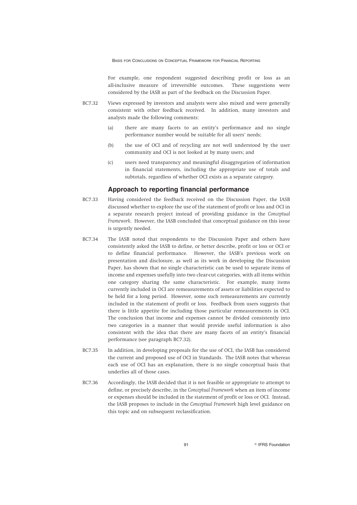For example, one respondent suggested describing profit or loss as an all-inclusive measure of irreversible outcomes. These suggestions were considered by the IASB as part of the feedback on the Discussion Paper.

- BC7.32 Views expressed by investors and analysts were also mixed and were generally consistent with other feedback received. In addition, many investors and analysts made the following comments:
	- (a) there are many facets to an entity's performance and no single performance number would be suitable for all users' needs;
	- (b) the use of OCI and of recycling are not well understood by the user community and OCI is not looked at by many users; and
	- (c) users need transparency and meaningful disaggregation of information in financial statements, including the appropriate use of totals and subtotals, regardless of whether OCI exists as a separate category.

#### **Approach to reporting financial performance**

- BC7.33 Having considered the feedback received on the Discussion Paper, the IASB discussed whether to explore the use of the statement of profit or loss and OCI in a separate research project instead of providing guidance in the *Conceptual Framework*. However, the IASB concluded that conceptual guidance on this issue is urgently needed.
- BC7.34 The IASB noted that respondents to the Discussion Paper and others have consistently asked the IASB to define, or better describe, profit or loss or OCI or to define financial performance. However, the IASB's previous work on presentation and disclosure, as well as its work in developing the Discussion Paper, has shown that no single characteristic can be used to separate items of income and expenses usefully into two clear-cut categories, with all items within one category sharing the same characteristic. For example, many items currently included in OCI are remeasurements of assets or liabilities expected to be held for a long period. However, some such remeasurements are currently included in the statement of profit or loss. Feedback from users suggests that there is little appetite for including those particular remeasurements in OCI. The conclusion that income and expenses cannot be divided consistently into two categories in a manner that would provide useful information is also consistent with the idea that there are many facets of an entity's financial performance (see paragraph BC7.32).
- BC7.35 In addition, in developing proposals for the use of OCI, the IASB has considered the current and proposed use of OCI in Standards. The IASB notes that whereas each use of OCI has an explanation, there is no single conceptual basis that underlies all of those cases.
- BC7.36 Accordingly, the IASB decided that it is not feasible or appropriate to attempt to define, or precisely describe, in the *Conceptual Framework* when an item of income or expenses should be included in the statement of profit or loss or OCI. Instead, the IASB proposes to include in the *Conceptual Framework* high level guidance on this topic and on subsequent reclassification.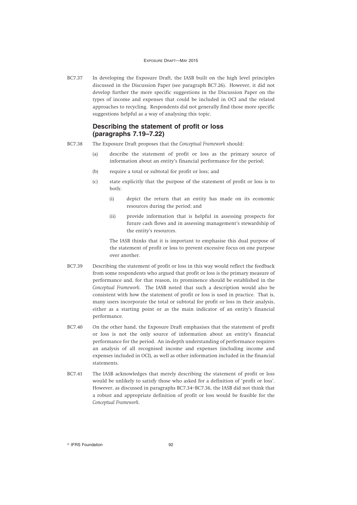BC7.37 In developing the Exposure Draft, the IASB built on the high level principles discussed in the Discussion Paper (see paragraph BC7.26). However, it did not develop further the more specific suggestions in the Discussion Paper on the types of income and expenses that could be included in OCI and the related approaches to recycling. Respondents did not generally find those more specific suggestions helpful as a way of analysing this topic.

## **Describing the statement of profit or loss (paragraphs 7.19–7.22)**

- BC7.38 The Exposure Draft proposes that the *Conceptual Framework* should:
	- (a) describe the statement of profit or loss as the primary source of information about an entity's financial performance for the period;
	- (b) require a total or subtotal for profit or loss; and
	- (c) state explicitly that the purpose of the statement of profit or loss is to both:
		- (i) depict the return that an entity has made on its economic resources during the period; and
		- (ii) provide information that is helpful in assessing prospects for future cash flows and in assessing management's stewardship of the entity's resources.

The IASB thinks that it is important to emphasise this dual purpose of the statement of profit or loss to prevent excessive focus on one purpose over another.

- BC7.39 Describing the statement of profit or loss in this way would reflect the feedback from some respondents who argued that profit or loss is the primary measure of performance and, for that reason, its prominence should be established in the *Conceptual Framework*. The IASB noted that such a description would also be consistent with how the statement of profit or loss is used in practice. That is, many users incorporate the total or subtotal for profit or loss in their analysis, either as a starting point or as the main indicator of an entity's financial performance.
- BC7.40 On the other hand, the Exposure Draft emphasises that the statement of profit or loss is not the only source of information about an entity's financial performance for the period. An in-depth understanding of performance requires an analysis of all recognised income and expenses (including income and expenses included in OCI), as well as other information included in the financial statements.
- BC7.41 The IASB acknowledges that merely describing the statement of profit or loss would be unlikely to satisfy those who asked for a definition of 'profit or loss'. However, as discussed in paragraphs BC7.34–BC7.36, the IASB did not think that a robust and appropriate definition of profit or loss would be feasible for the *Conceptual Framework*.

**Communist Execution 1992 92**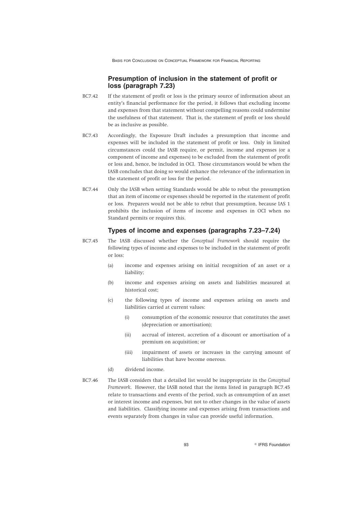## **Presumption of inclusion in the statement of profit or loss (paragraph 7.23)**

- BC7.42 If the statement of profit or loss is the primary source of information about an entity's financial performance for the period, it follows that excluding income and expenses from that statement without compelling reasons could undermine the usefulness of that statement. That is, the statement of profit or loss should be as inclusive as possible.
- BC7.43 Accordingly, the Exposure Draft includes a presumption that income and expenses will be included in the statement of profit or loss. Only in limited circumstances could the IASB require, or permit, income and expenses (or a component of income and expenses) to be excluded from the statement of profit or loss and, hence, be included in OCI. Those circumstances would be when the IASB concludes that doing so would enhance the relevance of the information in the statement of profit or loss for the period.
- BC7.44 Only the IASB when setting Standards would be able to rebut the presumption that an item of income or expenses should be reported in the statement of profit or loss. Preparers would not be able to rebut that presumption, because IAS 1 prohibits the inclusion of items of income and expenses in OCI when no Standard permits or requires this.

### **Types of income and expenses (paragraphs 7.23–7.24)**

- BC7.45 The IASB discussed whether the *Conceptual Framework* should require the following types of income and expenses to be included in the statement of profit or loss:
	- (a) income and expenses arising on initial recognition of an asset or a liability;
	- (b) income and expenses arising on assets and liabilities measured at historical cost;
	- (c) the following types of income and expenses arising on assets and liabilities carried at current values:
		- (i) consumption of the economic resource that constitutes the asset (depreciation or amortisation);
		- (ii) accrual of interest, accretion of a discount or amortisation of a premium on acquisition; or
		- (iii) impairment of assets or increases in the carrying amount of liabilities that have become onerous.
	- (d) dividend income.
- BC7.46 The IASB considers that a detailed list would be inappropriate in the *Conceptual Framework*. However, the IASB noted that the items listed in paragraph BC7.45 relate to transactions and events of the period, such as consumption of an asset or interest income and expenses, but not to other changes in the value of assets and liabilities. Classifying income and expenses arising from transactions and events separately from changes in value can provide useful information.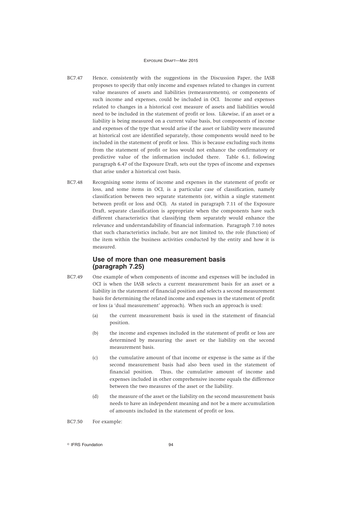- BC7.47 Hence, consistently with the suggestions in the Discussion Paper, the IASB proposes to specify that only income and expenses related to changes in current value measures of assets and liabilities (remeasurements), or components of such income and expenses, could be included in OCI. Income and expenses related to changes in a historical cost measure of assets and liabilities would need to be included in the statement of profit or loss. Likewise, if an asset or a liability is being measured on a current value basis, but components of income and expenses of the type that would arise if the asset or liability were measured at historical cost are identified separately, those components would need to be included in the statement of profit or loss. This is because excluding such items from the statement of profit or loss would not enhance the confirmatory or predictive value of the information included there. Table 6.1, following paragraph 6.47 of the Exposure Draft, sets out the types of income and expenses that arise under a historical cost basis.
- BC7.48 Recognising some items of income and expenses in the statement of profit or loss, and some items in OCI, is a particular case of classification, namely classification between two separate statements (or, within a single statement between profit or loss and OCI). As stated in paragraph 7.11 of the Exposure Draft, separate classification is appropriate when the components have such different characteristics that classifying them separately would enhance the relevance and understandability of financial information. Paragraph 7.10 notes that such characteristics include, but are not limited to, the role (function) of the item within the business activities conducted by the entity and how it is measured.

## **Use of more than one measurement basis (paragraph 7.25)**

- BC7.49 One example of when components of income and expenses will be included in OCI is when the IASB selects a current measurement basis for an asset or a liability in the statement of financial position and selects a second measurement basis for determining the related income and expenses in the statement of profit or loss (a 'dual measurement' approach). When such an approach is used:
	- (a) the current measurement basis is used in the statement of financial position.
	- (b) the income and expenses included in the statement of profit or loss are determined by measuring the asset or the liability on the second measurement basis.
	- (c) the cumulative amount of that income or expense is the same as if the second measurement basis had also been used in the statement of financial position. Thus, the cumulative amount of income and expenses included in other comprehensive income equals the difference between the two measures of the asset or the liability.
	- (d) the measure of the asset or the liability on the second measurement basis needs to have an independent meaning and not be a mere accumulation of amounts included in the statement of profit or loss.

BC7.50 For example:

**Communist Execution** 64 and 54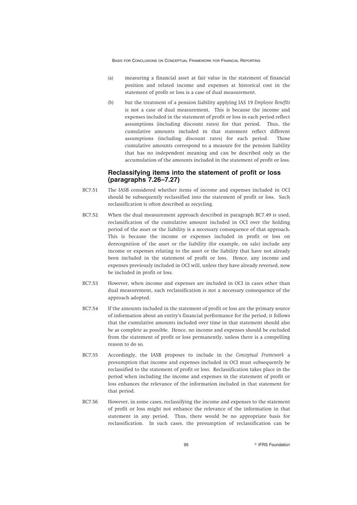- (a) measuring a financial asset at fair value in the statement of financial position and related income and expenses at historical cost in the statement of profit or loss is a case of dual measurement.
- (b) but the treatment of a pension liability applying IAS 19 *Employee Benefits* is not a case of dual measurement. This is because the income and expenses included in the statement of profit or loss in each period reflect assumptions (including discount rates) for that period. Thus, the cumulative amounts included in that statement reflect different assumptions (including discount rates) for each period. Those cumulative amounts correspond to a measure for the pension liability that has no independent meaning and can be described only as the accumulation of the amounts included in the statement of profit or loss.

## **Reclassifying items into the statement of profit or loss (paragraphs 7.26–7.27)**

- BC7.51 The IASB considered whether items of income and expenses included in OCI should be subsequently reclassified into the statement of profit or loss. Such reclassification is often described as recycling.
- BC7.52 When the dual measurement approach described in paragraph BC7.49 is used, reclassification of the cumulative amount included in OCI over the holding period of the asset or the liability is a necessary consequence of that approach. This is because the income or expenses included in profit or loss on derecognition of the asset or the liability (for example, on sale) include any income or expenses relating to the asset or the liability that have not already been included in the statement of profit or loss. Hence, any income and expenses previously included in OCI will, unless they have already reversed, now be included in profit or loss.
- BC7.53 However, when income and expenses are included in OCI in cases other than dual measurement, such reclassification is not a necessary consequence of the approach adopted.
- BC7.54 If the amounts included in the statement of profit or loss are the primary source of information about an entity's financial performance for the period, it follows that the cumulative amounts included over time in that statement should also be as complete as possible. Hence, no income and expenses should be excluded from the statement of profit or loss permanently, unless there is a compelling reason to do so.
- BC7.55 Accordingly, the IASB proposes to include in the *Conceptual Framework* a presumption that income and expenses included in OCI must subsequently be reclassified to the statement of profit or loss. Reclassification takes place in the period when including the income and expenses in the statement of profit or loss enhances the relevance of the information included in that statement for that period.
- BC7.56 However, in some cases, reclassifying the income and expenses to the statement of profit or loss might not enhance the relevance of the information in that statement in any period. Thus, there would be no appropriate basis for reclassification. In such cases, the presumption of reclassification can be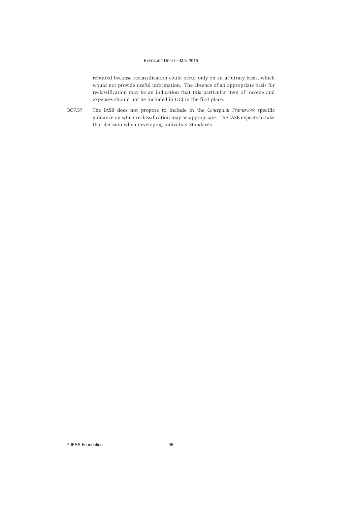rebutted because reclassification could occur only on an arbitrary basis, which would not provide useful information. The absence of an appropriate basis for reclassification may be an indication that this particular item of income and expenses should not be included in OCI in the first place.

BC7.57 The IASB does not propose to include in the *Conceptual Framework* specific guidance on when reclassification may be appropriate. The IASB expects to take that decision when developing individual Standards.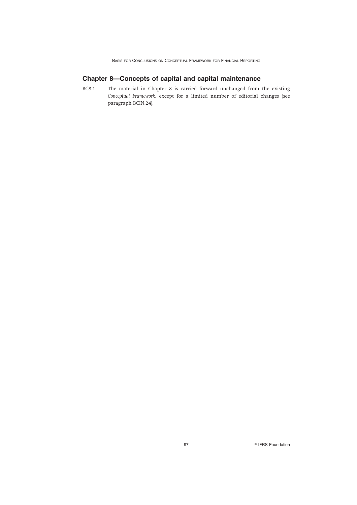# **Chapter 8—Concepts of capital and capital maintenance**

BC8.1 The material in Chapter 8 is carried forward unchanged from the existing *Conceptual Framework*, except for a limited number of editorial changes (see paragraph BCIN.24).

<sup>©</sup> IFRS Foundation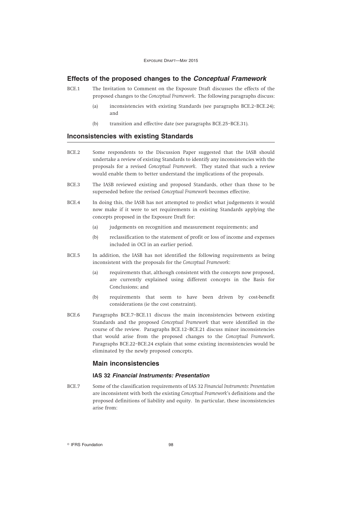### **Effects of the proposed changes to the** *Conceptual Framework*

- BCE.1 The Invitation to Comment on the Exposure Draft discusses the effects of the proposed changes to the *Conceptual Framework*. The following paragraphs discuss:
	- (a) inconsistencies with existing Standards (see paragraphs BCE.2–BCE.24); and
	- (b) transition and effective date (see paragraphs BCE.25–BCE.31).

## **Inconsistencies with existing Standards**

- BCE.2 Some respondents to the Discussion Paper suggested that the IASB should undertake a review of existing Standards to identify any inconsistencies with the proposals for a revised *Conceptual Framework*. They stated that such a review would enable them to better understand the implications of the proposals.
- BCE.3 The IASB reviewed existing and proposed Standards, other than those to be superseded before the revised *Conceptual Framework* becomes effective.
- BCE.4 In doing this, the IASB has not attempted to predict what judgements it would now make if it were to set requirements in existing Standards applying the concepts proposed in the Exposure Draft for:
	- (a) judgements on recognition and measurement requirements; and
	- (b) reclassification to the statement of profit or loss of income and expenses included in OCI in an earlier period.
- BCE.5 In addition, the IASB has not identified the following requirements as being inconsistent with the proposals for the *Conceptual Framework*:
	- (a) requirements that, although consistent with the concepts now proposed, are currently explained using different concepts in the Basis for Conclusions; and
	- (b) requirements that seem to have been driven by cost-benefit considerations (ie the cost constraint).
- BCE.6 Paragraphs BCE.7–BCE.11 discuss the main inconsistencies between existing Standards and the proposed *Conceptual Framework* that were identified in the course of the review. Paragraphs BCE.12–BCE.21 discuss minor inconsistencies that would arise from the proposed changes to the *Conceptual Framework*. Paragraphs BCE.22–BCE.24 explain that some existing inconsistencies would be eliminated by the newly proposed concepts.

### **Main inconsistencies**

#### **IAS 32** *Financial Instruments: Presentation*

BCE.7 Some of the classification requirements of IAS 32 *Financial Instruments: Presentation* are inconsistent with both the existing *Conceptual Framework*'s definitions and the proposed definitions of liability and equity. In particular, these inconsistencies arise from: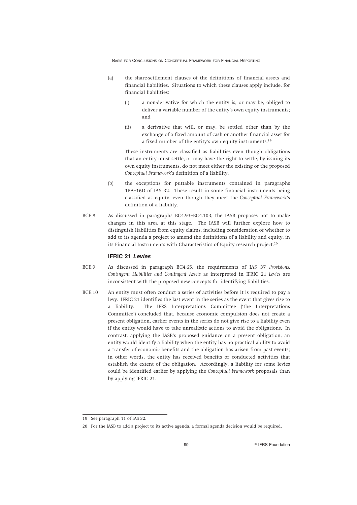- (a) the share-settlement clauses of the definitions of financial assets and financial liabilities. Situations to which these clauses apply include, for financial liabilities:
	- (i) a non-derivative for which the entity is, or may be, obliged to deliver a variable number of the entity's own equity instruments; and
	- (ii) a derivative that will, or may, be settled other than by the exchange of a fixed amount of cash or another financial asset for a fixed number of the entity's own equity instruments.<sup>19</sup>

These instruments are classified as liabilities even though obligations that an entity must settle, or may have the right to settle, by issuing its own equity instruments, do not meet either the existing or the proposed *Conceptual Framework*'s definition of a liability.

- (b) the exceptions for puttable instruments contained in paragraphs 16A–16D of IAS 32. These result in some financial instruments being classified as equity, even though they meet the *Conceptual Framework*'s definition of a liability.
- BCE.8 As discussed in paragraphs BC4.93–BC4.103, the IASB proposes not to make changes in this area at this stage. The IASB will further explore how to distinguish liabilities from equity claims, including consideration of whether to add to its agenda a project to amend the definitions of a liability and equity, in its Financial Instruments with Characteristics of Equity research project.<sup>20</sup>

#### **IFRIC 21** *Levies*

- BCE.9 As discussed in paragraph BC4.65, the requirements of IAS 37 *Provisions, Contingent Liabilities and Contingent Assets* as interpreted in IFRIC 21 *Levies* are inconsistent with the proposed new concepts for identifying liabilities.
- BCE.10 An entity must often conduct a series of activities before it is required to pay a levy. IFRIC 21 identifies the last event in the series as the event that gives rise to a liability. The IFRS Interpretations Committee ('the Interpretations Committee') concluded that, because economic compulsion does not create a present obligation, earlier events in the series do not give rise to a liability even if the entity would have to take unrealistic actions to avoid the obligations. In contrast, applying the IASB's proposed guidance on a present obligation, an entity would identify a liability when the entity has no practical ability to avoid a transfer of economic benefits and the obligation has arisen from past events; in other words, the entity has received benefits or conducted activities that establish the extent of the obligation. Accordingly, a liability for some levies could be identified earlier by applying the *Conceptual Framework* proposals than by applying IFRIC 21.

<sup>19</sup> See paragraph 11 of IAS 32.

<sup>20</sup> For the IASB to add a project to its active agenda, a formal agenda decision would be required.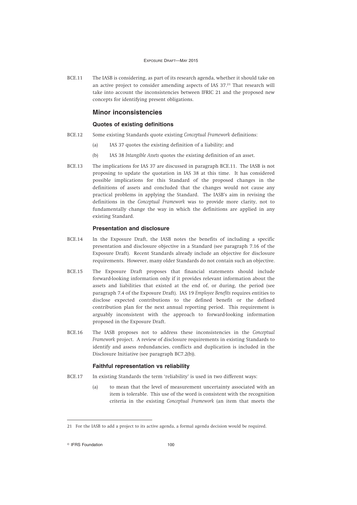BCE.11 The IASB is considering, as part of its research agenda, whether it should take on an active project to consider amending aspects of IAS 37.<sup>21</sup> That research will take into account the inconsistencies between IFRIC 21 and the proposed new concepts for identifying present obligations.

#### **Minor inconsistencies**

#### **Quotes of existing definitions**

- BCE.12 Some existing Standards quote existing *Conceptual Framework* definitions:
	- (a) IAS 37 quotes the existing definition of a liability; and
	- (b) IAS 38 *Intangible Assets* quotes the existing definition of an asset.
- BCE.13 The implications for IAS 37 are discussed in paragraph BCE.11. The IASB is not proposing to update the quotation in IAS 38 at this time. It has considered possible implications for this Standard of the proposed changes in the definitions of assets and concluded that the changes would not cause any practical problems in applying the Standard. The IASB's aim in revising the definitions in the *Conceptual Framework* was to provide more clarity, not to fundamentally change the way in which the definitions are applied in any existing Standard.

#### **Presentation and disclosure**

- BCE.14 In the Exposure Draft, the IASB notes the benefits of including a specific presentation and disclosure objective in a Standard (see paragraph 7.16 of the Exposure Draft). Recent Standards already include an objective for disclosure requirements. However, many older Standards do not contain such an objective.
- BCE.15 The Exposure Draft proposes that financial statements should include forward-looking information only if it provides relevant information about the assets and liabilities that existed at the end of, or during, the period (see paragraph 7.4 of the Exposure Draft). IAS 19 *Employee Benefits* requires entities to disclose expected contributions to the defined benefit or the defined contribution plan for the next annual reporting period. This requirement is arguably inconsistent with the approach to forward-looking information proposed in the Exposure Draft.
- BCE.16 The IASB proposes not to address these inconsistencies in the *Conceptual Framework* project. A review of disclosure requirements in existing Standards to identify and assess redundancies, conflicts and duplication is included in the Disclosure Initiative (see paragraph BC7.2(b)).

### **Faithful representation vs reliability**

- BCE.17 In existing Standards the term 'reliability' is used in two different ways:
	- (a) to mean that the level of measurement uncertainty associated with an item is tolerable. This use of the word is consistent with the recognition criteria in the existing *Conceptual Framework* (an item that meets the

Communication and the ISO 100

<sup>21</sup> For the IASB to add a project to its active agenda, a formal agenda decision would be required.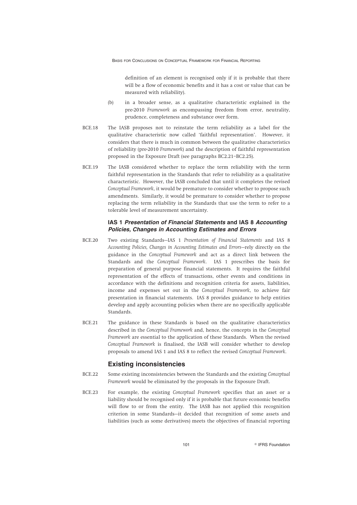definition of an element is recognised only if it is probable that there will be a flow of economic benefits and it has a cost or value that can be measured with reliability).

- (b) in a broader sense, as a qualitative characteristic explained in the pre-2010 *Framework* as encompassing freedom from error, neutrality, prudence, completeness and substance over form.
- BCE.18 The IASB proposes not to reinstate the term reliability as a label for the qualitative characteristic now called 'faithful representation'. However, it considers that there is much in common between the qualitative characteristics of reliability (pre-2010 *Framework*) and the description of faithful representation proposed in the Exposure Draft (see paragraphs BC2.21–BC2.25).
- BCE.19 The IASB considered whether to replace the term reliability with the term faithful representation in the Standards that refer to reliability as a qualitative characteristic. However, the IASB concluded that until it completes the revised *Conceptual Framework*, it would be premature to consider whether to propose such amendments. Similarly, it would be premature to consider whether to propose replacing the term reliability in the Standards that use the term to refer to a tolerable level of measurement uncertainty.

## **IAS 1** *Presentation of Financial Statements* **and IAS 8** *Accounting Policies, Changes in Accounting Estimates and Errors*

- BCE.20 Two existing Standards—IAS 1 *Presentation of Financial Statements* and IAS 8 *Accounting Policies, Changes in Accounting Estimates and Errors*—rely directly on the guidance in the *Conceptual Framework* and act as a direct link between the Standards and the *Conceptual Framework*. IAS 1 prescribes the basis for preparation of general purpose financial statements. It requires the faithful representation of the effects of transactions, other events and conditions in accordance with the definitions and recognition criteria for assets, liabilities, income and expenses set out in the *Conceptual Framework*, to achieve fair presentation in financial statements. IAS 8 provides guidance to help entities develop and apply accounting policies when there are no specifically applicable Standards.
- BCE.21 The guidance in these Standards is based on the qualitative characteristics described in the *Conceptual Framework* and, hence, the concepts in the *Conceptual Framework* are essential to the application of these Standards. When the revised *Conceptual Framework* is finalised, the IASB will consider whether to develop proposals to amend IAS 1 and IAS 8 to reflect the revised *Conceptual Framework*.

## **Existing inconsistencies**

- BCE.22 Some existing inconsistencies between the Standards and the existing *Conceptual Framework* would be eliminated by the proposals in the Exposure Draft.
- BCE.23 For example, the existing *Conceptual Framework* specifies that an asset or a liability should be recognised only if it is probable that future economic benefits will flow to or from the entity. The IASB has not applied this recognition criterion in some Standards—it decided that recognition of some assets and liabilities (such as some derivatives) meets the objectives of financial reporting

<sup>©</sup> IFRS Foundation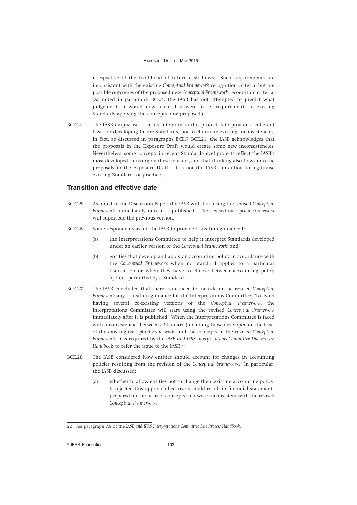irrespective of the likelihood of future cash flows. Such requirements are inconsistent with the existing *Conceptual Framework* recognition criteria, but are possible outcomes of the proposed new *Conceptual Framework* recognition criteria. (As noted in paragraph BCE.4, the IASB has not attempted to predict what judgements it would now make if it were to set requirements in existing Standards applying the concepts now proposed.)

BCE.24 The IASB emphasises that its intention in this project is to provide a coherent basis for developing future Standards, not to eliminate existing inconsistencies. In fact, as discussed in paragraphs BCE.7–BCE.21, the IASB acknowledges that the proposals in the Exposure Draft would create some new inconsistencies. Nevertheless, some concepts in recent Standards-level projects reflect the IASB's most developed thinking on these matters, and that thinking also flows into the proposals in the Exposure Draft. It is not the IASB's intention to legitimise existing Standards or practice.

## **Transition and effective date**

- BCE.25 As noted in the Discussion Paper, the IASB will start using the revised *Conceptual Framework* immediately once it is published. The revised *Conceptual Framework* will supersede the previous version.
- BCE.26 Some respondents asked the IASB to provide transition guidance for:
	- (a) the Interpretations Committee to help it interpret Standards developed under an earlier version of the *Conceptual Framework*; and
	- (b) entities that develop and apply an accounting policy in accordance with the *Conceptual Framework* when no Standard applies to a particular transaction or when they have to choose between accounting policy options permitted by a Standard.
- BCE.27 The IASB concluded that there is no need to include in the revised *Conceptual Framework* any transition guidance for the Interpretations Committee. To avoid having several co-existing versions of the *Conceptual Framework*, the Interpretations Committee will start using the revised *Conceptual Framework* immediately after it is published. When the Interpretations Committee is faced with inconsistencies between a Standard (including those developed on the basis of the existing *Conceptual Framework*) and the concepts in the revised *Conceptual Framework*, it is required by the *IASB and IFRS Interpretations Committee Due Process Handboo*k to refer the issue to the IASB.<sup>22</sup>
- BCE.28 The IASB considered how entities should account for changes in accounting policies resulting from the revision of the *Conceptual Framework*. In particular, the IASB discussed:
	- (a) whether to allow entities not to change their existing accounting policy. It rejected this approach because it could result in financial statements prepared on the basis of concepts that were inconsistent with the revised *Conceptual Framework*.

<sup>22</sup> See paragraph 7.8 of the *IASB and IFRS Interpretations Committee Due Process Handbook*.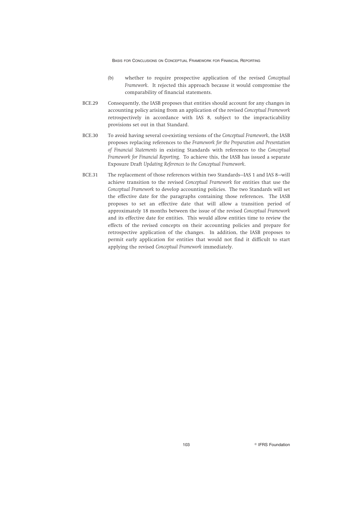- (b) whether to require prospective application of the revised *Conceptual Framework*. It rejected this approach because it would compromise the comparability of financial statements.
- BCE.29 Consequently, the IASB proposes that entities should account for any changes in accounting policy arising from an application of the revised *Conceptual Framework* retrospectively in accordance with IAS 8, subject to the impracticability provisions set out in that Standard.
- BCE.30 To avoid having several co-existing versions of the *Conceptual Framework*, the IASB proposes replacing references to the *Framework for the Preparation and Presentation of Financial Statements* in existing Standards with references to the *Conceptual Framework for Financial Reporting*. To achieve this, the IASB has issued a separate Exposure Draft *Updating References to the Conceptual Framework*.
- BCE.31 The replacement of those references within two Standards—IAS 1 and IAS 8—will achieve transition to the revised *Conceptual Framework* for entities that use the *Conceptual Framework* to develop accounting policies. The two Standards will set the effective date for the paragraphs containing those references. The IASB proposes to set an effective date that will allow a transition period of approximately 18 months between the issue of the revised *Conceptual Framework* and its effective date for entities. This would allow entities time to review the effects of the revised concepts on their accounting policies and prepare for retrospective application of the changes. In addition, the IASB proposes to permit early application for entities that would not find it difficult to start applying the revised *Conceptual Framework* immediately.

<sup>©</sup> IFRS Foundation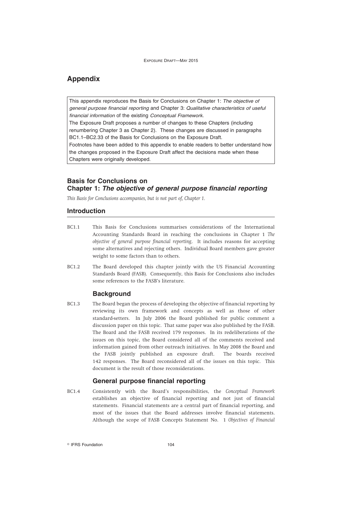# **Appendix**

This appendix reproduces the Basis for Conclusions on Chapter 1: *The objective of general purpose financial reporting* and Chapter 3: *Qualitative characteristics of useful financial information* of the existing *Conceptual Framework*.

The Exposure Draft proposes a number of changes to these Chapters (including renumbering Chapter 3 as Chapter 2). These changes are discussed in paragraphs BC1.1–BC2.33 of the Basis for Conclusions on the Exposure Draft.

Footnotes have been added to this appendix to enable readers to better understand how the changes proposed in the Exposure Draft affect the decisions made when these Chapters were originally developed.

## **Basis for Conclusions on Chapter 1:** *The objective of general purpose financial reporting*

*This Basis for Conclusions accompanies, but is not part of, Chapter 1.*

### **Introduction**

- BC1.1 This Basis for Conclusions summarises considerations of the International Accounting Standards Board in reaching the conclusions in Chapter 1 *The objective of general purpose financial reporting*. It includes reasons for accepting some alternatives and rejecting others. Individual Board members gave greater weight to some factors than to others.
- BC1.2 The Board developed this chapter jointly with the US Financial Accounting Standards Board (FASB). Consequently, this Basis for Conclusions also includes some references to the FASB's literature.

#### **Background**

BC1.3 The Board began the process of developing the objective of financial reporting by reviewing its own framework and concepts as well as those of other standard-setters. In July 2006 the Board published for public comment a discussion paper on this topic. That same paper was also published by the FASB. The Board and the FASB received 179 responses. In its redeliberations of the issues on this topic, the Board considered all of the comments received and information gained from other outreach initiatives. In May 2008 the Board and the FASB jointly published an exposure draft. The boards received 142 responses. The Board reconsidered all of the issues on this topic. This document is the result of those reconsiderations.

## **General purpose financial reporting**

BC1.4 Consistently with the Board's responsibilities, the *Conceptual Framework* establishes an objective of financial reporting and not just of financial statements. Financial statements are a central part of financial reporting, and most of the issues that the Board addresses involve financial statements. Although the scope of FASB Concepts Statement No. 1 *Objectives of Financial*

Communication and the ISBN 0-104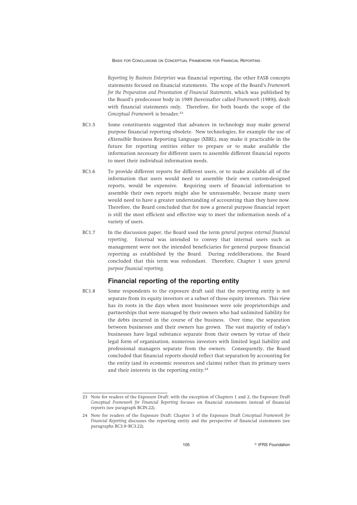*Reporting by Business Enterprises* was financial reporting, the other FASB concepts statements focused on financial statements. The scope of the Board's *Framework for the Preparation and Presentation of Financial Statements*, which was published by the Board's predecessor body in 1989 (hereinafter called *Framework* (1989)), dealt with financial statements only. Therefore, for both boards the scope of the *Conceptual Framework* is broader.<sup>23</sup>

- BC1.5 Some constituents suggested that advances in technology may make general purpose financial reporting obsolete. New technologies, for example the use of eXtensible Business Reporting Language (XBRL), may make it practicable in the future for reporting entities either to prepare or to make available the information necessary for different users to assemble different financial reports to meet their individual information needs.
- BC1.6 To provide different reports for different users, or to make available all of the information that users would need to assemble their own custom-designed reports, would be expensive. Requiring users of financial information to assemble their own reports might also be unreasonable, because many users would need to have a greater understanding of accounting than they have now. Therefore, the Board concluded that for now a general purpose financial report is still the most efficient and effective way to meet the information needs of a variety of users.
- BC1.7 In the discussion paper, the Board used the term *general purpose external financial reporting*. External was intended to convey that internal users such as management were not the intended beneficiaries for general purpose financial reporting as established by the Board. During redeliberations, the Board concluded that this term was redundant. Therefore, Chapter 1 uses *general purpose financial reporting*.

## **Financial reporting of the reporting entity**

BC1.8 Some respondents to the exposure draft said that the reporting entity is not separate from its equity investors or a subset of those equity investors. This view has its roots in the days when most businesses were sole proprietorships and partnerships that were managed by their owners who had unlimited liability for the debts incurred in the course of the business. Over time, the separation between businesses and their owners has grown. The vast majority of today's businesses have legal substance separate from their owners by virtue of their legal form of organisation, numerous investors with limited legal liability and professional managers separate from the owners. Consequently, the Board concluded that financial reports should reflect that separation by accounting for the entity (and its economic resources and claims) rather than its primary users and their interests in the reporting entity.<sup>24</sup>

<sup>23</sup> Note for readers of the Exposure Draft: with the exception of Chapters 1 and 2, the Exposure Draft *Conceptual Framework for Financial Reporting* focuses on financial statements instead of financial reports (see paragraph BCIN.22).

<sup>24</sup> Note for readers of the Exposure Draft: Chapter 3 of the Exposure Draft *Conceptual Framework for Financial Reporting* discusses the reporting entity and the perspective of financial statements (see paragraphs BC3.9–BC3.22).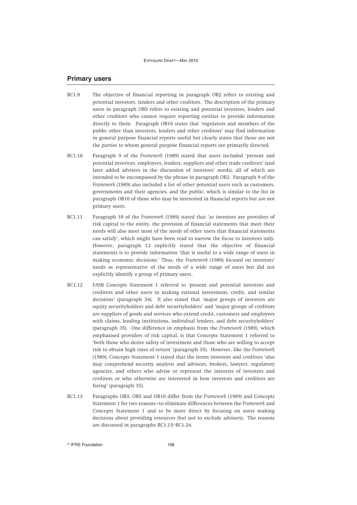### **Primary users**

- BC1.9 The objective of financial reporting in paragraph OB2 refers to existing and potential investors, lenders and other creditors. The description of the primary users in paragraph OB5 refers to existing and potential investors, lenders and other creditors who cannot require reporting entities to provide information directly to them. Paragraph OB10 states that 'regulators and members of the public other than investors, lenders and other creditors' may find information in general purpose financial reports useful but clearly states that those are not the parties to whom general purpose financial reports are primarily directed.
- BC1.10 Paragraph 9 of the *Framework* (1989) stated that users included 'present and potential investors, employees, lenders, suppliers and other trade creditors' (and later added advisers in the discussion of investors' needs), all of which are intended to be encompassed by the phrase in paragraph OB2. Paragraph 9 of the *Framework* (1989) also included a list of other potential users such as customers, governments and their agencies, and the public, which is similar to the list in paragraph OB10 of those who may be interested in financial reports but are not primary users.
- BC1.11 Paragraph 10 of the *Framework* (1989) stated that 'as investors are providers of risk capital to the entity, the provision of financial statements that meet their needs will also meet most of the needs of other users that financial statements can satisfy', which might have been read to narrow the focus to investors only. However, paragraph 12 explicitly stated that the objective of financial statements is to provide information 'that is useful to a wide range of users in making economic decisions.' Thus, the *Framework* (1989) focused on investors' needs as representative of the needs of a wide range of users but did not explicitly identify a group of primary users.
- BC1.12 FASB Concepts Statement 1 referred to 'present and potential investors and creditors and other users in making rational investment, credit, and similar decisions' (paragraph 34). It also stated that 'major groups of investors are equity securityholders and debt securityholders' and 'major groups of creditors are suppliers of goods and services who extend credit, customers and employees with claims, lending institutions, individual lenders, and debt securityholders' (paragraph 35). One difference in emphasis from the *Framework* (1989), which emphasised providers of risk capital, is that Concepts Statement 1 referred to 'both those who desire safety of investment and those who are willing to accept risk to obtain high rates of return' (paragraph 35). However, like the *Framework* (1989), Concepts Statement 1 stated that the terms investors and creditors 'also may comprehend security analysts and advisors, brokers, lawyers, regulatory agencies, and others who advise or represent the interests of investors and creditors or who otherwise are interested in how investors and creditors are faring' (paragraph 35).
- BC1.13 Paragraphs OB3, OB5 and OB10 differ from the *Framework* (1989) and Concepts Statement 1 for two reasons—to eliminate differences between the *Framework* and Concepts Statement 1 and to be more direct by focusing on users making decisions about providing resources (but not to exclude advisers). The reasons are discussed in paragraphs BC1.15–BC1.24.

**Communist Execution 106 IFRS** Foundation **106**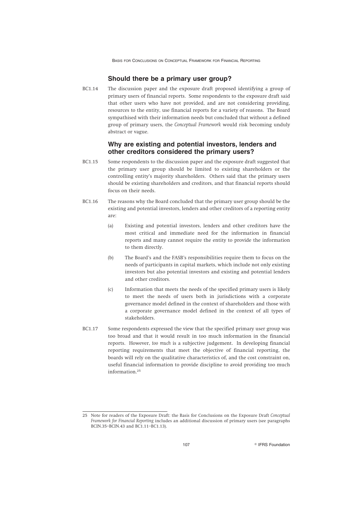### **Should there be a primary user group?**

BC1.14 The discussion paper and the exposure draft proposed identifying a group of primary users of financial reports. Some respondents to the exposure draft said that other users who have not provided, and are not considering providing, resources to the entity, use financial reports for a variety of reasons. The Board sympathised with their information needs but concluded that without a defined group of primary users, the *Conceptual Framework* would risk becoming unduly abstract or vague.

## **Why are existing and potential investors, lenders and other creditors considered the primary users?**

- BC1.15 Some respondents to the discussion paper and the exposure draft suggested that the primary user group should be limited to existing shareholders or the controlling entity's majority shareholders. Others said that the primary users should be existing shareholders and creditors, and that financial reports should focus on their needs.
- BC1.16 The reasons why the Board concluded that the primary user group should be the existing and potential investors, lenders and other creditors of a reporting entity are:
	- (a) Existing and potential investors, lenders and other creditors have the most critical and immediate need for the information in financial reports and many cannot require the entity to provide the information to them directly.
	- (b) The Board's and the FASB's responsibilities require them to focus on the needs of participants in capital markets, which include not only existing investors but also potential investors and existing and potential lenders and other creditors.
	- (c) Information that meets the needs of the specified primary users is likely to meet the needs of users both in jurisdictions with a corporate governance model defined in the context of shareholders and those with a corporate governance model defined in the context of all types of stakeholders.
- BC1.17 Some respondents expressed the view that the specified primary user group was too broad and that it would result in too much information in the financial reports. However, *too much* is a subjective judgement. In developing financial reporting requirements that meet the objective of financial reporting, the boards will rely on the qualitative characteristics of, and the cost constraint on, useful financial information to provide discipline to avoid providing too much information.<sup>25</sup>

<sup>25</sup> Note for readers of the Exposure Draft: the Basis for Conclusions on the Exposure Draft *Conceptual Framework for Financial Reporting* includes an additional discussion of primary users (see paragraphs BCIN.35–BCIN.43 and BC1.11–BC1.13).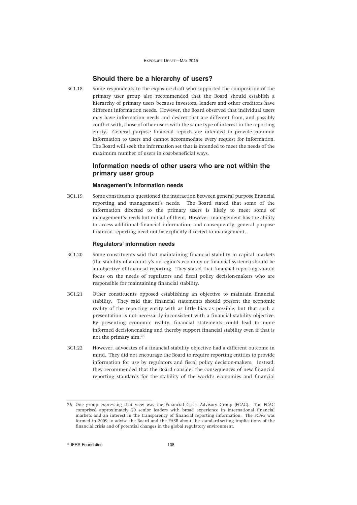### **Should there be a hierarchy of users?**

BC1.18 Some respondents to the exposure draft who supported the composition of the primary user group also recommended that the Board should establish a hierarchy of primary users because investors, lenders and other creditors have different information needs. However, the Board observed that individual users may have information needs and desires that are different from, and possibly conflict with, those of other users with the same type of interest in the reporting entity. General purpose financial reports are intended to provide common information to users and cannot accommodate every request for information. The Board will seek the information set that is intended to meet the needs of the maximum number of users in cost-beneficial ways.

# **Information needs of other users who are not within the primary user group**

### **Management's information needs**

BC1.19 Some constituents questioned the interaction between general purpose financial reporting and management's needs. The Board stated that some of the information directed to the primary users is likely to meet some of management's needs but not all of them. However, management has the ability to access additional financial information, and consequently, general purpose financial reporting need not be explicitly directed to management.

#### **Regulators' information needs**

- BC1.20 Some constituents said that maintaining financial stability in capital markets (the stability of a country's or region's economy or financial systems) should be an objective of financial reporting. They stated that financial reporting should focus on the needs of regulators and fiscal policy decision-makers who are responsible for maintaining financial stability.
- BC1.21 Other constituents opposed establishing an objective to maintain financial stability. They said that financial statements should present the economic reality of the reporting entity with as little bias as possible, but that such a presentation is not necessarily inconsistent with a financial stability objective. By presenting economic reality, financial statements could lead to more informed decision-making and thereby support financial stability even if that is not the primary aim.<sup>26</sup>
- BC1.22 However, advocates of a financial stability objective had a different outcome in mind. They did not encourage the Board to require reporting entities to provide information for use by regulators and fiscal policy decision-makers. Instead, they recommended that the Board consider the consequences of new financial reporting standards for the stability of the world's economies and financial

**Communist Execution 108** CIFRS Foundation **108** 

<sup>26</sup> One group expressing that view was the Financial Crisis Advisory Group (FCAG). The FCAG comprised approximately 20 senior leaders with broad experience in international financial markets and an interest in the transparency of financial reporting information. The FCAG was formed in 2009 to advise the Board and the FASB about the standard-setting implications of the financial crisis and of potential changes in the global regulatory environment.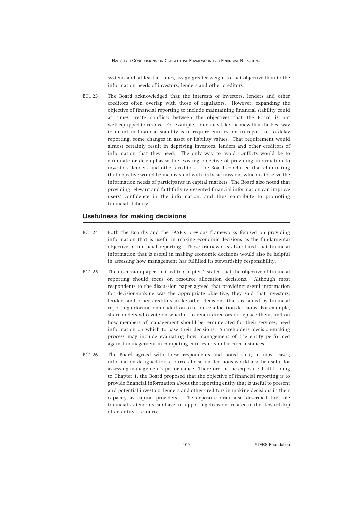systems and, at least at times, assign greater weight to that objective than to the information needs of investors, lenders and other creditors.

BC1.23 The Board acknowledged that the interests of investors, lenders and other creditors often overlap with those of regulators. However, expanding the objective of financial reporting to include maintaining financial stability could at times create conflicts between the objectives that the Board is not well-equipped to resolve. For example, some may take the view that the best way to maintain financial stability is to require entities not to report, or to delay reporting, some changes in asset or liability values. That requirement would almost certainly result in depriving investors, lenders and other creditors of information that they need. The only way to avoid conflicts would be to eliminate or de-emphasise the existing objective of providing information to investors, lenders and other creditors. The Board concluded that eliminating that objective would be inconsistent with its basic mission, which is to serve the information needs of participants in capital markets. The Board also noted that providing relevant and faithfully represented financial information can improve users' confidence in the information, and thus contribute to promoting financial stability.

# **Usefulness for making decisions**

- BC1.24 Both the Board's and the FASB's previous frameworks focused on providing information that is useful in making economic decisions as the fundamental objective of financial reporting. Those frameworks also stated that financial information that is useful in making economic decisions would also be helpful in assessing how management has fulfilled its stewardship responsibility.
- BC1.25 The discussion paper that led to Chapter 1 stated that the objective of financial reporting should focus on resource allocation decisions. Although most respondents to the discussion paper agreed that providing useful information for decision-making was the appropriate objective, they said that investors, lenders and other creditors make other decisions that are aided by financial reporting information in addition to resource allocation decisions. For example, shareholders who vote on whether to retain directors or replace them, and on how members of management should be remunerated for their services, need information on which to base their decisions. Shareholders' decision-making process may include evaluating how management of the entity performed against management in competing entities in similar circumstances.
- BC1.26 The Board agreed with these respondents and noted that, in most cases, information designed for resource allocation decisions would also be useful for assessing management's performance. Therefore, in the exposure draft leading to Chapter 1, the Board proposed that the objective of financial reporting is to provide financial information about the reporting entity that is useful to present and potential investors, lenders and other creditors in making decisions in their capacity as capital providers. The exposure draft also described the role financial statements can have in supporting decisions related to the stewardship of an entity's resources.

<sup>©</sup> IFRS Foundation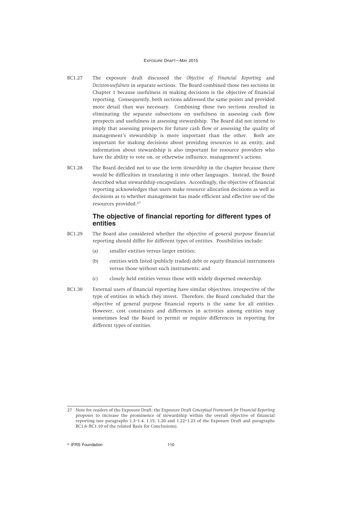- BC1.27 The exposure draft discussed the *Objective of Financial Reporting* and *Decision-usefulness* in separate sections. The Board combined those two sections in Chapter 1 because usefulness in making decisions is the objective of financial reporting. Consequently, both sections addressed the same points and provided more detail than was necessary. Combining those two sections resulted in eliminating the separate subsections on usefulness in assessing cash flow prospects and usefulness in assessing stewardship. The Board did not intend to imply that assessing prospects for future cash flow or assessing the quality of management's stewardship is more important than the other. Both are important for making decisions about providing resources to an entity, and information about stewardship is also important for resource providers who have the ability to vote on, or otherwise influence, management's actions.
- BC1.28 The Board decided not to use the term *stewardship* in the chapter because there would be difficulties in translating it into other languages. Instead, the Board described what stewardship encapsulates. Accordingly, the objective of financial reporting acknowledges that users make resource allocation decisions as well as decisions as to whether management has made efficient and effective use of the resources provided.<sup>27</sup>

# **The objective of financial reporting for different types of entities**

- BC1.29 The Board also considered whether the objective of general purpose financial reporting should differ for different types of entities. Possibilities include:
	- (a) smaller entities versus larger entities;
	- (b) entities with listed (publicly traded) debt or equity financial instruments versus those without such instruments; and
	- (c) closely held entities versus those with widely dispersed ownership.
- BC1.30 External users of financial reporting have similar objectives, irrespective of the type of entities in which they invest. Therefore, the Board concluded that the objective of general purpose financial reports is the same for all entities. However, cost constraints and differences in activities among entities may sometimes lead the Board to permit or require differences in reporting for different types of entities.

<sup>27</sup> Note for readers of the Exposure Draft: the Exposure Draft *Conceptual Framework for Financial Reporting* proposes to increase the prominence of stewardship within the overall objective of financial reporting (see paragraphs 1.3–1.4, 1.15, 1.20 and 1.22–1.23 of the Exposure Draft and paragraphs BC1.6–BC1.10 of the related Basis for Conclusions).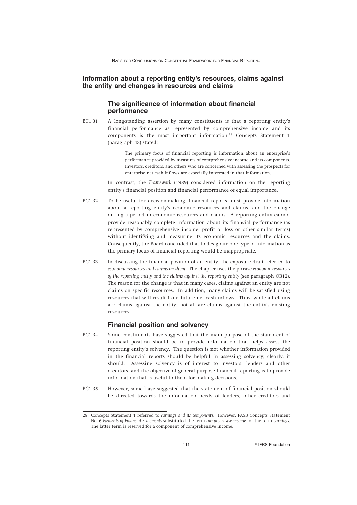# **Information about a reporting entity's resources, claims against the entity and changes in resources and claims**

# **The significance of information about financial performance**

BC1.31 A long-standing assertion by many constituents is that a reporting entity's financial performance as represented by comprehensive income and its components is the most important information.<sup>28</sup> Concepts Statement 1 (paragraph 43) stated:

> The primary focus of financial reporting is information about an enterprise's performance provided by measures of comprehensive income and its components. Investors, creditors, and others who are concerned with assessing the prospects for enterprise net cash inflows are especially interested in that information.

In contrast, the *Framework* (1989) considered information on the reporting entity's financial position and financial performance of equal importance.

- BC1.32 To be useful for decision-making, financial reports must provide information about a reporting entity's economic resources and claims, and the change during a period in economic resources and claims. A reporting entity cannot provide reasonably complete information about its financial performance (as represented by comprehensive income, profit or loss or other similar terms) without identifying and measuring its economic resources and the claims. Consequently, the Board concluded that to designate one type of information as the primary focus of financial reporting would be inappropriate.
- BC1.33 In discussing the financial position of an entity, the exposure draft referred to *economic resources and claims on them*. The chapter uses the phrase *economic resources of the reporting entity and the claims against the reporting entity* (see paragraph OB12). The reason for the change is that in many cases, claims against an entity are not claims on specific resources. In addition, many claims will be satisfied using resources that will result from future net cash inflows. Thus, while all claims are claims against the entity, not all are claims against the entity's existing resources.

# **Financial position and solvency**

- BC1.34 Some constituents have suggested that the main purpose of the statement of financial position should be to provide information that helps assess the reporting entity's solvency. The question is not whether information provided in the financial reports should be helpful in assessing solvency; clearly, it should. Assessing solvency is of interest to investors, lenders and other creditors, and the objective of general purpose financial reporting is to provide information that is useful to them for making decisions.
- BC1.35 However, some have suggested that the statement of financial position should be directed towards the information needs of lenders, other creditors and

<sup>28</sup> Concepts Statement 1 referred to *earnings and its components*. However, FASB Concepts Statement No. 6 *Elements of Financial Statements* substituted the term *comprehensive income* for the term *earnings*. The latter term is reserved for a component of comprehensive income.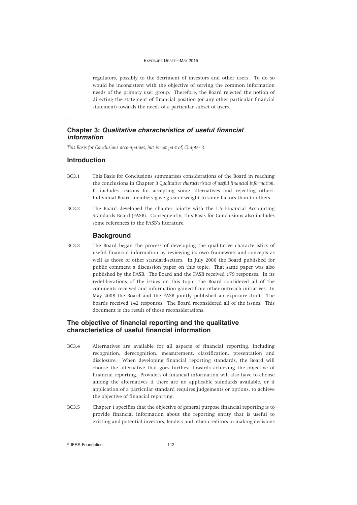regulators, possibly to the detriment of investors and other users. To do so would be inconsistent with the objective of serving the common information needs of the primary user group. Therefore, the Board rejected the notion of directing the statement of financial position (or any other particular financial statement) towards the needs of a particular subset of users.

...

# **Chapter 3:** *Qualitative characteristics of useful financial information*

*This Basis for Conclusions accompanies, but is not part of, Chapter 3.*

# **Introduction**

- BC3.1 This Basis for Conclusions summarises considerations of the Board in reaching the conclusions in Chapter 3 *Qualitative characteristics of useful financial information*. It includes reasons for accepting some alternatives and rejecting others. Individual Board members gave greater weight to some factors than to others.
- BC3.2 The Board developed the chapter jointly with the US Financial Accounting Standards Board (FASB). Consequently, this Basis for Conclusions also includes some references to the FASB's literature.

# **Background**

BC3.3 The Board began the process of developing the qualitative characteristics of useful financial information by reviewing its own framework and concepts as well as those of other standard-setters. In July 2006 the Board published for public comment a discussion paper on this topic. That same paper was also published by the FASB. The Board and the FASB received 179 responses. In its redeliberations of the issues on this topic, the Board considered all of the comments received and information gained from other outreach initiatives. In May 2008 the Board and the FASB jointly published an exposure draft. The boards received 142 responses. The Board reconsidered all of the issues. This document is the result of those reconsiderations.

# **The objective of financial reporting and the qualitative characteristics of useful financial information**

- BC3.4 Alternatives are available for all aspects of financial reporting, including recognition, derecognition, measurement, classification, presentation and disclosure. When developing financial reporting standards, the Board will choose the alternative that goes furthest towards achieving the objective of financial reporting. Providers of financial information will also have to choose among the alternatives if there are no applicable standards available, or if application of a particular standard requires judgements or options, to achieve the objective of financial reporting.
- BC3.5 Chapter 1 specifies that the objective of general purpose financial reporting is to provide financial information about the reporting entity that is useful to existing and potential investors, lenders and other creditors in making decisions

**Communist Execution 112** Communist Service 112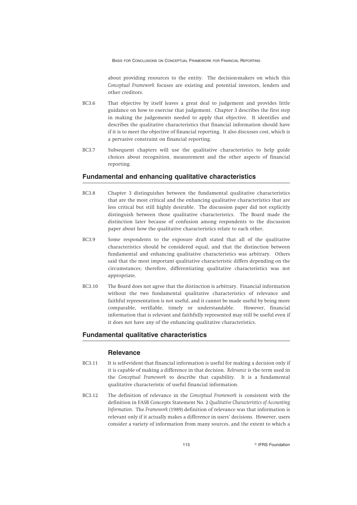about providing resources to the entity. The decision-makers on which this *Conceptual Framework* focuses are existing and potential investors, lenders and other creditors.

- BC3.6 That objective by itself leaves a great deal to judgement and provides little guidance on how to exercise that judgement. Chapter 3 describes the first step in making the judgements needed to apply that objective. It identifies and describes the qualitative characteristics that financial information should have if it is to meet the objective of financial reporting. It also discusses cost, which is a pervasive constraint on financial reporting.
- BC3.7 Subsequent chapters will use the qualitative characteristics to help guide choices about recognition, measurement and the other aspects of financial reporting.

### **Fundamental and enhancing qualitative characteristics**

- BC3.8 Chapter 3 distinguishes between the fundamental qualitative characteristics that are the most critical and the enhancing qualitative characteristics that are less critical but still highly desirable. The discussion paper did not explicitly distinguish between those qualitative characteristics. The Board made the distinction later because of confusion among respondents to the discussion paper about how the qualitative characteristics relate to each other.
- BC3.9 Some respondents to the exposure draft stated that all of the qualitative characteristics should be considered equal, and that the distinction between fundamental and enhancing qualitative characteristics was arbitrary. Others said that the most important qualitative characteristic differs depending on the circumstances; therefore, differentiating qualitative characteristics was not appropriate.
- BC3.10 The Board does not agree that the distinction is arbitrary. Financial information without the two fundamental qualitative characteristics of relevance and faithful representation is not useful, and it cannot be made useful by being more comparable, verifiable, timely or understandable. However, financial information that is relevant and faithfully represented may still be useful even if it does not have any of the enhancing qualitative characteristics.

# **Fundamental qualitative characteristics**

### **Relevance**

- BC3.11 It is self-evident that financial information is useful for making a decision only if it is capable of making a difference in that decision. *Relevance* is the term used in the *Conceptual Framework* to describe that capability. It is a fundamental qualitative characteristic of useful financial information.
- BC3.12 The definition of relevance in the *Conceptual Framework* is consistent with the definition in FASB Concepts Statement No. 2 *Qualitative Characteristics of Accounting Information*. The *Framework* (1989) definition of relevance was that information is relevant only if it actually makes a difference in users' decisions. However, users consider a variety of information from many sources, and the extent to which a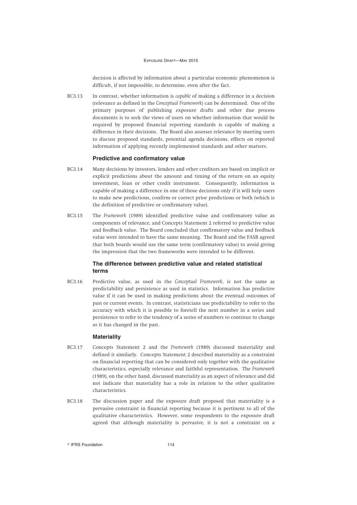decision is affected by information about a particular economic phenomenon is difficult, if not impossible, to determine, even after the fact.

BC3.13 In contrast, whether information is *capable* of making a difference in a decision (relevance as defined in the *Conceptual Framework*) can be determined. One of the primary purposes of publishing exposure drafts and other due process documents is to seek the views of users on whether information that would be required by proposed financial reporting standards is capable of making a difference in their decisions. The Board also assesses relevance by meeting users to discuss proposed standards, potential agenda decisions, effects on reported information of applying recently implemented standards and other matters.

#### **Predictive and confirmatory value**

- BC3.14 Many decisions by investors, lenders and other creditors are based on implicit or explicit predictions about the amount and timing of the return on an equity investment, loan or other credit instrument. Consequently, information is capable of making a difference in one of those decisions only if it will help users to make new predictions, confirm or correct prior predictions or both (which is the definition of predictive or confirmatory value).
- BC3.15 The *Framework* (1989) identified predictive value and confirmatory value as components of relevance, and Concepts Statement 2 referred to predictive value and feedback value. The Board concluded that confirmatory value and feedback value were intended to have the same meaning. The Board and the FASB agreed that both boards would use the same term (confirmatory value) to avoid giving the impression that the two frameworks were intended to be different.

### **The difference between predictive value and related statistical terms**

BC3.16 Predictive value, as used in the *Conceptual Framework*, is not the same as predictability and persistence as used in statistics. Information has predictive value if it can be used in making predictions about the eventual outcomes of past or current events. In contrast, statisticians use predictability to refer to the accuracy with which it is possible to foretell the next number in a series and persistence to refer to the tendency of a series of numbers to continue to change as it has changed in the past.

### **Materiality**

- BC3.17 Concepts Statement 2 and the *Framework* (1989) discussed materiality and defined it similarly. Concepts Statement 2 described materiality as a constraint on financial reporting that can be considered only together with the qualitative characteristics, especially relevance and faithful representation. The *Framework* (1989), on the other hand, discussed materiality as an aspect of relevance and did not indicate that materiality has a role in relation to the other qualitative characteristics.
- BC3.18 The discussion paper and the exposure draft proposed that materiality is a pervasive constraint in financial reporting because it is pertinent to all of the qualitative characteristics. However, some respondents to the exposure draft agreed that although materiality is pervasive, it is not a constraint on a

**Communist Execution 114** Communist Communist Communist Communist Communist Communist Communist Communist Communist Communist Communist Communist Communist Communist Communist Communist Communist Communist Communist Commun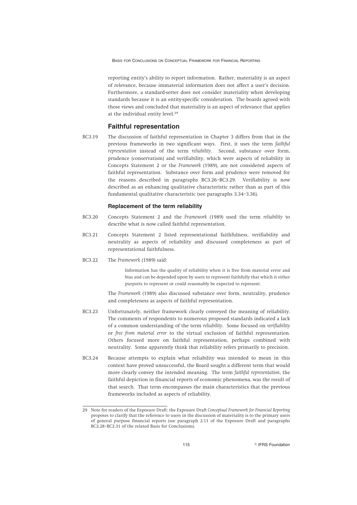reporting entity's ability to report information. Rather, materiality is an aspect of relevance, because immaterial information does not affect a user's decision. Furthermore, a standard-setter does not consider materiality when developing standards because it is an entity-specific consideration. The boards agreed with those views and concluded that materiality is an aspect of relevance that applies at the individual entity level.<sup>29</sup>

# **Faithful representation**

BC3.19 The discussion of faithful representation in Chapter 3 differs from that in the previous frameworks in two significant ways. First, it uses the term *faithful representation* instead of the term *reliability*. Second, substance over form, prudence (conservatism) and verifiability, which were aspects of reliability in Concepts Statement 2 or the *Framework* (1989), are not considered aspects of faithful representation. Substance over form and prudence were removed for the reasons described in paragraphs BC3.26–BC3.29. Verifiability is now described as an enhancing qualitative characteristic rather than as part of this fundamental qualitative characteristic (see paragraphs 3.34–3.36).

### **Replacement of the term reliability**

- BC3.20 Concepts Statement 2 and the *Framework* (1989) used the term *reliability* to describe what is now called faithful representation.
- BC3.21 Concepts Statement 2 listed representational faithfulness, verifiability and neutrality as aspects of reliability and discussed completeness as part of representational faithfulness.
- BC3.22 The *Framework* (1989) said:

Information has the quality of reliability when it is free from material error and bias and can be depended upon by users to represent faithfully that which it either purports to represent or could reasonably be expected to represent.

The *Framework* (1989) also discussed substance over form, neutrality, prudence and completeness as aspects of faithful representation.

- BC3.23 Unfortunately, neither framework clearly conveyed the meaning of reliability. The comments of respondents to numerous proposed standards indicated a lack of a common understanding of the term *reliability*. Some focused on *verifiability* or *free from material error* to the virtual exclusion of faithful representation. Others focused more on faithful representation, perhaps combined with neutrality. Some apparently think that reliability refers primarily to precision.
- BC3.24 Because attempts to explain what reliability was intended to mean in this context have proved unsuccessful, the Board sought a different term that would more clearly convey the intended meaning. The term *faithful representation*, the faithful depiction in financial reports of economic phenomena, was the result of that search. That term encompasses the main characteristics that the previous frameworks included as aspects of reliability.

<sup>29</sup> Note for readers of the Exposure Draft: the Exposure Draft *Conceptual Framework for Financial Reporting* proposes to clarify that the reference to users in the discussion of materiality is to the primary users of general purpose financial reports (see paragraph 2.11 of the Exposure Draft and paragraphs BC2.28–BC2.31 of the related Basis for Conclusions).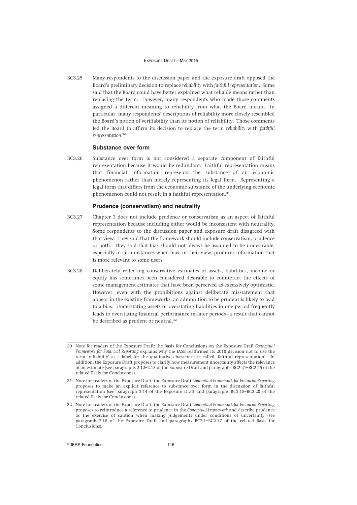BC3.25 Many respondents to the discussion paper and the exposure draft opposed the Board's preliminary decision to replace *reliability* with *faithful representation*. Some said that the Board could have better explained what reliable means rather than replacing the term. However, many respondents who made those comments assigned a different meaning to reliability from what the Board meant. In particular, many respondents' descriptions of reliability more closely resembled the Board's notion of verifiability than its notion of reliability. Those comments led the Board to affirm its decision to replace the term *reliability* with *faithful representation*. 30

#### **Substance over form**

BC3.26 Substance over form is not considered a separate component of faithful representation because it would be redundant. Faithful representation means that financial information represents the substance of an economic phenomenon rather than merely representing its legal form. Representing a legal form that differs from the economic substance of the underlying economic phenomenon could not result in a faithful representation.<sup>31</sup>

### **Prudence (conservatism) and neutrality**

- BC3.27 Chapter 3 does not include prudence or conservatism as an aspect of faithful representation because including either would be inconsistent with neutrality. Some respondents to the discussion paper and exposure draft disagreed with that view. They said that the framework should include conservatism, prudence or both. They said that bias should not always be assumed to be undesirable, especially in circumstances when bias, in their view, produces information that is more relevant to some users.
- BC3.28 Deliberately reflecting conservative estimates of assets, liabilities, income or equity has sometimes been considered desirable to counteract the effects of some management estimates that have been perceived as excessively optimistic. However, even with the prohibitions against deliberate misstatement that appear in the existing frameworks, an admonition to be prudent is likely to lead to a bias. Understating assets or overstating liabilities in one period frequently leads to overstating financial performance in later periods—a result that cannot be described as prudent or neutral.<sup>32</sup>

<sup>30</sup> Note for readers of the Exposure Draft: the Basis for Conclusions on the Exposure Draft *Conceptual Framework for Financial Reporting* explains why the IASB reaffirmed its 2010 decision not to use the term 'reliability' as a label for the qualitative characteristic called 'faithful representation'. In addition, the Exposure Draft proposes to clarify how measurement uncertainty affects the relevance of an estimate (see paragraphs 2.12–2.13 of the Exposure Draft and paragraphs BC2.21–BC2.25 of the related Basis for Conclusions).

<sup>31</sup> Note for readers of the Exposure Draft: the Exposure Draft *Conceptual Framework for Financial Reporting* proposes to make an explicit reference to substance over form in the discussion of faithful representation (see paragraph 2.14 of the Exposure Draft and paragraphs BC2.18–BC2.20 of the related Basis for Conclusions).

<sup>32</sup> Note for readers of the Exposure Draft: the Exposure Draft *Conceptual Framework for Financial Reporting* proposes to reintroduce a reference to prudence in the *Conceptual Framework* and describe prudence as the exercise of caution when making judgements under conditions of uncertainty (see paragraph 2.18 of the Exposure Draft and paragraphs BC2.1–BC2.17 of the related Basis for Conclusions).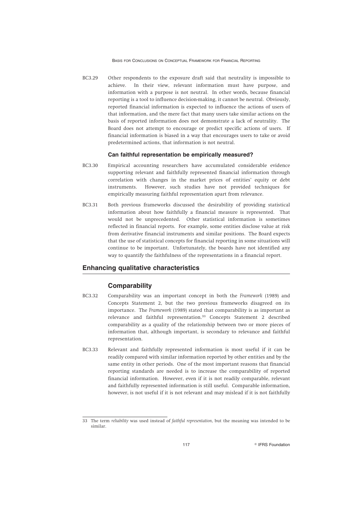BC3.29 Other respondents to the exposure draft said that neutrality is impossible to achieve. In their view, relevant information must have purpose, and information with a purpose is not neutral. In other words, because financial reporting is a tool to influence decision-making, it cannot be neutral. Obviously, reported financial information is expected to influence the actions of users of that information, and the mere fact that many users take similar actions on the basis of reported information does not demonstrate a lack of neutrality. The Board does not attempt to encourage or predict specific actions of users. If financial information is biased in a way that encourages users to take or avoid predetermined actions, that information is not neutral.

### **Can faithful representation be empirically measured?**

- BC3.30 Empirical accounting researchers have accumulated considerable evidence supporting relevant and faithfully represented financial information through correlation with changes in the market prices of entities' equity or debt instruments. However, such studies have not provided techniques for empirically measuring faithful representation apart from relevance.
- BC3.31 Both previous frameworks discussed the desirability of providing statistical information about how faithfully a financial measure is represented. That would not be unprecedented. Other statistical information is sometimes reflected in financial reports. For example, some entities disclose value at risk from derivative financial instruments and similar positions. The Board expects that the use of statistical concepts for financial reporting in some situations will continue to be important. Unfortunately, the boards have not identified any way to quantify the faithfulness of the representations in a financial report.

# **Enhancing qualitative characteristics**

### **Comparability**

- BC3.32 Comparability was an important concept in both the *Framework* (1989) and Concepts Statement 2, but the two previous frameworks disagreed on its importance. The *Framework* (1989) stated that comparability is as important as relevance and faithful representation.<sup>33</sup> Concepts Statement 2 described comparability as a quality of the relationship between two or more pieces of information that, although important, is secondary to relevance and faithful representation.
- BC3.33 Relevant and faithfully represented information is most useful if it can be readily compared with similar information reported by other entities and by the same entity in other periods. One of the most important reasons that financial reporting standards are needed is to increase the comparability of reported financial information. However, even if it is not readily comparable, relevant and faithfully represented information is still useful. Comparable information, however, is not useful if it is not relevant and may mislead if it is not faithfully

<sup>33</sup> The term *reliability* was used instead of *faithful representation*, but the meaning was intended to be similar.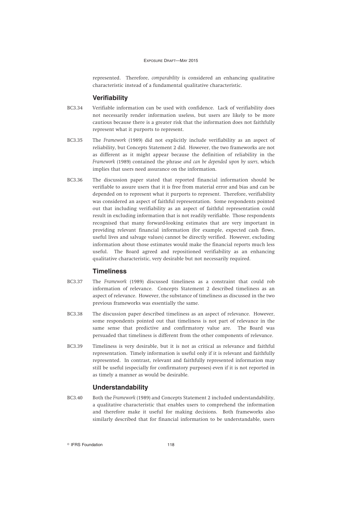represented. Therefore, *comparability* is considered an enhancing qualitative characteristic instead of a fundamental qualitative characteristic.

### **Verifiability**

- BC3.34 Verifiable information can be used with confidence. Lack of verifiability does not necessarily render information useless, but users are likely to be more cautious because there is a greater risk that the information does not faithfully represent what it purports to represent.
- BC3.35 The *Framework* (1989) did not explicitly include verifiability as an aspect of reliability, but Concepts Statement 2 did. However, the two frameworks are not as different as it might appear because the definition of reliability in the *Framework* (1989) contained the phrase *and can be depended upon by users*, which implies that users need assurance on the information.
- BC3.36 The discussion paper stated that reported financial information should be verifiable to assure users that it is free from material error and bias and can be depended on to represent what it purports to represent. Therefore, verifiability was considered an aspect of faithful representation. Some respondents pointed out that including verifiability as an aspect of faithful representation could result in excluding information that is not readily verifiable. Those respondents recognised that many forward-looking estimates that are very important in providing relevant financial information (for example, expected cash flows, useful lives and salvage values) cannot be directly verified. However, excluding information about those estimates would make the financial reports much less useful. The Board agreed and repositioned verifiability as an enhancing qualitative characteristic, very desirable but not necessarily required.

### **Timeliness**

- BC3.37 The *Framework* (1989) discussed timeliness as a constraint that could rob information of relevance. Concepts Statement 2 described timeliness as an aspect of relevance. However, the substance of timeliness as discussed in the two previous frameworks was essentially the same.
- BC3.38 The discussion paper described timeliness as an aspect of relevance. However, some respondents pointed out that timeliness is not part of relevance in the same sense that predictive and confirmatory value are. The Board was persuaded that timeliness is different from the other components of relevance.
- BC3.39 Timeliness is very desirable, but it is not as critical as relevance and faithful representation. Timely information is useful only if it is relevant and faithfully represented. In contrast, relevant and faithfully represented information may still be useful (especially for confirmatory purposes) even if it is not reported in as timely a manner as would be desirable.

# **Understandability**

BC3.40 Both the *Framework* (1989) and Concepts Statement 2 included understandability, a qualitative characteristic that enables users to comprehend the information and therefore make it useful for making decisions. Both frameworks also similarly described that for financial information to be understandable, users

**Communist Execution 118** Communist Service 118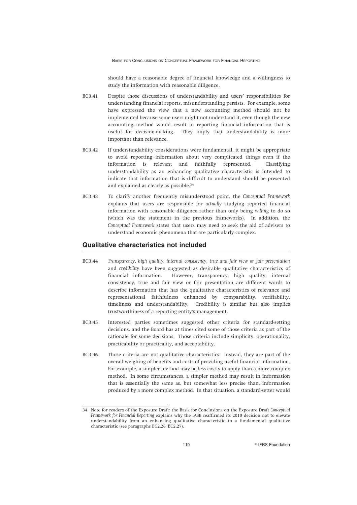should have a reasonable degree of financial knowledge and a willingness to study the information with reasonable diligence.

- BC3.41 Despite those discussions of understandability and users' responsibilities for understanding financial reports, misunderstanding persists. For example, some have expressed the view that a new accounting method should not be implemented because some users might not understand it, even though the new accounting method would result in reporting financial information that is useful for decision-making. They imply that understandability is more important than relevance.
- BC3.42 If understandability considerations were fundamental, it might be appropriate to avoid reporting information about very complicated things even if the information is relevant and faithfully represented. Classifying understandability as an enhancing qualitative characteristic is intended to indicate that information that is difficult to understand should be presented and explained as clearly as possible.<sup>34</sup>
- BC3.43 To clarify another frequently misunderstood point, the *Conceptual Framework* explains that users are responsible for *actually* studying reported financial information with reasonable diligence rather than only being *willing* to do so (which was the statement in the previous frameworks). In addition, the *Conceptual Framework* states that users may need to seek the aid of advisers to understand economic phenomena that are particularly complex.

### **Qualitative characteristics not included**

- BC3.44 *Transparency*, *high quality*, *internal consistency*, *true and fair view or fair presentation* and *credibility* have been suggested as desirable qualitative characteristics of financial information. However, transparency, high quality, internal consistency, true and fair view or fair presentation are different words to describe information that has the qualitative characteristics of relevance and representational faithfulness enhanced by comparability, verifiability, timeliness and understandability. Credibility is similar but also implies trustworthiness of a reporting entity's management.
- BC3.45 Interested parties sometimes suggested other criteria for standard-setting decisions, and the Board has at times cited some of those criteria as part of the rationale for some decisions. Those criteria include simplicity, operationality, practicability or practicality, and acceptability.
- BC3.46 Those criteria are not qualitative characteristics. Instead, they are part of the overall weighing of benefits and costs of providing useful financial information. For example, a simpler method may be less costly to apply than a more complex method. In some circumstances, a simpler method may result in information that is essentially the same as, but somewhat less precise than, information produced by a more complex method. In that situation, a standard-setter would

<sup>34</sup> Note for readers of the Exposure Draft: the Basis for Conclusions on the Exposure Draft *Conceptual Framework for Financial Reporting* explains why the IASB reaffirmed its 2010 decision not to elevate understandability from an enhancing qualitative characteristic to a fundamental qualitative characteristic (see paragraphs BC2.26–BC2.27).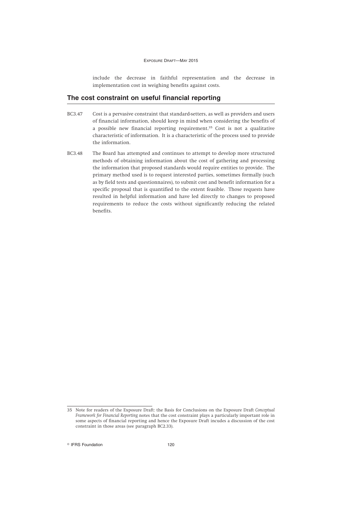include the decrease in faithful representation and the decrease in implementation cost in weighing benefits against costs.

# **The cost constraint on useful financial reporting**

- BC3.47 Cost is a pervasive constraint that standard-setters, as well as providers and users of financial information, should keep in mind when considering the benefits of a possible new financial reporting requirement.<sup>35</sup> Cost is not a qualitative characteristic of information. It is a characteristic of the process used to provide the information.
- BC3.48 The Board has attempted and continues to attempt to develop more structured methods of obtaining information about the cost of gathering and processing the information that proposed standards would require entities to provide. The primary method used is to request interested parties, sometimes formally (such as by field tests and questionnaires), to submit cost and benefit information for a specific proposal that is quantified to the extent feasible. Those requests have resulted in helpful information and have led directly to changes to proposed requirements to reduce the costs without significantly reducing the related benefits.

**Communist Execution 120** CIFRS Foundation **120** 

<sup>35</sup> Note for readers of the Exposure Draft: the Basis for Conclusions on the Exposure Draft *Conceptual Framework for Financial Reporting* notes that the cost constraint plays a particularly important role in some aspects of financial reporting and hence the Exposure Draft incudes a discussion of the cost constraint in those areas (see paragraph BC2.33).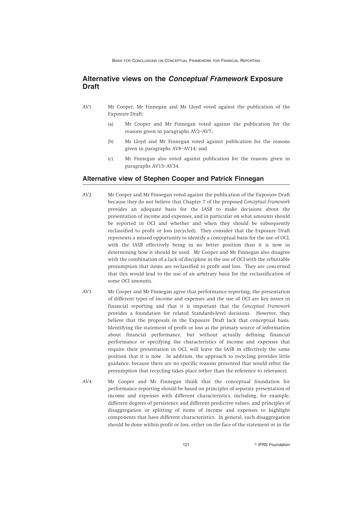# **Alternative views on the** *Conceptual Framework* **Exposure Draft**

- AV1 Mr Cooper, Mr Finnegan and Ms Lloyd voted against the publication of the Exposure Draft:
	- (a) Mr Cooper and Mr Finnegan voted against the publication for the reasons given in paragraphs AV2–AV7;
	- (b) Ms Lloyd and Mr Finnegan voted against publication for the reasons given in paragraphs AV8–AV14; and
	- (c) Mr Finnegan also voted against publication for the reasons given in paragraphs AV15–AV34.

### **Alternative view of Stephen Cooper and Patrick Finnegan**

- AV2 Mr Cooper and Mr Finnegan voted against the publication of the Exposure Draft because they do not believe that Chapter 7 of the proposed *Conceptual Framework* provides an adequate basis for the IASB to make decisions about the presentation of income and expenses, and in particular on what amounts should be reported in OCI and whether and when they should be subsequently reclassified to profit or loss (recycled). They consider that the Exposure Draft represents a missed opportunity to identify a conceptual basis for the use of OCI, with the IASB effectively being in no better position than it is now in determining how it should be used. Mr Cooper and Mr Finnegan also disagree with the combination of a lack of discipline in the use of OCI with the rebuttable presumption that items are reclassified to profit and loss. They are concerned that this would lead to the use of an arbitrary basis for the reclassification of some OCI amounts.
- AV3 Mr Cooper and Mr Finnegan agree that performance reporting, the presentation of different types of income and expenses and the use of OCI are key issues in financial reporting and that it is important that the *Conceptual Framework* provides a foundation for related Standards-level decisions. However, they believe that the proposals in the Exposure Draft lack that conceptual basis. Identifying the statement of profit or loss as the primary source of information about financial performance, but without actually defining financial performance or specifying the characteristics of income and expenses that require their presentation in OCI, will leave the IASB in effectively the same position that it is now. In addition, the approach to recycling provides little guidance, because there are no specific reasons presented that would rebut the presumption that recycling takes place (other than the reference to relevance).
- AV4 Mr Cooper and Mr Finnegan think that the conceptual foundation for performance reporting should be based on principles of separate presentation of income and expenses with different characteristics, including, for example, different degrees of persistence and different predictive values, and principles of disaggregation or splitting of items of income and expenses to highlight components that have different characteristics. In general, such disaggregation should be done within profit or loss, either on the face of the statement or in the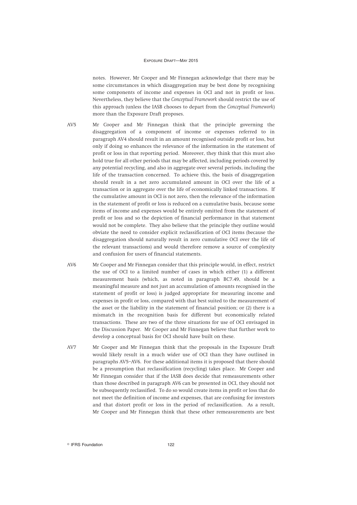notes. However, Mr Cooper and Mr Finnegan acknowledge that there may be some circumstances in which disaggregation may be best done by recognising some components of income and expenses in OCI and not in profit or loss. Nevertheless, they believe that the *Conceptual Framework* should restrict the use of this approach (unless the IASB chooses to depart from the *Conceptual Framework*) more than the Exposure Draft proposes.

- AV5 Mr Cooper and Mr Finnegan think that the principle governing the disaggregation of a component of income or expenses referred to in paragraph AV4 should result in an amount recognised outside profit or loss, but only if doing so enhances the relevance of the information in the statement of profit or loss in that reporting period. Moreover, they think that this must also hold true for all other periods that may be affected, including periods covered by any potential recycling, and also in aggregate over several periods, including the life of the transaction concerned. To achieve this, the basis of disaggregation should result in a net zero accumulated amount in OCI over the life of a transaction or in aggregate over the life of economically linked transactions. If the cumulative amount in OCI is not zero, then the relevance of the information in the statement of profit or loss is reduced on a cumulative basis, because some items of income and expenses would be entirely omitted from the statement of profit or loss and so the depiction of financial performance in that statement would not be complete. They also believe that the principle they outline would obviate the need to consider explicit reclassification of OCI items (because the disaggregation should naturally result in zero cumulative OCI over the life of the relevant transactions) and would therefore remove a source of complexity and confusion for users of financial statements.
- AV6 Mr Cooper and Mr Finnegan consider that this principle would, in effect, restrict the use of OCI to a limited number of cases in which either (1) a different measurement basis (which, as noted in paragraph BC7.49, should be a meaningful measure and not just an accumulation of amounts recognised in the statement of profit or loss) is judged appropriate for measuring income and expenses in profit or loss, compared with that best suited to the measurement of the asset or the liability in the statement of financial position; or (2) there is a mismatch in the recognition basis for different but economically related transactions. These are two of the three situations for use of OCI envisaged in the Discussion Paper. Mr Cooper and Mr Finnegan believe that further work to develop a conceptual basis for OCI should have built on these.
- AV7 Mr Cooper and Mr Finnegan think that the proposals in the Exposure Draft would likely result in a much wider use of OCI than they have outlined in paragraphs AV5–AV6. For these additional items it is proposed that there should be a presumption that reclassification (recycling) takes place. Mr Cooper and Mr Finnegan consider that if the IASB does decide that remeasurements other than those described in paragraph AV6 can be presented in OCI, they should not be subsequently reclassified. To do so would create items in profit or loss that do not meet the definition of income and expenses, that are confusing for investors and that distort profit or loss in the period of reclassification. As a result, Mr Cooper and Mr Finnegan think that these other remeasurements are best

**Communist Execution 122 IFRS** Foundation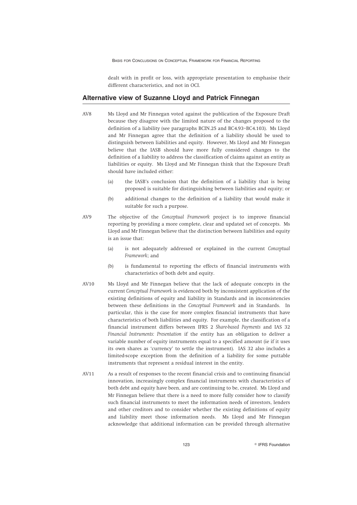dealt with in profit or loss, with appropriate presentation to emphasise their different characteristics, and not in OCI.

### **Alternative view of Suzanne Lloyd and Patrick Finnegan**

- AV8 Ms Lloyd and Mr Finnegan voted against the publication of the Exposure Draft because they disagree with the limited nature of the changes proposed to the definition of a liability (see paragraphs BCIN.25 and BC4.93–BC4.103). Ms Lloyd and Mr Finnegan agree that the definition of a liability should be used to distinguish between liabilities and equity. However, Ms Lloyd and Mr Finnegan believe that the IASB should have more fully considered changes to the definition of a liability to address the classification of claims against an entity as liabilities or equity. Ms Lloyd and Mr Finnegan think that the Exposure Draft should have included either:
	- (a) the IASB's conclusion that the definition of a liability that is being proposed is suitable for distinguishing between liabilities and equity; or
	- (b) additional changes to the definition of a liability that would make it suitable for such a purpose.
- AV9 The objective of the *Conceptual Framework* project is to improve financial reporting by providing a more complete, clear and updated set of concepts. Ms Lloyd and Mr Finnegan believe that the distinction between liabilities and equity is an issue that:
	- (a) is not adequately addressed or explained in the current *Conceptual Framework*; and
	- (b) is fundamental to reporting the effects of financial instruments with characteristics of both debt and equity.
- AV10 Ms Lloyd and Mr Finnegan believe that the lack of adequate concepts in the current *Conceptual Framework* is evidenced both by inconsistent application of the existing definitions of equity and liability in Standards and in inconsistencies between these definitions in the *Conceptual Framework* and in Standards. In particular, this is the case for more complex financial instruments that have characteristics of both liabilities and equity. For example, the classification of a financial instrument differs between IFRS 2 *Share-based Payments* and IAS 32 *Financial Instruments: Presentation* if the entity has an obligation to deliver a variable number of equity instruments equal to a specified amount (ie if it uses its own shares as 'currency' to settle the instrument). IAS 32 also includes a limited-scope exception from the definition of a liability for some puttable instruments that represent a residual interest in the entity.
- AV11 As a result of responses to the recent financial crisis and to continuing financial innovation, increasingly complex financial instruments with characteristics of both debt and equity have been, and are continuing to be, created. Ms Lloyd and Mr Finnegan believe that there is a need to more fully consider how to classify such financial instruments to meet the information needs of investors, lenders and other creditors and to consider whether the existing definitions of equity and liability meet those information needs. Ms Lloyd and Mr Finnegan acknowledge that additional information can be provided through alternative

<sup>©</sup> IFRS Foundation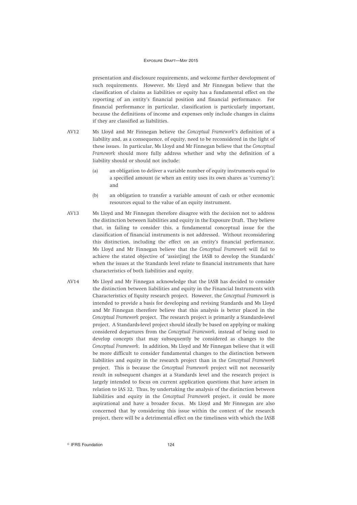presentation and disclosure requirements, and welcome further development of such requirements. However, Ms Lloyd and Mr Finnegan believe that the classification of claims as liabilities or equity has a fundamental effect on the reporting of an entity's financial position and financial performance. For financial performance in particular, classification is particularly important, because the definitions of income and expenses only include changes in claims if they are classified as liabilities.

- AV12 Ms Lloyd and Mr Finnegan believe the *Conceptual Framework*'s definition of a liability and, as a consequence, of equity, need to be reconsidered in the light of these issues. In particular, Ms Lloyd and Mr Finnegan believe that the *Conceptual Framework* should more fully address whether and why the definition of a liability should or should not include:
	- (a) an obligation to deliver a variable number of equity instruments equal to a specified amount (ie when an entity uses its own shares as 'currency'); and
	- (b) an obligation to transfer a variable amount of cash or other economic resources equal to the value of an equity instrument.
- AV13 Ms Lloyd and Mr Finnegan therefore disagree with the decision not to address the distinction between liabilities and equity in the Exposure Draft. They believe that, in failing to consider this, a fundamental conceptual issue for the classification of financial instruments is not addressed. Without reconsidering this distinction, including the effect on an entity's financial performance, Ms Lloyd and Mr Finnegan believe that the *Conceptual Framework* will fail to achieve the stated objective of 'assist[ing] the IASB to develop the Standards' when the issues at the Standards level relate to financial instruments that have characteristics of both liabilities and equity.
- AV14 Ms Lloyd and Mr Finnegan acknowledge that the IASB has decided to consider the distinction between liabilities and equity in the Financial Instruments with Characteristics of Equity research project. However, the *Conceptual Framework* is intended to provide a basis for developing and revising Standards and Ms Lloyd and Mr Finnegan therefore believe that this analysis is better placed in the *Conceptual Framework* project. The research project is primarily a Standards-level project. A Standards-level project should ideally be based on applying or making considered departures from the *Conceptual Framework*, instead of being used to develop concepts that may subsequently be considered as changes to the *Conceptual Framework*. In addition, Ms Lloyd and Mr Finnegan believe that it will be more difficult to consider fundamental changes to the distinction between liabilities and equity in the research project than in the *Conceptual Framework* project. This is because the *Conceptual Framework* project will not necessarily result in subsequent changes at a Standards level and the research project is largely intended to focus on current application questions that have arisen in relation to IAS 32. Thus, by undertaking the analysis of the distinction between liabilities and equity in the *Conceptual Framework* project, it could be more aspirational and have a broader focus. Ms Lloyd and Mr Finnegan are also concerned that by considering this issue within the context of the research project, there will be a detrimental effect on the timeliness with which the IASB

**Communist Execution 124 IFRS** Foundation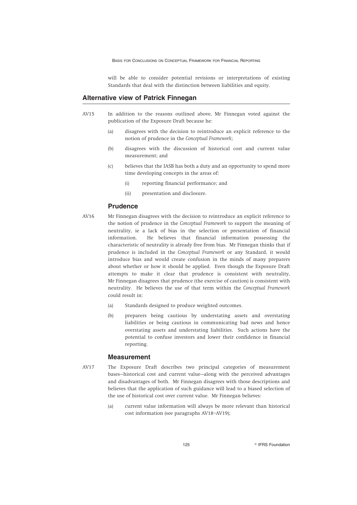will be able to consider potential revisions or interpretations of existing Standards that deal with the distinction between liabilities and equity.

# **Alternative view of Patrick Finnegan**

- AV15 In addition to the reasons outlined above, Mr Finnegan voted against the publication of the Exposure Draft because he:
	- (a) disagrees with the decision to reintroduce an explicit reference to the notion of prudence in the *Conceptual Framework*;
	- (b) disagrees with the discussion of historical cost and current value measurement; and
	- (c) believes that the IASB has both a duty and an opportunity to spend more time developing concepts in the areas of:
		- (i) reporting financial performance; and
		- (ii) presentation and disclosure.

### **Prudence**

- AV16 Mr Finnegan disagrees with the decision to reintroduce an explicit reference to the notion of prudence in the *Conceptual Framework* to support the meaning of neutrality, ie a lack of bias in the selection or presentation of financial information. He believes that financial information possessing the characteristic of neutrality is already free from bias. Mr Finnegan thinks that if prudence is included in the *Conceptual Framework* or any Standard, it would introduce bias and would create confusion in the minds of many preparers about whether or how it should be applied. Even though the Exposure Draft attempts to make it clear that prudence is consistent with neutrality, Mr Finnegan disagrees that prudence (the exercise of caution) is consistent with neutrality. He believes the use of that term within the *Conceptual Framework* could result in:
	- (a) Standards designed to produce weighted outcomes.
	- (b) preparers being cautious by understating assets and overstating liabilities or being cautious in communicating bad news and hence overstating assets and understating liabilities. Such actions have the potential to confuse investors and lower their confidence in financial reporting.

# **Measurement**

- AV17 The Exposure Draft describes two principal categories of measurement bases—historical cost and current value—along with the perceived advantages and disadvantages of both. Mr Finnegan disagrees with those descriptions and believes that the application of such guidance will lead to a biased selection of the use of historical cost over current value. Mr Finnegan believes:
	- (a) current value information will always be more relevant than historical cost information (see paragraphs AV18–AV19);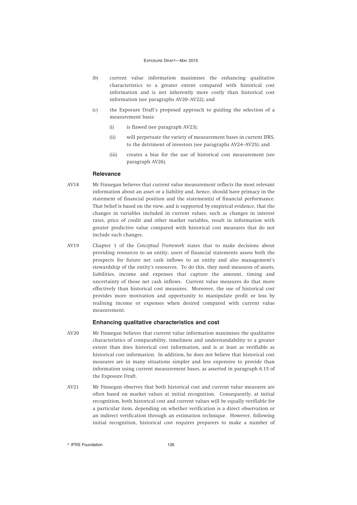- (b) current value information maximises the enhancing qualitative characteristics to a greater extent compared with historical cost information and is not inherently more costly than historical cost information (see paragraphs AV20–AV22); and
- (c) the Exposure Draft's proposed approach to guiding the selection of a measurement basis:
	- (i) is flawed (see paragraph AV23);
	- (ii) will perpetuate the variety of measurement bases in current IFRS, to the detriment of investors (see paragraphs AV24–AV25); and
	- (iii) creates a bias for the use of historical cost measurement (see paragraph AV26).

### **Relevance**

- AV18 Mr Finnegan believes that current value measurement reflects the most relevant information about an asset or a liability and, hence, should have primacy in the statement of financial position and the statement(s) of financial performance. That belief is based on the view, and is supported by empirical evidence, that the changes in variables included in current values, such as changes in interest rates, price of credit and other market variables, result in information with greater predictive value compared with historical cost measures that do not include such changes.
- AV19 Chapter 1 of the *Conceptual Framework* states that to make decisions about providing resources to an entity, users of financial statements assess both the prospects for future net cash inflows to an entity and also management's stewardship of the entity's resources. To do this, they need measures of assets, liabilities, income and expenses that capture the amount, timing and uncertainty of those net cash inflows. Current value measures do that more effectively than historical cost measures. Moreover, the use of historical cost provides more motivation and opportunity to manipulate profit or loss by realising income or expenses when desired compared with current value measurement.

### **Enhancing qualitative characteristics and cost**

- AV20 Mr Finnegan believes that current value information maximises the qualitative characteristics of comparability, timeliness and understandability to a greater extent than does historical cost information, and is at least as verifiable as historical cost information. In addition, he does not believe that historical cost measures are in many situations simpler and less expensive to provide than information using current measurement bases, as asserted in paragraph 6.15 of the Exposure Draft.
- AV21 Mr Finnegan observes that both historical cost and current value measures are often based on market values at initial recognition. Consequently, at initial recognition, both historical cost and current values will be equally verifiable for a particular item, depending on whether verification is a direct observation or an indirect verification through an estimation technique. However, following initial recognition, historical cost requires preparers to make a number of

**Communist Execution 126** CIFRS Foundation **126**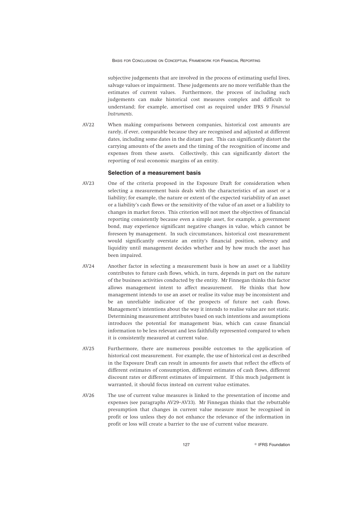subjective judgements that are involved in the process of estimating useful lives, salvage values or impairment. These judgements are no more verifiable than the estimates of current values. Furthermore, the process of including such judgements can make historical cost measures complex and difficult to understand; for example, amortised cost as required under IFRS 9 *Financial Instruments*.

AV22 When making comparisons between companies, historical cost amounts are rarely, if ever, comparable because they are recognised and adjusted at different dates, including some dates in the distant past. This can significantly distort the carrying amounts of the assets and the timing of the recognition of income and expenses from these assets. Collectively, this can significantly distort the reporting of real economic margins of an entity.

### **Selection of a measurement basis**

- AV23 One of the criteria proposed in the Exposure Draft for consideration when selecting a measurement basis deals with the characteristics of an asset or a liability; for example, the nature or extent of the expected variability of an asset or a liability's cash flows or the sensitivity of the value of an asset or a liability to changes in market forces. This criterion will not meet the objectives of financial reporting consistently because even a simple asset, for example, a government bond, may experience significant negative changes in value, which cannot be foreseen by management. In such circumstances, historical cost measurement would significantly overstate an entity's financial position, solvency and liquidity until management decides whether and by how much the asset has been impaired.
- AV24 Another factor in selecting a measurement basis is how an asset or a liability contributes to future cash flows, which, in turn, depends in part on the nature of the business activities conducted by the entity. Mr Finnegan thinks this factor allows management intent to affect measurement. He thinks that how management intends to use an asset or realise its value may be inconsistent and be an unreliable indicator of the prospects of future net cash flows. Management's intentions about the way it intends to realise value are not static. Determining measurement attributes based on such intentions and assumptions introduces the potential for management bias, which can cause financial information to be less relevant and less faithfully represented compared to when it is consistently measured at current value.
- AV25 Furthermore, there are numerous possible outcomes to the application of historical cost measurement. For example, the use of historical cost as described in the Exposure Draft can result in amounts for assets that reflect the effects of different estimates of consumption, different estimates of cash flows, different discount rates or different estimates of impairment. If this much judgement is warranted, it should focus instead on current value estimates.
- AV26 The use of current value measures is linked to the presentation of income and expenses (see paragraphs AV29–AV33). Mr Finnegan thinks that the rebuttable presumption that changes in current value measure must be recognised in profit or loss unless they do not enhance the relevance of the information in profit or loss will create a barrier to the use of current value measure.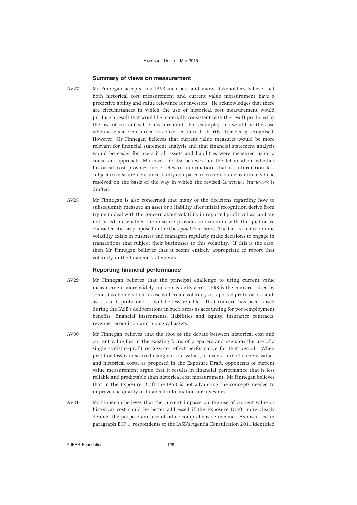### **Summary of views on measurement**

- AV27 Mr Finnegan accepts that IASB members and many stakeholders believe that both historical cost measurement and current value measurement have a predictive ability and value relevance for investors. He acknowledges that there are circumstances in which the use of historical cost measurement would produce a result that would be materially consistent with the result produced by the use of current value measurement. For example, this would be the case when assets are consumed or converted to cash shortly after being recognised. However, Mr Finnegan believes that current value measures would be more relevant for financial statement analysis and that financial statement analysis would be easier for users if all assets and liabilities were measured using a consistent approach. Moreover, he also believes that the debate about whether historical cost provides more relevant information, that is, information less subject to measurement uncertainty compared to current value, is unlikely to be resolved on the basis of the way in which the revised *Conceptual Framework* is drafted.
- AV28 Mr Finnegan is also concerned that many of the decisions regarding how to subsequently measure an asset or a liability after initial recognition derive from trying to deal with the concern about volatility in reported profit or loss, and are not based on whether the measure provides information with the qualitative characteristics as proposed in the *Conceptual Framework*. The fact is that economic volatility exists in business and managers regularly make decisions to engage in transactions that subject their businesses to this volatility. If this is the case, then Mr Finnegan believes that it seems entirely appropriate to report that volatility in the financial statements.

### **Reporting financial performance**

- AV29 Mr Finnegan believes that the principal challenge to using current value measurement more widely and consistently across IFRS is the concern raised by some stakeholders that its use will create volatility in reported profit or loss and, as a result, profit or loss will be less reliable. That concern has been raised during the IASB's deliberations in such areas as accounting for post-employment benefits, financial instruments, liabilities and equity, insurance contracts, revenue recognition and biological assets.
- AV30 Mr Finnegan believes that the root of the debate between historical cost and current value lies in the existing focus of preparers and users on the use of a single statistic—profit or loss—to reflect performance for that period. When profit or loss is measured using current values, or even a mix of current values and historical costs, as proposed in the Exposure Draft, opponents of current value measurement argue that it results in financial performance that is less reliable and predictable than historical cost measurement. Mr Finnegan believes that in the Exposure Draft the IASB is not advancing the concepts needed to improve the quality of financial information for investors.
- AV31 Mr Finnegan believes that the current impasse on the use of current value or historical cost could be better addressed if the Exposure Draft more clearly defined the purpose and use of other comprehensive income. As discussed in paragraph BC7.1, respondents to the IASB's Agenda Consultation 2011 identified

**Communist Execution 128** CHERS Foundation **128**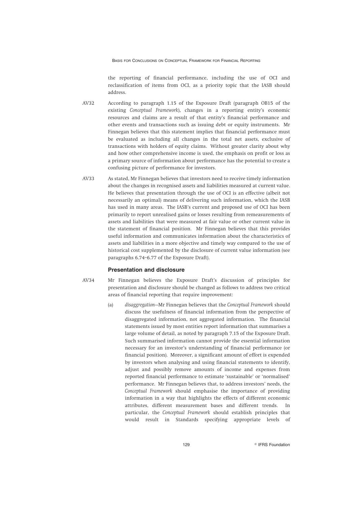the reporting of financial performance, including the use of OCI and reclassification of items from OCI, as a priority topic that the IASB should address.

- AV32 According to paragraph 1.15 of the Exposure Draft (paragraph OB15 of the existing *Conceptual Framework*), changes in a reporting entity's economic resources and claims are a result of that entity's financial performance and other events and transactions such as issuing debt or equity instruments. Mr Finnegan believes that this statement implies that financial performance must be evaluated as including all changes in the total net assets, exclusive of transactions with holders of equity claims. Without greater clarity about why and how other comprehensive income is used, the emphasis on profit or loss as a primary source of information about performance has the potential to create a confusing picture of performance for investors.
- AV33 As stated, Mr Finnegan believes that investors need to receive timely information about the changes in recognised assets and liabilities measured at current value. He believes that presentation through the use of OCI is an effective (albeit not necessarily an optimal) means of delivering such information, which the IASB has used in many areas. The IASB's current and proposed use of OCI has been primarily to report unrealised gains or losses resulting from remeasurements of assets and liabilities that were measured at fair value or other current value in the statement of financial position. Mr Finnegan believes that this provides useful information and communicates information about the characteristics of assets and liabilities in a more objective and timely way compared to the use of historical cost supplemented by the disclosure of current value information (see paragraphs 6.74–6.77 of the Exposure Draft).

#### **Presentation and disclosure**

- AV34 Mr Finnegan believes the Exposure Draft's discussion of principles for presentation and disclosure should be changed as follows to address two critical areas of financial reporting that require improvement:
	- (a) *disaggregation*—Mr Finnegan believes that the *Conceptual Framework* should discuss the usefulness of financial information from the perspective of disaggregated information, not aggregated information. The financial statements issued by most entities report information that summarises a large volume of detail, as noted by paragraph 7.15 of the Exposure Draft. Such summarised information cannot provide the essential information necessary for an investor's understanding of financial performance (or financial position). Moreover, a significant amount of effort is expended by investors when analysing and using financial statements to identify, adjust and possibly remove amounts of income and expenses from reported financial performance to estimate 'sustainable' or 'normalised' performance. Mr Finnegan believes that, to address investors' needs, the *Conceptual Framework* should emphasise the importance of providing information in a way that highlights the effects of different economic attributes, different measurement bases and different trends. In particular, the *Conceptual Framework* should establish principles that would result in Standards specifying appropriate levels of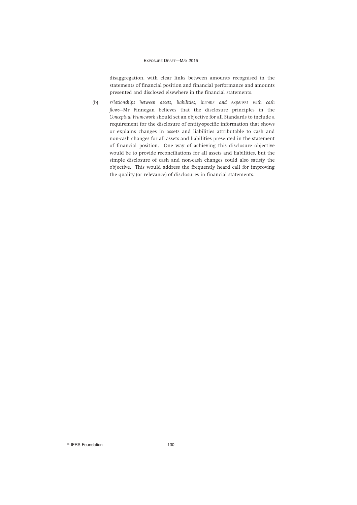disaggregation, with clear links between amounts recognised in the statements of financial position and financial performance and amounts presented and disclosed elsewhere in the financial statements.

(b) *relationships between assets, liabilities, income and expenses with cash flows*—Mr Finnegan believes that the disclosure principles in the *Conceptual Framework* should set an objective for all Standards to include a requirement for the disclosure of entity-specific information that shows or explains changes in assets and liabilities attributable to cash and non-cash changes for all assets and liabilities presented in the statement of financial position. One way of achieving this disclosure objective would be to provide reconciliations for all assets and liabilities, but the simple disclosure of cash and non-cash changes could also satisfy the objective. This would address the frequently heard call for improving the quality (or relevance) of disclosures in financial statements.

**Communist Execution 130 IFRS Foundation** 130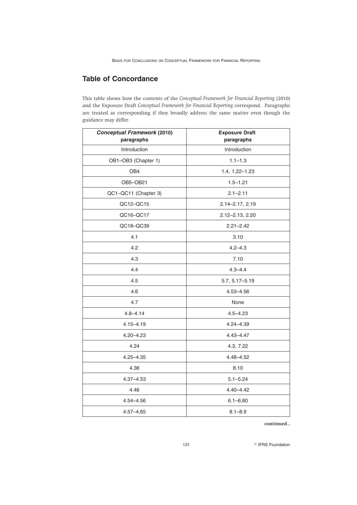# **Table of Concordance**

This table shows how the contents of the *Conceptual Framework for Financial Reporting* (2010) and the Exposure Draft *Conceptual Framework for Financial Reporting* correspond. Paragraphs are treated as corresponding if they broadly address the same matter even though the guidance may differ.

| <b>Conceptual Framework (2010)</b><br>paragraphs | <b>Exposure Draft</b><br>paragraphs |
|--------------------------------------------------|-------------------------------------|
| Introduction                                     | Introduction                        |
| OB1-OB3 (Chapter 1)                              | $1.1 - 1.3$                         |
| OB <sub>4</sub>                                  | 1.4, 1.22-1.23                      |
| OB5-OB21                                         | $1.5 - 1.21$                        |
| QC1-QC11 (Chapter 3)                             | $2.1 - 2.11$                        |
| QC12-QC15                                        | 2.14-2.17, 2.19                     |
| QC16-QC17                                        | 2.12-2.13, 2.20                     |
| QC18-QC39                                        | $2.21 - 2.42$                       |
| 4.1                                              | 3.10                                |
| 4.2                                              | $4.2 - 4.3$                         |
| 4.3                                              | 7.10                                |
| 4.4                                              | $4.3 - 4.4$                         |
| 4.5                                              | 5.7, 5.17-5.19                      |
| 4.6                                              | 4.53-4.56                           |
| 4.7                                              | None                                |
| $4.8 - 4.14$                                     | $4.5 - 4.23$                        |
| $4.15 - 4.19$                                    | 4.24-4.39                           |
| $4.20 - 4.23$                                    | $4.43 - 4.47$                       |
| 4.24                                             | 4.3, 7.22                           |
| $4.25 - 4.35$                                    | 4.48-4.52                           |
| 4.36                                             | 8.10                                |
| $4.37 - 4.53$                                    | $5.1 - 5.24$                        |
| 4.46                                             | $4.40 - 4.42$                       |
| $4.54 - 4.56$                                    | $6.1 - 6.80$                        |
| $4.57 - 4.65$                                    | $8.1 - 8.9$                         |

*continued...*

<sup>©</sup> IFRS Foundation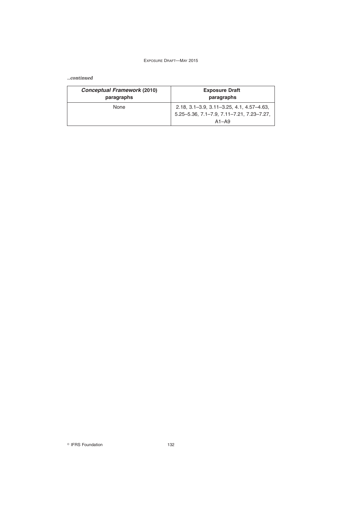# *...continued*

| <b>Conceptual Framework (2010)</b><br>paragraphs | <b>Exposure Draft</b><br>paragraphs                                                    |
|--------------------------------------------------|----------------------------------------------------------------------------------------|
| None                                             | 2.18, 3.1–3.9, 3.11–3.25, 4.1, 4.57–4.63,<br>5.25-5.36, 7.1-7.9, 7.11-7.21, 7.23-7.27, |
|                                                  | $A1 - A9$                                                                              |

**Communist Execution 132**